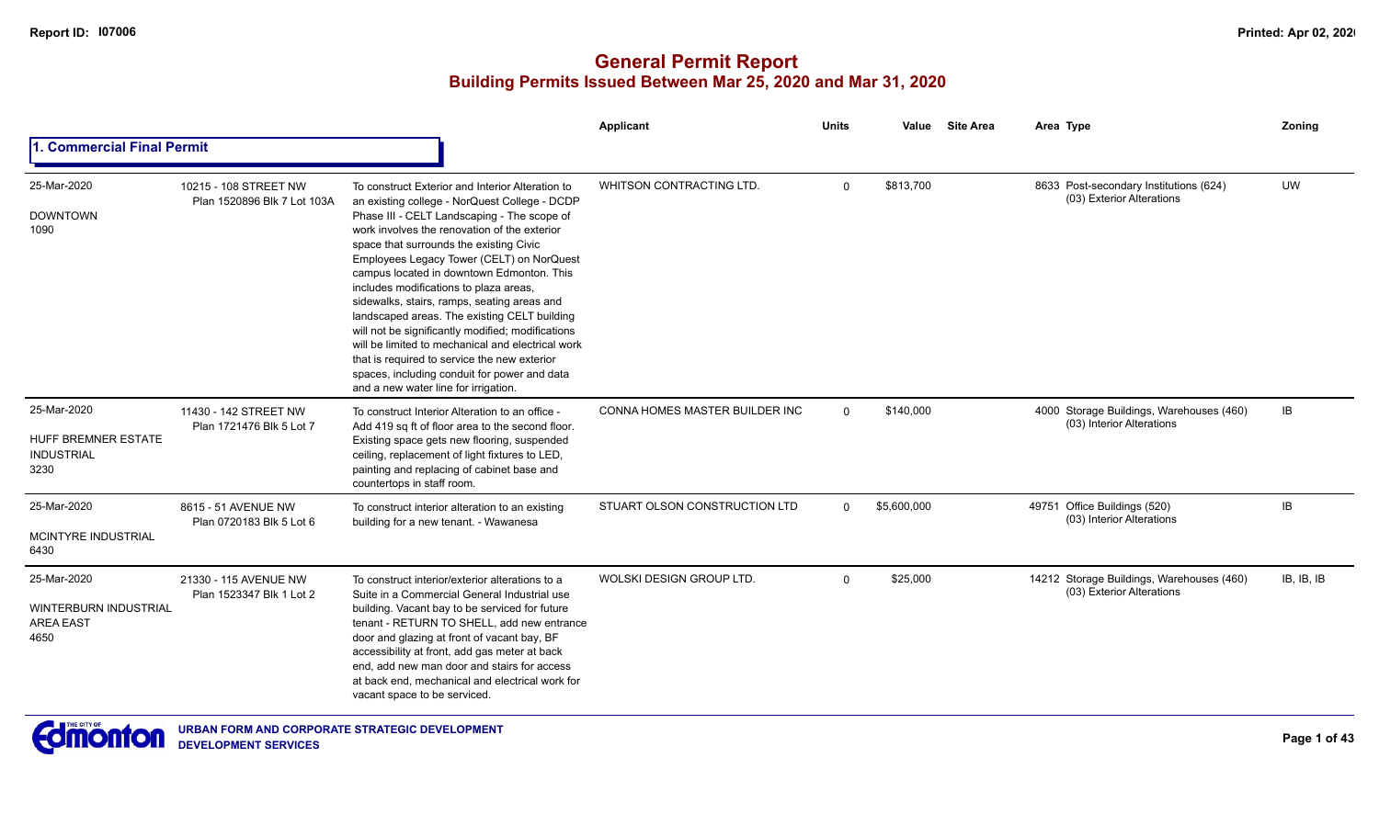|                                                                  |                                                      |                                                                                                                                                                                                                                                                                                                                                                                                                                                                                                                                                                                                                                                                                                                                  | <b>Applicant</b>                      | <b>Units</b> | Value       | <b>Site Area</b> | Area Type                                                              | Zoning     |
|------------------------------------------------------------------|------------------------------------------------------|----------------------------------------------------------------------------------------------------------------------------------------------------------------------------------------------------------------------------------------------------------------------------------------------------------------------------------------------------------------------------------------------------------------------------------------------------------------------------------------------------------------------------------------------------------------------------------------------------------------------------------------------------------------------------------------------------------------------------------|---------------------------------------|--------------|-------------|------------------|------------------------------------------------------------------------|------------|
| 1. Commercial Final Permit                                       |                                                      |                                                                                                                                                                                                                                                                                                                                                                                                                                                                                                                                                                                                                                                                                                                                  |                                       |              |             |                  |                                                                        |            |
| 25-Mar-2020<br><b>DOWNTOWN</b><br>1090                           | 10215 - 108 STREET NW<br>Plan 1520896 Blk 7 Lot 103A | To construct Exterior and Interior Alteration to<br>an existing college - NorQuest College - DCDP<br>Phase III - CELT Landscaping - The scope of<br>work involves the renovation of the exterior<br>space that surrounds the existing Civic<br>Employees Legacy Tower (CELT) on NorQuest<br>campus located in downtown Edmonton. This<br>includes modifications to plaza areas,<br>sidewalks, stairs, ramps, seating areas and<br>landscaped areas. The existing CELT building<br>will not be significantly modified; modifications<br>will be limited to mechanical and electrical work<br>that is required to service the new exterior<br>spaces, including conduit for power and data<br>and a new water line for irrigation. | <b>WHITSON CONTRACTING LTD.</b>       | $\Omega$     | \$813,700   |                  | 8633 Post-secondary Institutions (624)<br>(03) Exterior Alterations    | <b>UW</b>  |
| 25-Mar-2020<br>HUFF BREMNER ESTATE<br><b>INDUSTRIAL</b><br>3230  | 11430 - 142 STREET NW<br>Plan 1721476 Blk 5 Lot 7    | To construct Interior Alteration to an office -<br>Add 419 sq ft of floor area to the second floor.<br>Existing space gets new flooring, suspended<br>ceiling, replacement of light fixtures to LED,<br>painting and replacing of cabinet base and<br>countertops in staff room.                                                                                                                                                                                                                                                                                                                                                                                                                                                 | <b>CONNA HOMES MASTER BUILDER INC</b> | $\Omega$     | \$140,000   |                  | 4000 Storage Buildings, Warehouses (460)<br>(03) Interior Alterations  | <b>IB</b>  |
| 25-Mar-2020<br>MCINTYRE INDUSTRIAL<br>6430                       | 8615 - 51 AVENUE NW<br>Plan 0720183 Blk 5 Lot 6      | To construct interior alteration to an existing<br>building for a new tenant. - Wawanesa                                                                                                                                                                                                                                                                                                                                                                                                                                                                                                                                                                                                                                         | STUART OLSON CONSTRUCTION LTD         | $\Omega$     | \$5,600,000 |                  | 49751 Office Buildings (520)<br>(03) Interior Alterations              | <b>IB</b>  |
| 25-Mar-2020<br>WINTERBURN INDUSTRIAL<br><b>AREA EAST</b><br>4650 | 21330 - 115 AVENUE NW<br>Plan 1523347 Blk 1 Lot 2    | To construct interior/exterior alterations to a<br>Suite in a Commercial General Industrial use<br>building. Vacant bay to be serviced for future<br>tenant - RETURN TO SHELL, add new entrance<br>door and glazing at front of vacant bay, BF<br>accessibility at front, add gas meter at back<br>end, add new man door and stairs for access<br>at back end, mechanical and electrical work for<br>vacant space to be serviced.                                                                                                                                                                                                                                                                                                | WOLSKI DESIGN GROUP LTD.              | $\Omega$     | \$25,000    |                  | 14212 Storage Buildings, Warehouses (460)<br>(03) Exterior Alterations | IB, IB, IB |

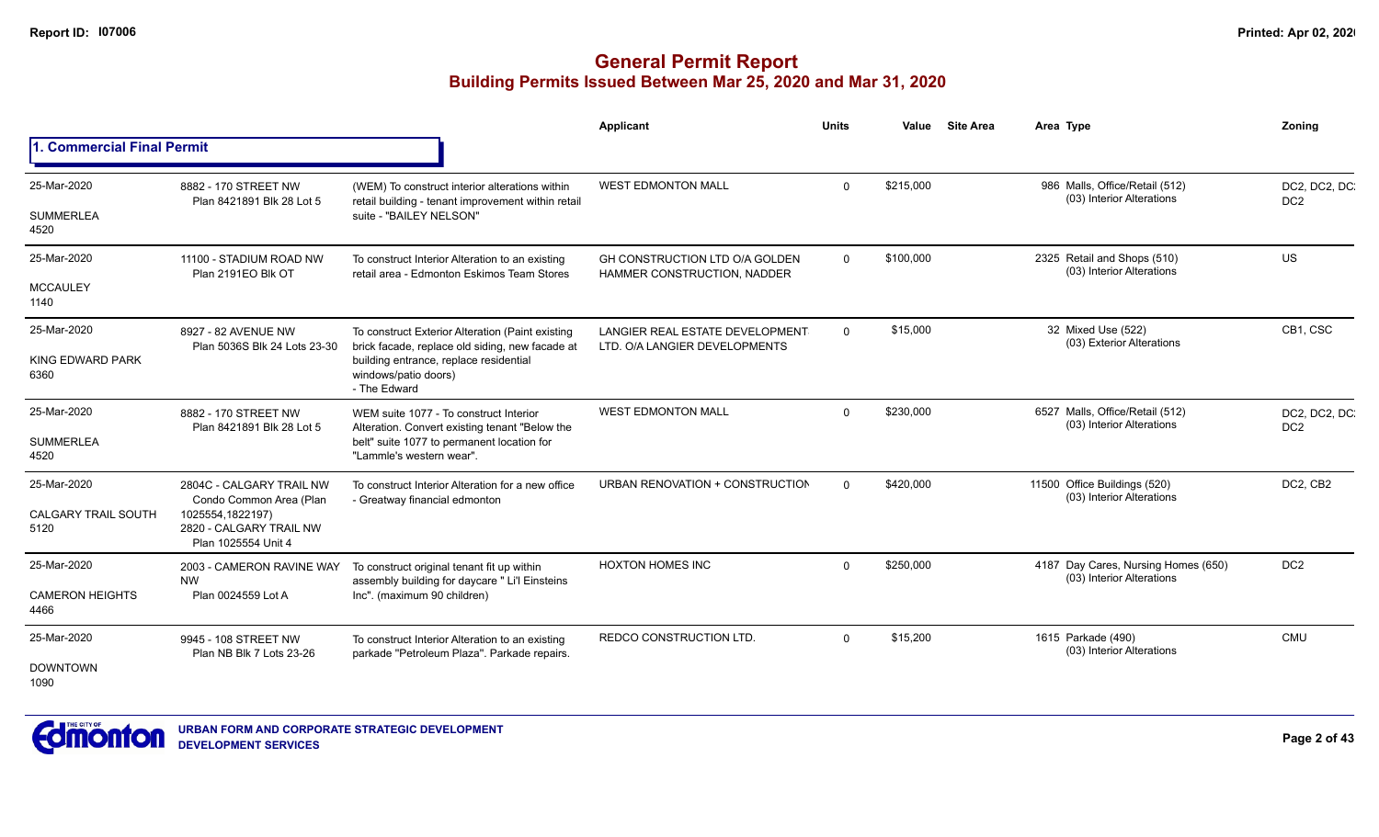|                                 |                                                                    |                                                                                                      | Applicant                                                               | <b>Units</b> | Value     | <b>Site Area</b> | Area Type                                                        | Zoning                           |
|---------------------------------|--------------------------------------------------------------------|------------------------------------------------------------------------------------------------------|-------------------------------------------------------------------------|--------------|-----------|------------------|------------------------------------------------------------------|----------------------------------|
| 1. Commercial Final Permit      |                                                                    |                                                                                                      |                                                                         |              |           |                  |                                                                  |                                  |
| 25-Mar-2020                     | 8882 - 170 STREET NW<br>Plan 8421891 Blk 28 Lot 5                  | (WEM) To construct interior alterations within<br>retail building - tenant improvement within retail | <b>WEST EDMONTON MALL</b>                                               | $\Omega$     | \$215,000 |                  | 986 Malls, Office/Retail (512)<br>(03) Interior Alterations      | DC2, DC2, DC<br>DC <sub>2</sub>  |
| <b>SUMMERLEA</b><br>4520        |                                                                    | suite - "BAILEY NELSON"                                                                              |                                                                         |              |           |                  |                                                                  |                                  |
| 25-Mar-2020                     | 11100 - STADIUM ROAD NW<br>Plan 2191EO Blk OT                      | To construct Interior Alteration to an existing<br>retail area - Edmonton Eskimos Team Stores        | GH CONSTRUCTION LTD O/A GOLDEN<br><b>HAMMER CONSTRUCTION, NADDER</b>    | $\mathbf 0$  | \$100,000 |                  | 2325 Retail and Shops (510)<br>(03) Interior Alterations         | US                               |
| <b>MCCAULEY</b><br>1140         |                                                                    |                                                                                                      |                                                                         |              |           |                  |                                                                  |                                  |
| 25-Mar-2020                     | 8927 - 82 AVENUE NW<br>Plan 5036S Blk 24 Lots 23-30                | To construct Exterior Alteration (Paint existing<br>brick facade, replace old siding, new facade at  | <b>LANGIER REAL ESTATE DEVELOPMENT</b><br>LTD. O/A LANGIER DEVELOPMENTS | $\mathbf 0$  | \$15,000  |                  | 32 Mixed Use (522)<br>(03) Exterior Alterations                  | CB1, CSC                         |
| <b>KING EDWARD PARK</b><br>6360 |                                                                    | building entrance, replace residential<br>windows/patio doors)<br>- The Edward                       |                                                                         |              |           |                  |                                                                  |                                  |
| 25-Mar-2020                     | 8882 - 170 STREET NW<br>Plan 8421891 Blk 28 Lot 5                  | WEM suite 1077 - To construct Interior<br>Alteration. Convert existing tenant "Below the             | <b>WEST EDMONTON MALL</b>                                               | $\Omega$     | \$230,000 |                  | 6527 Malls, Office/Retail (512)<br>(03) Interior Alterations     | DC2, DC2, DC.<br>DC <sub>2</sub> |
| <b>SUMMERLEA</b><br>4520        |                                                                    | belt" suite 1077 to permanent location for<br>"Lammle's western wear".                               |                                                                         |              |           |                  |                                                                  |                                  |
| 25-Mar-2020                     | 2804C - CALGARY TRAIL NW<br>Condo Common Area (Plan                | To construct Interior Alteration for a new office<br>- Greatway financial edmonton                   | URBAN RENOVATION + CONSTRUCTION                                         | $\Omega$     | \$420,000 |                  | 11500 Office Buildings (520)<br>(03) Interior Alterations        | DC2, CB2                         |
| CALGARY TRAIL SOUTH<br>5120     | 1025554,1822197)<br>2820 - CALGARY TRAIL NW<br>Plan 1025554 Unit 4 |                                                                                                      |                                                                         |              |           |                  |                                                                  |                                  |
| 25-Mar-2020                     | 2003 - CAMERON RAVINE WAY<br><b>NW</b>                             | To construct original tenant fit up within<br>assembly building for daycare " Li'l Einsteins         | <b>HOXTON HOMES INC</b>                                                 | $\Omega$     | \$250,000 |                  | 4187 Day Cares, Nursing Homes (650)<br>(03) Interior Alterations | DC <sub>2</sub>                  |
| <b>CAMERON HEIGHTS</b><br>4466  | Plan 0024559 Lot A                                                 | Inc". (maximum 90 children)                                                                          |                                                                         |              |           |                  |                                                                  |                                  |
| 25-Mar-2020                     | 9945 - 108 STREET NW<br>Plan NB Blk 7 Lots 23-26                   | To construct Interior Alteration to an existing<br>parkade "Petroleum Plaza". Parkade repairs.       | <b>REDCO CONSTRUCTION LTD.</b>                                          | $\Omega$     | \$15,200  |                  | 1615 Parkade (490)<br>(03) Interior Alterations                  | <b>CMU</b>                       |
| <b>DOWNTOWN</b><br>1090         |                                                                    |                                                                                                      |                                                                         |              |           |                  |                                                                  |                                  |

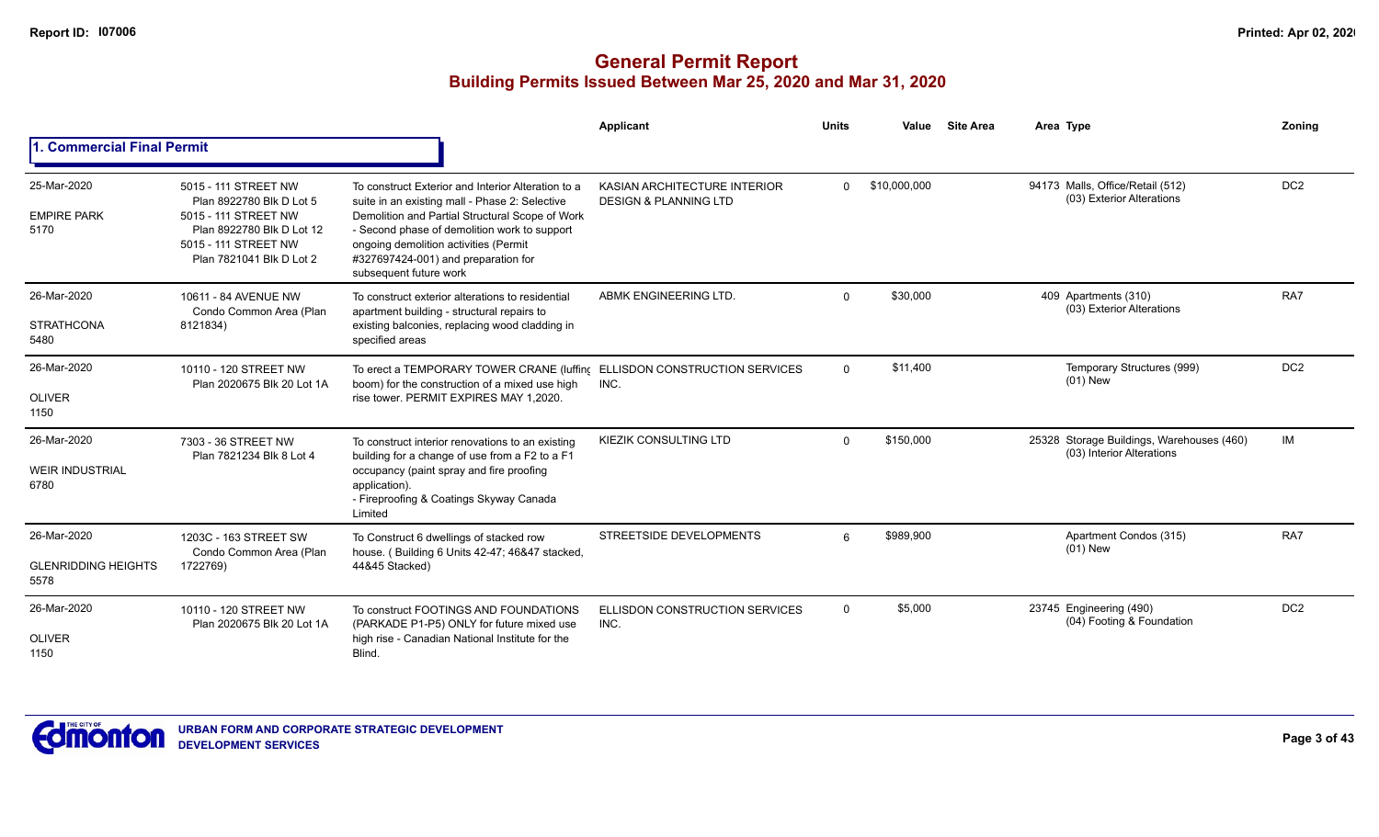|                                                   |                                                                                                                                                           |                                                                                                                                                                                                                                                                                                                   | <b>Applicant</b>                                                 | <b>Units</b> | Value        | <b>Site Area</b> | Area Type                                                              | Zoning          |
|---------------------------------------------------|-----------------------------------------------------------------------------------------------------------------------------------------------------------|-------------------------------------------------------------------------------------------------------------------------------------------------------------------------------------------------------------------------------------------------------------------------------------------------------------------|------------------------------------------------------------------|--------------|--------------|------------------|------------------------------------------------------------------------|-----------------|
| <b>1. Commercial Final Permit</b>                 |                                                                                                                                                           |                                                                                                                                                                                                                                                                                                                   |                                                                  |              |              |                  |                                                                        |                 |
| 25-Mar-2020<br><b>EMPIRE PARK</b><br>5170         | 5015 - 111 STREET NW<br>Plan 8922780 Blk D Lot 5<br>5015 - 111 STREET NW<br>Plan 8922780 Blk D Lot 12<br>5015 - 111 STREET NW<br>Plan 7821041 Blk D Lot 2 | To construct Exterior and Interior Alteration to a<br>suite in an existing mall - Phase 2: Selective<br>Demolition and Partial Structural Scope of Work<br>- Second phase of demolition work to support<br>ongoing demolition activities (Permit<br>#327697424-001) and preparation for<br>subsequent future work | KASIAN ARCHITECTURE INTERIOR<br><b>DESIGN &amp; PLANNING LTD</b> | $\Omega$     | \$10,000,000 |                  | 94173 Malls, Office/Retail (512)<br>(03) Exterior Alterations          | DC <sub>2</sub> |
| 26-Mar-2020<br><b>STRATHCONA</b><br>5480          | 10611 - 84 AVENUE NW<br>Condo Common Area (Plan<br>8121834)                                                                                               | To construct exterior alterations to residential<br>apartment building - structural repairs to<br>existing balconies, replacing wood cladding in<br>specified areas                                                                                                                                               | ABMK ENGINEERING LTD.                                            | $\Omega$     | \$30,000     |                  | 409 Apartments (310)<br>(03) Exterior Alterations                      | RA7             |
| 26-Mar-2020<br><b>OLIVER</b><br>1150              | 10110 - 120 STREET NW<br>Plan 2020675 Blk 20 Lot 1A                                                                                                       | To erect a TEMPORARY TOWER CRANE (luffing<br>boom) for the construction of a mixed use high<br>rise tower. PERMIT EXPIRES MAY 1,2020.                                                                                                                                                                             | ELLISDON CONSTRUCTION SERVICES<br>INC.                           | $\Omega$     | \$11,400     |                  | Temporary Structures (999)<br>$(01)$ New                               | DC <sub>2</sub> |
| 26-Mar-2020<br><b>WEIR INDUSTRIAL</b><br>6780     | 7303 - 36 STREET NW<br>Plan 7821234 Blk 8 Lot 4                                                                                                           | To construct interior renovations to an existing<br>building for a change of use from a F2 to a F1<br>occupancy (paint spray and fire proofing<br>application).<br>- Fireproofing & Coatings Skyway Canada<br>Limited                                                                                             | <b>KIEZIK CONSULTING LTD</b>                                     | $\Omega$     | \$150,000    |                  | 25328 Storage Buildings, Warehouses (460)<br>(03) Interior Alterations | IM              |
| 26-Mar-2020<br><b>GLENRIDDING HEIGHTS</b><br>5578 | 1203C - 163 STREET SW<br>Condo Common Area (Plan<br>1722769)                                                                                              | To Construct 6 dwellings of stacked row<br>house. (Building 6 Units 42-47; 46&47 stacked,<br>44&45 Stacked)                                                                                                                                                                                                       | <b>STREETSIDE DEVELOPMENTS</b>                                   | 6            | \$989,900    |                  | Apartment Condos (315)<br>$(01)$ New                                   | RA7             |
| 26-Mar-2020<br><b>OLIVER</b><br>1150              | 10110 - 120 STREET NW<br>Plan 2020675 Blk 20 Lot 1A                                                                                                       | To construct FOOTINGS AND FOUNDATIONS<br>(PARKADE P1-P5) ONLY for future mixed use<br>high rise - Canadian National Institute for the<br>Blind.                                                                                                                                                                   | <b>ELLISDON CONSTRUCTION SERVICES</b><br>INC.                    | $\Omega$     | \$5,000      |                  | 23745 Engineering (490)<br>(04) Footing & Foundation                   | DC <sub>2</sub> |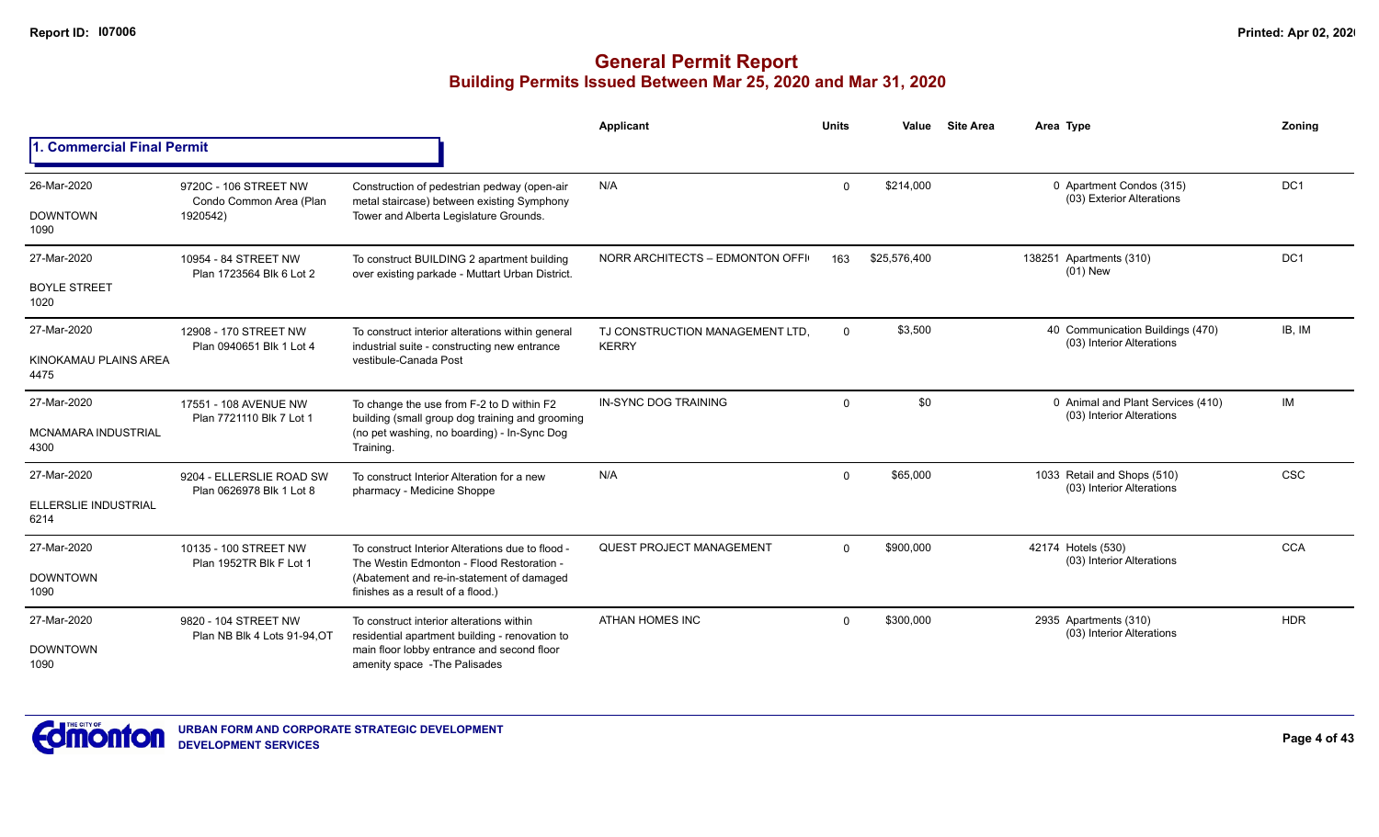|                                    |                                                              |                                                                                                                                     | <b>Applicant</b>                                | <b>Units</b> | Value        | <b>Site Area</b> | Area Type                                                      | Zoning     |
|------------------------------------|--------------------------------------------------------------|-------------------------------------------------------------------------------------------------------------------------------------|-------------------------------------------------|--------------|--------------|------------------|----------------------------------------------------------------|------------|
| 1. Commercial Final Permit         |                                                              |                                                                                                                                     |                                                 |              |              |                  |                                                                |            |
| 26-Mar-2020<br><b>DOWNTOWN</b>     | 9720C - 106 STREET NW<br>Condo Common Area (Plan<br>1920542) | Construction of pedestrian pedway (open-air<br>metal staircase) between existing Symphony<br>Tower and Alberta Legislature Grounds. | N/A                                             | $\Omega$     | \$214,000    |                  | 0 Apartment Condos (315)<br>(03) Exterior Alterations          | DC1        |
| 1090                               |                                                              |                                                                                                                                     |                                                 |              |              |                  |                                                                |            |
| 27-Mar-2020                        | 10954 - 84 STREET NW<br>Plan 1723564 Blk 6 Lot 2             | To construct BUILDING 2 apartment building<br>over existing parkade - Muttart Urban District.                                       | NORR ARCHITECTS - EDMONTON OFFI                 | 163          | \$25,576,400 |                  | 138251 Apartments (310)<br>$(01)$ New                          | DC1        |
| <b>BOYLE STREET</b><br>1020        |                                                              |                                                                                                                                     |                                                 |              |              |                  |                                                                |            |
| 27-Mar-2020                        | 12908 - 170 STREET NW<br>Plan 0940651 Blk 1 Lot 4            | To construct interior alterations within general<br>industrial suite - constructing new entrance                                    | TJ CONSTRUCTION MANAGEMENT LTD.<br><b>KERRY</b> | $\Omega$     | \$3,500      |                  | 40 Communication Buildings (470)<br>(03) Interior Alterations  | IB, IM     |
| KINOKAMAU PLAINS AREA<br>4475      |                                                              | vestibule-Canada Post                                                                                                               |                                                 |              |              |                  |                                                                |            |
| 27-Mar-2020                        | 17551 - 108 AVENUE NW<br>Plan 7721110 Blk 7 Lot 1            | To change the use from F-2 to D within F2<br>building (small group dog training and grooming                                        | IN-SYNC DOG TRAINING                            | $\mathbf 0$  | \$0          |                  | 0 Animal and Plant Services (410)<br>(03) Interior Alterations | IM         |
| <b>MCNAMARA INDUSTRIAL</b><br>4300 |                                                              | (no pet washing, no boarding) - In-Sync Dog<br>Training.                                                                            |                                                 |              |              |                  |                                                                |            |
| 27-Mar-2020                        | 9204 - ELLERSLIE ROAD SW<br>Plan 0626978 Blk 1 Lot 8         | To construct Interior Alteration for a new<br>pharmacy - Medicine Shoppe                                                            | N/A                                             | $\mathbf 0$  | \$65,000     |                  | 1033 Retail and Shops (510)<br>(03) Interior Alterations       | <b>CSC</b> |
| ELLERSLIE INDUSTRIAL<br>6214       |                                                              |                                                                                                                                     |                                                 |              |              |                  |                                                                |            |
| 27-Mar-2020                        | 10135 - 100 STREET NW                                        | To construct Interior Alterations due to flood -<br>The Westin Edmonton - Flood Restoration -                                       | <b>QUEST PROJECT MANAGEMENT</b>                 | $\Omega$     | \$900,000    |                  | 42174 Hotels (530)<br>(03) Interior Alterations                | <b>CCA</b> |
| <b>DOWNTOWN</b><br>1090            | Plan 1952TR Blk F Lot 1                                      | (Abatement and re-in-statement of damaged<br>finishes as a result of a flood.)                                                      |                                                 |              |              |                  |                                                                |            |
| 27-Mar-2020                        | 9820 - 104 STREET NW<br>Plan NB Blk 4 Lots 91-94.OT          | To construct interior alterations within<br>residential apartment building - renovation to                                          | <b>ATHAN HOMES INC</b>                          | $\Omega$     | \$300,000    |                  | 2935 Apartments (310)<br>(03) Interior Alterations             | <b>HDR</b> |
| <b>DOWNTOWN</b><br>1090            |                                                              | main floor lobby entrance and second floor<br>amenity space - The Palisades                                                         |                                                 |              |              |                  |                                                                |            |

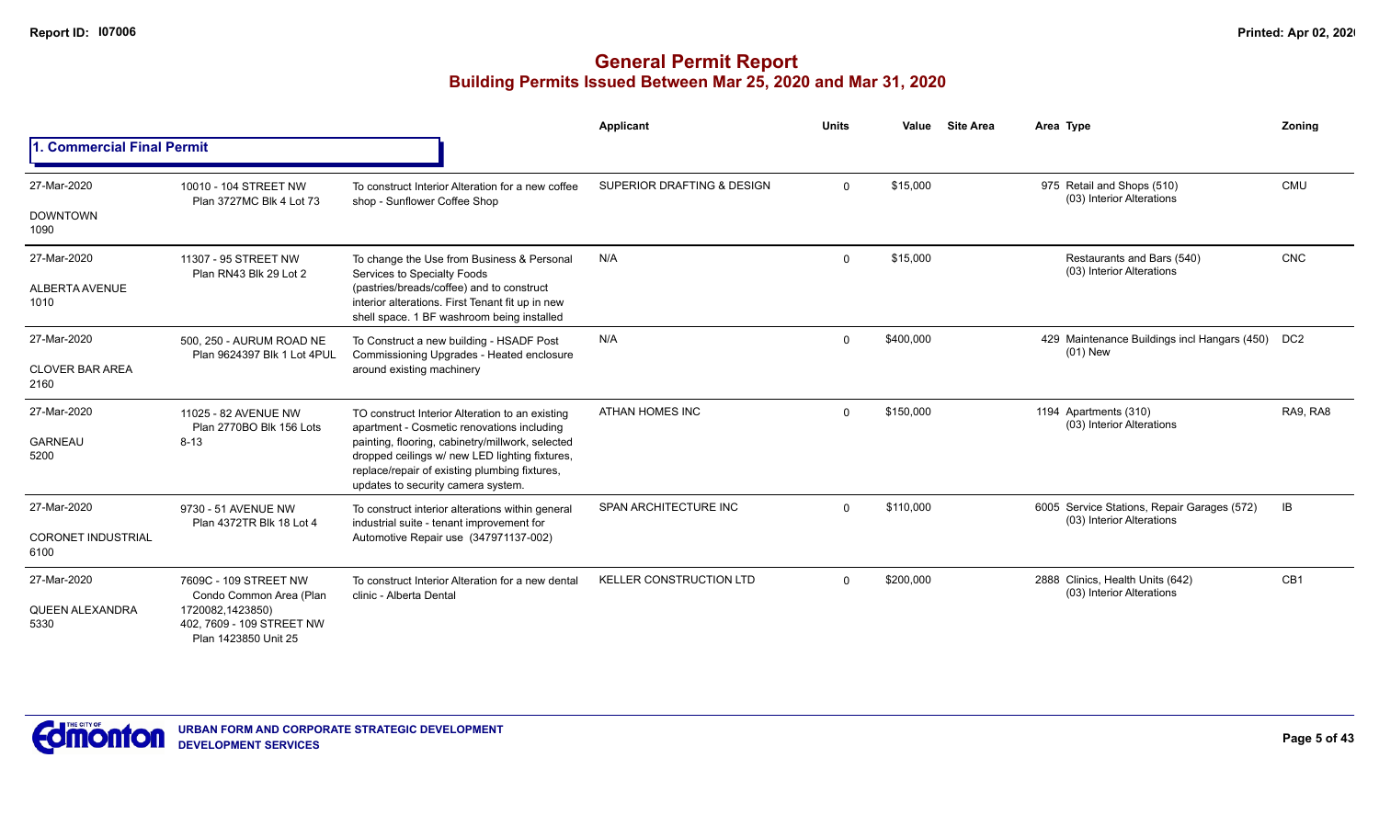|                                                  |                                                                                                                           |                                                                                                                                                                                                                                                                                            | <b>Applicant</b>               | <b>Units</b> | Value     | <b>Site Area</b> | Area Type                                                                | Zoning          |
|--------------------------------------------------|---------------------------------------------------------------------------------------------------------------------------|--------------------------------------------------------------------------------------------------------------------------------------------------------------------------------------------------------------------------------------------------------------------------------------------|--------------------------------|--------------|-----------|------------------|--------------------------------------------------------------------------|-----------------|
| 1. Commercial Final Permit                       |                                                                                                                           |                                                                                                                                                                                                                                                                                            |                                |              |           |                  |                                                                          |                 |
| 27-Mar-2020<br><b>DOWNTOWN</b><br>1090           | 10010 - 104 STREET NW<br>Plan 3727MC Blk 4 Lot 73                                                                         | To construct Interior Alteration for a new coffee<br>shop - Sunflower Coffee Shop                                                                                                                                                                                                          | SUPERIOR DRAFTING & DESIGN     | $\mathbf{0}$ | \$15,000  |                  | 975 Retail and Shops (510)<br>(03) Interior Alterations                  | <b>CMU</b>      |
| 27-Mar-2020<br><b>ALBERTA AVENUE</b><br>1010     | 11307 - 95 STREET NW<br>Plan RN43 Blk 29 Lot 2                                                                            | To change the Use from Business & Personal<br>Services to Specialty Foods<br>(pastries/breads/coffee) and to construct<br>interior alterations. First Tenant fit up in new<br>shell space. 1 BF washroom being installed                                                                   | N/A                            | $\mathbf{0}$ | \$15,000  |                  | Restaurants and Bars (540)<br>(03) Interior Alterations                  | CNC             |
| 27-Mar-2020<br><b>CLOVER BAR AREA</b><br>2160    | 500, 250 - AURUM ROAD NE<br>Plan 9624397 Blk 1 Lot 4PUL                                                                   | To Construct a new building - HSADF Post<br>Commissioning Upgrades - Heated enclosure<br>around existing machinery                                                                                                                                                                         | N/A                            | $\Omega$     | \$400,000 |                  | 429 Maintenance Buildings incl Hangars (450)<br>$(01)$ New               | DC <sub>2</sub> |
| 27-Mar-2020<br><b>GARNEAU</b><br>5200            | 11025 - 82 AVENUE NW<br>Plan 2770BO Blk 156 Lots<br>$8 - 13$                                                              | TO construct Interior Alteration to an existing<br>apartment - Cosmetic renovations including<br>painting, flooring, cabinetry/millwork, selected<br>dropped ceilings w/ new LED lighting fixtures,<br>replace/repair of existing plumbing fixtures,<br>updates to security camera system. | ATHAN HOMES INC                | $\Omega$     | \$150,000 |                  | 1194 Apartments (310)<br>(03) Interior Alterations                       | RA9, RA8        |
| 27-Mar-2020<br><b>CORONET INDUSTRIAL</b><br>6100 | 9730 - 51 AVENUE NW<br>Plan 4372TR Blk 18 Lot 4                                                                           | To construct interior alterations within general<br>industrial suite - tenant improvement for<br>Automotive Repair use (347971137-002)                                                                                                                                                     | SPAN ARCHITECTURE INC          | $\Omega$     | \$110,000 |                  | 6005 Service Stations, Repair Garages (572)<br>(03) Interior Alterations | IB              |
| 27-Mar-2020<br><b>QUEEN ALEXANDRA</b><br>5330    | 7609C - 109 STREET NW<br>Condo Common Area (Plan<br>1720082,1423850)<br>402, 7609 - 109 STREET NW<br>Plan 1423850 Unit 25 | To construct Interior Alteration for a new dental<br>clinic - Alberta Dental                                                                                                                                                                                                               | <b>KELLER CONSTRUCTION LTD</b> | $\Omega$     | \$200,000 |                  | 2888 Clinics, Health Units (642)<br>(03) Interior Alterations            | CB1             |

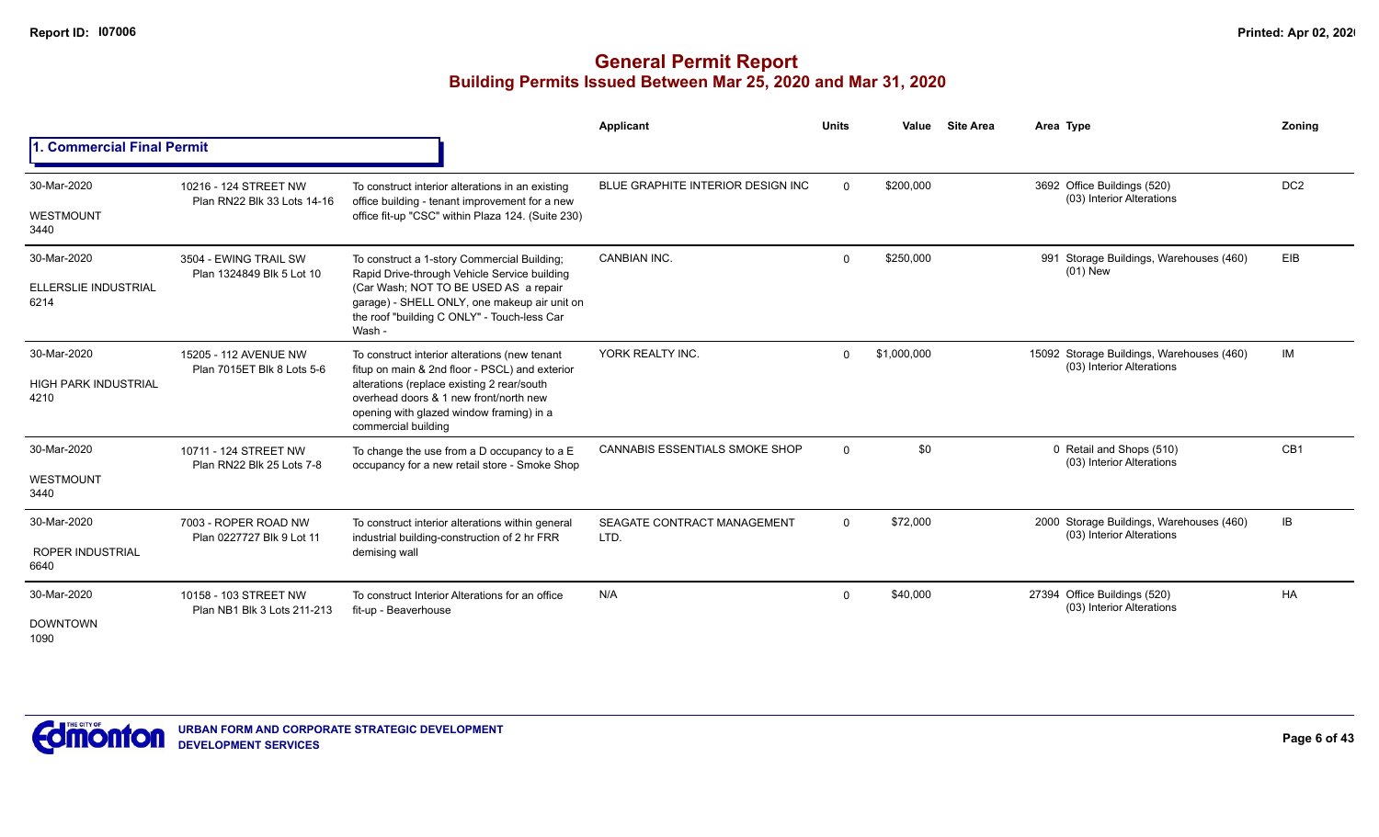|                                                    |                                                      |                                                                                                                                                                                                                                     | Applicant                             | <b>Units</b> | Value       | <b>Site Area</b> | Area Type                                                              | Zoning          |
|----------------------------------------------------|------------------------------------------------------|-------------------------------------------------------------------------------------------------------------------------------------------------------------------------------------------------------------------------------------|---------------------------------------|--------------|-------------|------------------|------------------------------------------------------------------------|-----------------|
| 1. Commercial Final Permit                         |                                                      |                                                                                                                                                                                                                                     |                                       |              |             |                  |                                                                        |                 |
| 30-Mar-2020                                        | 10216 - 124 STREET NW                                | To construct interior alterations in an existing                                                                                                                                                                                    | BLUE GRAPHITE INTERIOR DESIGN INC     | $\Omega$     | \$200,000   |                  | 3692 Office Buildings (520)<br>(03) Interior Alterations               | DC <sub>2</sub> |
| WESTMOUNT<br>3440                                  | Plan RN22 Blk 33 Lots 14-16                          | office building - tenant improvement for a new<br>office fit-up "CSC" within Plaza 124. (Suite 230)                                                                                                                                 |                                       |              |             |                  |                                                                        |                 |
| 30-Mar-2020                                        | 3504 - EWING TRAIL SW<br>Plan 1324849 Blk 5 Lot 10   | To construct a 1-story Commercial Building;<br>Rapid Drive-through Vehicle Service building                                                                                                                                         | CANBIAN INC.                          | $\Omega$     | \$250,000   |                  | Storage Buildings, Warehouses (460)<br>991<br>$(01)$ New               | <b>EIB</b>      |
| ELLERSLIE INDUSTRIAL<br>6214                       |                                                      | (Car Wash; NOT TO BE USED AS a repair<br>garage) - SHELL ONLY, one makeup air unit on<br>the roof "building C ONLY" - Touch-less Car<br>Wash -                                                                                      |                                       |              |             |                  |                                                                        |                 |
| 30-Mar-2020<br><b>HIGH PARK INDUSTRIAL</b><br>4210 | 15205 - 112 AVENUE NW<br>Plan 7015ET Blk 8 Lots 5-6  | To construct interior alterations (new tenant<br>fitup on main & 2nd floor - PSCL) and exterior<br>alterations (replace existing 2 rear/south<br>overhead doors & 1 new front/north new<br>opening with glazed window framing) in a | YORK REALTY INC.                      | $\Omega$     | \$1,000,000 |                  | 15092 Storage Buildings, Warehouses (460)<br>(03) Interior Alterations | IM              |
| 30-Mar-2020                                        | 10711 - 124 STREET NW                                | commercial building<br>To change the use from a D occupancy to a E                                                                                                                                                                  | <b>CANNABIS ESSENTIALS SMOKE SHOP</b> | $\Omega$     | \$0         |                  | 0 Retail and Shops (510)                                               | CB <sub>1</sub> |
| WESTMOUNT<br>3440                                  | Plan RN22 Blk 25 Lots 7-8                            | occupancy for a new retail store - Smoke Shop                                                                                                                                                                                       |                                       |              |             |                  | (03) Interior Alterations                                              |                 |
| 30-Mar-2020                                        | 7003 - ROPER ROAD NW                                 | To construct interior alterations within general                                                                                                                                                                                    | SEAGATE CONTRACT MANAGEMENT           | $\Omega$     | \$72,000    |                  | 2000 Storage Buildings, Warehouses (460)<br>(03) Interior Alterations  | IB              |
| <b>ROPER INDUSTRIAL</b><br>6640                    | Plan 0227727 Blk 9 Lot 11                            | industrial building-construction of 2 hr FRR<br>demising wall                                                                                                                                                                       | LTD.                                  |              |             |                  |                                                                        |                 |
| 30-Mar-2020                                        | 10158 - 103 STREET NW<br>Plan NB1 Blk 3 Lots 211-213 | To construct Interior Alterations for an office<br>fit-up - Beaverhouse                                                                                                                                                             | N/A                                   | $\Omega$     | \$40,000    |                  | 27394 Office Buildings (520)<br>(03) Interior Alterations              | HA              |
| <b>DOWNTOWN</b><br>1090                            |                                                      |                                                                                                                                                                                                                                     |                                       |              |             |                  |                                                                        |                 |

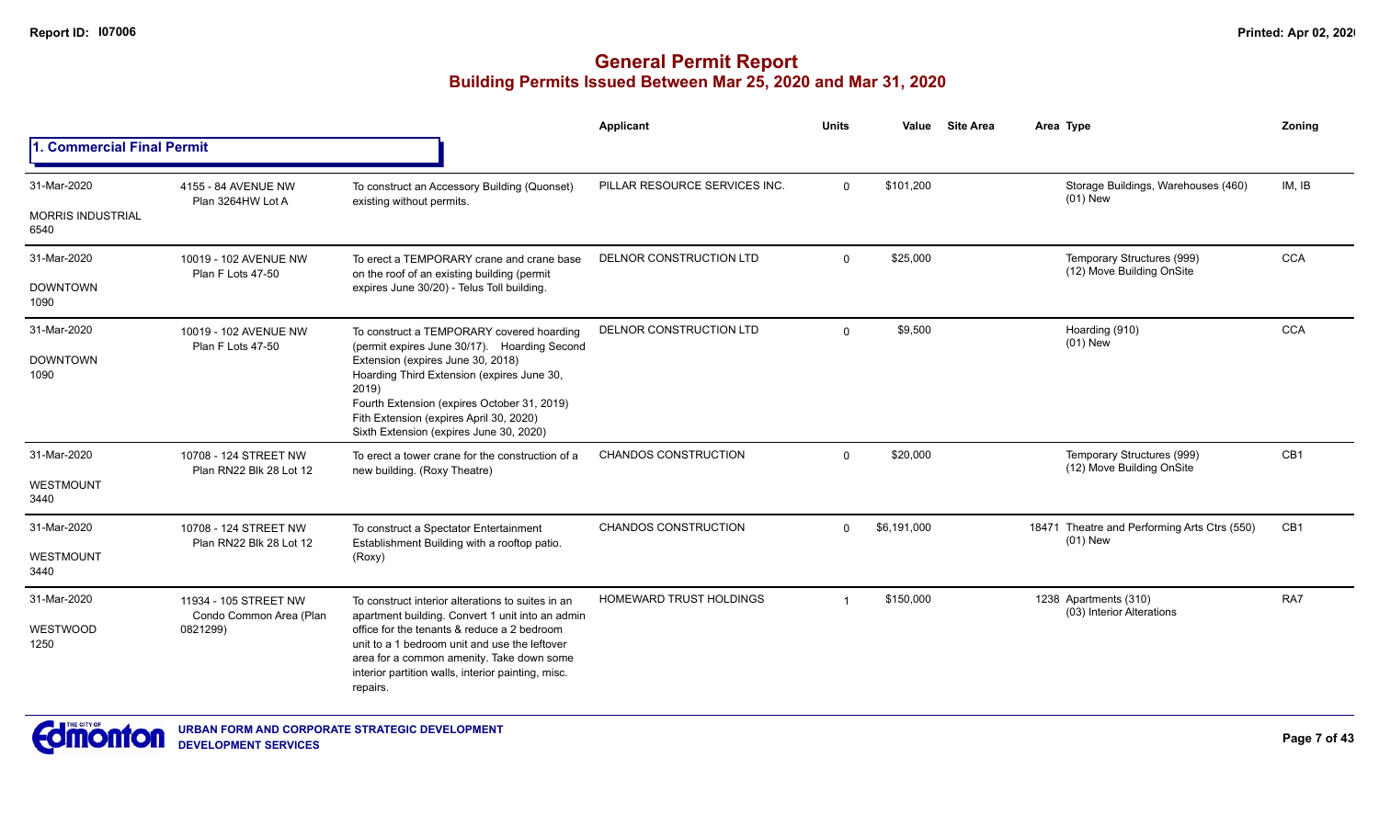|                                  |                                                  |                                                                                                                                                                                                                               | <b>Applicant</b>               | <b>Units</b>         | Value       | <b>Site Area</b>                                        | Area Type                                                  | Zoning                                                              |
|----------------------------------|--------------------------------------------------|-------------------------------------------------------------------------------------------------------------------------------------------------------------------------------------------------------------------------------|--------------------------------|----------------------|-------------|---------------------------------------------------------|------------------------------------------------------------|---------------------------------------------------------------------|
| 1. Commercial Final Permit       |                                                  |                                                                                                                                                                                                                               |                                |                      |             |                                                         |                                                            | IM, IB<br><b>CCA</b><br><b>CCA</b><br>CB <sub>1</sub><br>CB1<br>RA7 |
| 31-Mar-2020                      | 4155 - 84 AVENUE NW<br>Plan 3264HW Lot A         | To construct an Accessory Building (Quonset)                                                                                                                                                                                  | PILLAR RESOURCE SERVICES INC.  | $\mathbf 0$          | \$101,200   |                                                         | Storage Buildings, Warehouses (460)<br>$(01)$ New          |                                                                     |
| <b>MORRIS INDUSTRIAL</b><br>6540 |                                                  | existing without permits.                                                                                                                                                                                                     |                                |                      |             |                                                         |                                                            |                                                                     |
| 31-Mar-2020                      | 10019 - 102 AVENUE NW<br>Plan F Lots 47-50       | To erect a TEMPORARY crane and crane base<br>on the roof of an existing building (permit                                                                                                                                      | DELNOR CONSTRUCTION LTD        | \$25,000<br>$\Omega$ |             | Temporary Structures (999)<br>(12) Move Building OnSite |                                                            |                                                                     |
| <b>DOWNTOWN</b><br>1090          |                                                  | expires June 30/20) - Telus Toll building.                                                                                                                                                                                    |                                |                      |             |                                                         |                                                            |                                                                     |
| 31-Mar-2020                      | 10019 - 102 AVENUE NW<br>Plan F Lots 47-50       | To construct a TEMPORARY covered hoarding<br>(permit expires June 30/17). Hoarding Second                                                                                                                                     | DELNOR CONSTRUCTION LTD        | $\Omega$             | \$9,500     |                                                         | Hoarding (910)<br>$(01)$ New                               |                                                                     |
| <b>DOWNTOWN</b><br>1090          |                                                  | Extension (expires June 30, 2018)<br>Hoarding Third Extension (expires June 30,<br>2019)<br>Fourth Extension (expires October 31, 2019)<br>Fith Extension (expires April 30, 2020)<br>Sixth Extension (expires June 30, 2020) |                                |                      |             |                                                         |                                                            |                                                                     |
| 31-Mar-2020                      | 10708 - 124 STREET NW<br>Plan RN22 Blk 28 Lot 12 | To erect a tower crane for the construction of a<br>new building. (Roxy Theatre)                                                                                                                                              | <b>CHANDOS CONSTRUCTION</b>    | $\Omega$             | \$20,000    |                                                         | Temporary Structures (999)<br>(12) Move Building OnSite    |                                                                     |
| WESTMOUNT<br>3440                |                                                  |                                                                                                                                                                                                                               |                                |                      |             |                                                         |                                                            |                                                                     |
| 31-Mar-2020                      | 10708 - 124 STREET NW<br>Plan RN22 Blk 28 Lot 12 | To construct a Spectator Entertainment<br>Establishment Building with a rooftop patio.                                                                                                                                        | CHANDOS CONSTRUCTION           | $\Omega$             | \$6,191,000 |                                                         | 18471 Theatre and Performing Arts Ctrs (550)<br>$(01)$ New |                                                                     |
| WESTMOUNT<br>3440                |                                                  | (Roxy)                                                                                                                                                                                                                        |                                |                      |             |                                                         |                                                            |                                                                     |
| 31-Mar-2020                      | 11934 - 105 STREET NW<br>Condo Common Area (Plan | To construct interior alterations to suites in an<br>apartment building. Convert 1 unit into an admin                                                                                                                         | <b>HOMEWARD TRUST HOLDINGS</b> |                      | \$150,000   |                                                         | 1238 Apartments (310)<br>(03) Interior Alterations         |                                                                     |
| WESTWOOD<br>1250                 | 0821299)                                         | office for the tenants & reduce a 2 bedroom<br>unit to a 1 bedroom unit and use the leftover<br>area for a common amenity. Take down some<br>interior partition walls, interior painting, misc.<br>repairs.                   |                                |                      |             |                                                         |                                                            |                                                                     |

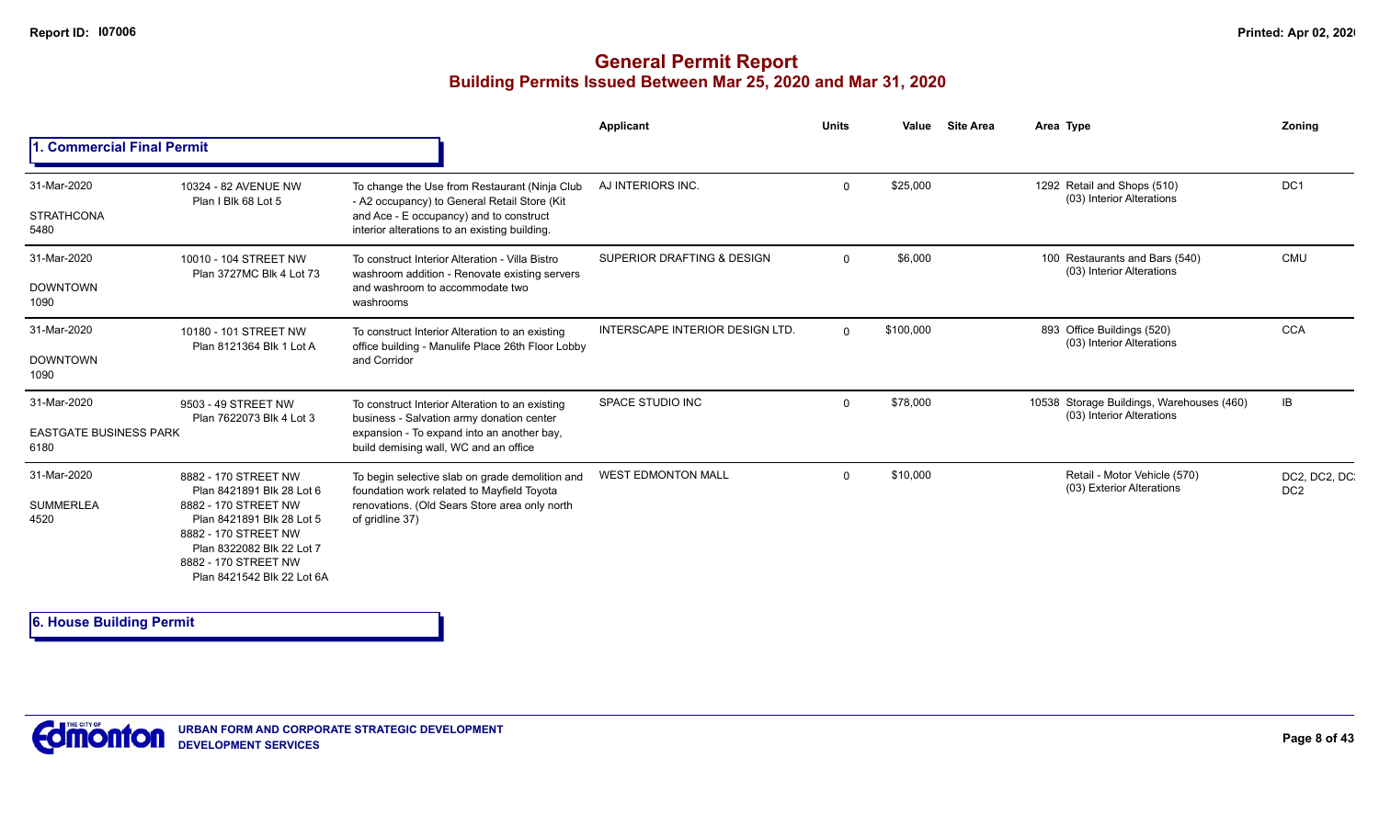#### **General Permit Report Building Permits Issued Between Mar 25, 2020 and Mar 31, 2020**

|                                                      |                                                                                                                                                                                                                   |                                                                                                                                                                                           | <b>Applicant</b>                       | <b>Units</b> | Value     | <b>Site Area</b> | Area Type                                                              | Zonina                           |
|------------------------------------------------------|-------------------------------------------------------------------------------------------------------------------------------------------------------------------------------------------------------------------|-------------------------------------------------------------------------------------------------------------------------------------------------------------------------------------------|----------------------------------------|--------------|-----------|------------------|------------------------------------------------------------------------|----------------------------------|
| 1. Commercial Final Permit                           |                                                                                                                                                                                                                   |                                                                                                                                                                                           |                                        |              |           |                  |                                                                        |                                  |
| 31-Mar-2020<br><b>STRATHCONA</b><br>5480             | 10324 - 82 AVENUE NW<br>Plan I Blk 68 Lot 5                                                                                                                                                                       | To change the Use from Restaurant (Ninja Club<br>- A2 occupancy) to General Retail Store (Kit<br>and Ace - E occupancy) and to construct<br>interior alterations to an existing building. | AJ INTERIORS INC.                      | $\Omega$     | \$25,000  |                  | 1292 Retail and Shops (510)<br>(03) Interior Alterations               | DC <sub>1</sub>                  |
| 31-Mar-2020<br><b>DOWNTOWN</b><br>1090               | 10010 - 104 STREET NW<br>Plan 3727MC Blk 4 Lot 73                                                                                                                                                                 | To construct Interior Alteration - Villa Bistro<br>washroom addition - Renovate existing servers<br>and washroom to accommodate two<br>washrooms                                          | SUPERIOR DRAFTING & DESIGN             | $\Omega$     | \$6,000   |                  | 100 Restaurants and Bars (540)<br>(03) Interior Alterations            | <b>CMU</b>                       |
| 31-Mar-2020<br><b>DOWNTOWN</b><br>1090               | 10180 - 101 STREET NW<br>Plan 8121364 Blk 1 Lot A                                                                                                                                                                 | To construct Interior Alteration to an existing<br>office building - Manulife Place 26th Floor Lobby<br>and Corridor                                                                      | <b>INTERSCAPE INTERIOR DESIGN LTD.</b> | $\Omega$     | \$100,000 |                  | 893 Office Buildings (520)<br>(03) Interior Alterations                | <b>CCA</b>                       |
| 31-Mar-2020<br><b>EASTGATE BUSINESS PARK</b><br>6180 | 9503 - 49 STREET NW<br>Plan 7622073 Blk 4 Lot 3                                                                                                                                                                   | To construct Interior Alteration to an existing<br>business - Salvation army donation center<br>expansion - To expand into an another bay,<br>build demising wall, WC and an office       | SPACE STUDIO INC                       | $\Omega$     | \$78,000  |                  | 10538 Storage Buildings, Warehouses (460)<br>(03) Interior Alterations | IB                               |
| 31-Mar-2020<br><b>SUMMERLEA</b><br>4520              | 8882 - 170 STREET NW<br>Plan 8421891 Blk 28 Lot 6<br>8882 - 170 STREET NW<br>Plan 8421891 Blk 28 Lot 5<br>8882 - 170 STREET NW<br>Plan 8322082 Blk 22 Lot 7<br>8882 - 170 STREET NW<br>Plan 8421542 Blk 22 Lot 6A | To begin selective slab on grade demolition and<br>foundation work related to Mayfield Toyota<br>renovations. (Old Sears Store area only north<br>of gridline 37)                         | <b>WEST EDMONTON MALL</b>              | $\Omega$     | \$10,000  |                  | Retail - Motor Vehicle (570)<br>(03) Exterior Alterations              | DC2, DC2, DC.<br>DC <sub>2</sub> |

**6. House Building Permit**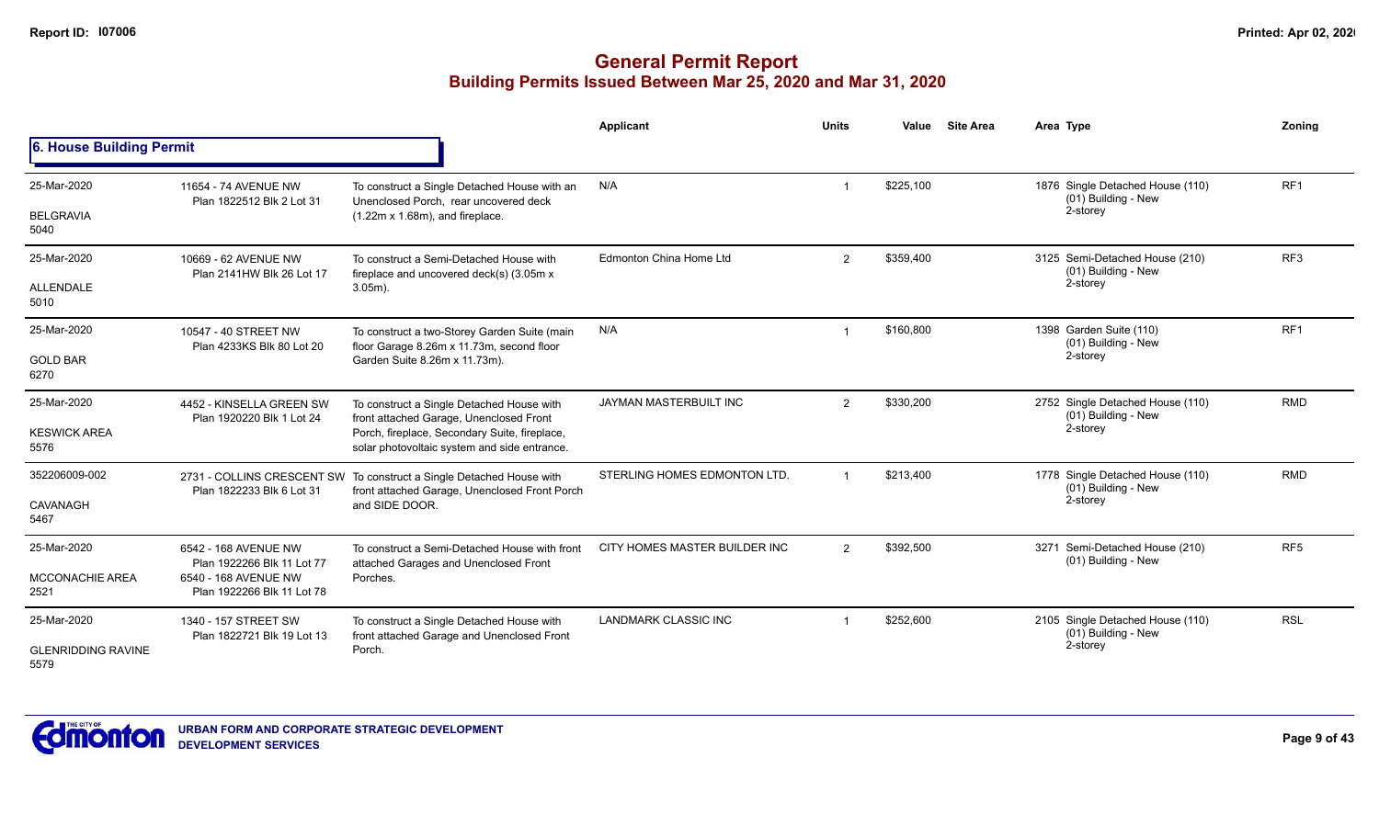|                                   |                                                                                  |                                                                                                                                  | <b>Applicant</b>              | <b>Units</b>   | Value     | <b>Site Area</b> | Area Type                                                           | Zonina          |
|-----------------------------------|----------------------------------------------------------------------------------|----------------------------------------------------------------------------------------------------------------------------------|-------------------------------|----------------|-----------|------------------|---------------------------------------------------------------------|-----------------|
| 6. House Building Permit          |                                                                                  |                                                                                                                                  |                               |                |           |                  |                                                                     |                 |
| 25-Mar-2020<br><b>BELGRAVIA</b>   | 11654 - 74 AVENUE NW<br>Plan 1822512 Blk 2 Lot 31                                | To construct a Single Detached House with an<br>Unenclosed Porch. rear uncovered deck<br>$(1.22m \times 1.68m)$ , and fireplace. | N/A                           |                | \$225,100 |                  | 1876 Single Detached House (110)<br>(01) Building - New<br>2-storey | RF <sub>1</sub> |
| 5040                              |                                                                                  |                                                                                                                                  |                               |                |           |                  |                                                                     |                 |
| 25-Mar-2020<br>ALLENDALE          | 10669 - 62 AVENUE NW<br>Plan 2141HW Blk 26 Lot 17                                | To construct a Semi-Detached House with<br>fireplace and uncovered deck(s) (3.05m x<br>$3.05m$ ).                                | Edmonton China Home Ltd       | $\overline{2}$ | \$359,400 |                  | 3125 Semi-Detached House (210)<br>(01) Building - New<br>2-storey   | RF <sub>3</sub> |
| 5010                              |                                                                                  |                                                                                                                                  |                               |                |           |                  |                                                                     |                 |
| 25-Mar-2020                       | 10547 - 40 STREET NW<br>Plan 4233KS Blk 80 Lot 20                                | To construct a two-Storey Garden Suite (main<br>floor Garage 8.26m x 11.73m, second floor                                        | N/A                           | -1             | \$160,800 |                  | 1398 Garden Suite (110)<br>(01) Building - New                      | RF <sub>1</sub> |
| <b>GOLD BAR</b><br>6270           |                                                                                  | Garden Suite 8.26m x 11.73m).                                                                                                    |                               |                |           |                  | 2-storey                                                            |                 |
| 25-Mar-2020                       | 4452 - KINSELLA GREEN SW<br>Plan 1920220 Blk 1 Lot 24                            | To construct a Single Detached House with<br>front attached Garage, Unenclosed Front                                             | JAYMAN MASTERBUILT INC        | $\overline{2}$ | \$330,200 |                  | 2752 Single Detached House (110)<br>(01) Building - New             | RMD             |
| <b>KESWICK AREA</b><br>5576       |                                                                                  | Porch, fireplace, Secondary Suite, fireplace,<br>solar photovoltaic system and side entrance.                                    |                               |                |           | 2-storey         |                                                                     |                 |
| 352206009-002                     | Plan 1822233 Blk 6 Lot 31                                                        | 2731 - COLLINS CRESCENT SW To construct a Single Detached House with<br>front attached Garage, Unenclosed Front Porch            | STERLING HOMES EDMONTON LTD.  | $\overline{1}$ | \$213,400 |                  | 1778 Single Detached House (110)<br>(01) Building - New             | <b>RMD</b>      |
| CAVANAGH<br>5467                  |                                                                                  | and SIDE DOOR.                                                                                                                   |                               |                |           |                  | 2-storey                                                            |                 |
| 25-Mar-2020                       | 6542 - 168 AVENUE NW                                                             | To construct a Semi-Detached House with front                                                                                    | CITY HOMES MASTER BUILDER INC | $\overline{2}$ | \$392,500 |                  | 3271 Semi-Detached House (210)<br>(01) Building - New               | RF <sub>5</sub> |
| <b>MCCONACHIE AREA</b><br>2521    | Plan 1922266 Blk 11 Lot 77<br>6540 - 168 AVENUE NW<br>Plan 1922266 Blk 11 Lot 78 | attached Garages and Unenclosed Front<br>Porches.                                                                                |                               |                |           |                  |                                                                     |                 |
| 25-Mar-2020                       | 1340 - 157 STREET SW<br>Plan 1822721 Blk 19 Lot 13                               | To construct a Single Detached House with<br>front attached Garage and Unenclosed Front                                          | <b>LANDMARK CLASSIC INC</b>   |                | \$252,600 |                  | 2105 Single Detached House (110)<br>(01) Building - New             | <b>RSL</b>      |
| <b>GLENRIDDING RAVINE</b><br>5579 |                                                                                  | Porch.                                                                                                                           |                               |                |           |                  | 2-storey                                                            |                 |

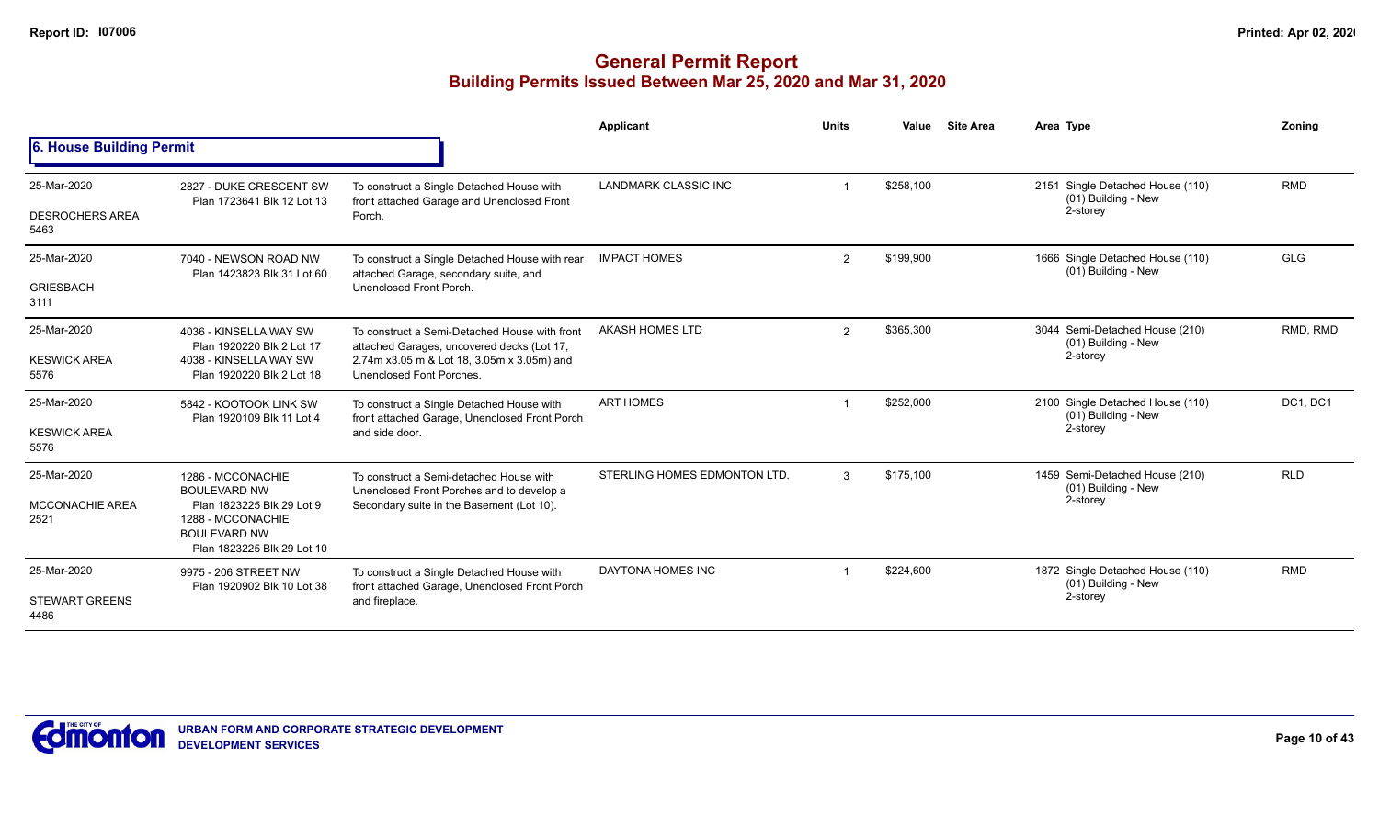|                                |                                                                                                     |                                                                                             | <b>Applicant</b>             | <b>Units</b> | Value     | <b>Site Area</b> | Area Type                                               | Zoning                            |
|--------------------------------|-----------------------------------------------------------------------------------------------------|---------------------------------------------------------------------------------------------|------------------------------|--------------|-----------|------------------|---------------------------------------------------------|-----------------------------------|
| 6. House Building Permit       |                                                                                                     |                                                                                             |                              |              |           |                  |                                                         |                                   |
| 25-Mar-2020                    | 2827 - DUKE CRESCENT SW                                                                             | To construct a Single Detached House with                                                   | <b>LANDMARK CLASSIC INC</b>  |              | \$258,100 |                  | 2151 Single Detached House (110)<br>(01) Building - New | <b>RMD</b>                        |
| <b>DESROCHERS AREA</b><br>5463 | Plan 1723641 Blk 12 Lot 13                                                                          | front attached Garage and Unenclosed Front<br>Porch.                                        |                              |              |           |                  | 2-storey                                                |                                   |
| 25-Mar-2020                    | 7040 - NEWSON ROAD NW<br>Plan 1423823 Blk 31 Lot 60                                                 | To construct a Single Detached House with rear<br>attached Garage, secondary suite, and     | <b>IMPACT HOMES</b>          | 2            | \$199.900 |                  | 1666 Single Detached House (110)<br>(01) Building - New | <b>GLG</b>                        |
| <b>GRIESBACH</b><br>3111       |                                                                                                     | Unenclosed Front Porch.                                                                     |                              |              |           |                  |                                                         |                                   |
| 25-Mar-2020                    | 4036 - KINSELLA WAY SW<br>Plan 1920220 Blk 2 Lot 17                                                 | To construct a Semi-Detached House with front<br>attached Garages, uncovered decks (Lot 17, | AKASH HOMES LTD              | 2            | \$365,300 |                  | 3044 Semi-Detached House (210)<br>(01) Building - New   | RMD, RMD                          |
| <b>KESWICK AREA</b><br>5576    | 4038 - KINSELLA WAY SW<br>Plan 1920220 Blk 2 Lot 18                                                 | 2.74m x3.05 m & Lot 18, 3.05m x 3.05m) and<br>Unenclosed Font Porches.                      |                              |              |           |                  | 2-storey                                                |                                   |
| 25-Mar-2020                    | 5842 - KOOTOOK LINK SW<br>Plan 1920109 Blk 11 Lot 4                                                 | To construct a Single Detached House with<br>front attached Garage, Unenclosed Front Porch  | <b>ART HOMES</b>             |              | \$252,000 |                  | 2100 Single Detached House (110)<br>(01) Building - New | DC <sub>1</sub> , DC <sub>1</sub> |
| <b>KESWICK AREA</b><br>5576    |                                                                                                     | and side door.                                                                              |                              |              |           |                  | 2-storey                                                |                                   |
| 25-Mar-2020                    | 1286 - MCCONACHIE<br><b>BOULEVARD NW</b>                                                            | To construct a Semi-detached House with<br>Unenclosed Front Porches and to develop a        | STERLING HOMES EDMONTON LTD. | $\mathbf{3}$ | \$175,100 |                  | 1459 Semi-Detached House (210)<br>(01) Building - New   | <b>RLD</b>                        |
| <b>MCCONACHIE AREA</b><br>2521 | Plan 1823225 Blk 29 Lot 9<br>1288 - MCCONACHIE<br><b>BOULEVARD NW</b><br>Plan 1823225 Blk 29 Lot 10 | Secondary suite in the Basement (Lot 10).                                                   |                              |              |           |                  | 2-storey                                                |                                   |
| 25-Mar-2020                    | 9975 - 206 STREET NW<br>Plan 1920902 Blk 10 Lot 38                                                  | To construct a Single Detached House with<br>front attached Garage, Unenclosed Front Porch  | DAYTONA HOMES INC            |              | \$224,600 |                  | 1872 Single Detached House (110)<br>(01) Building - New | <b>RMD</b>                        |
| <b>STEWART GREENS</b><br>4486  |                                                                                                     | and fireplace.                                                                              |                              |              |           |                  | 2-storey                                                |                                   |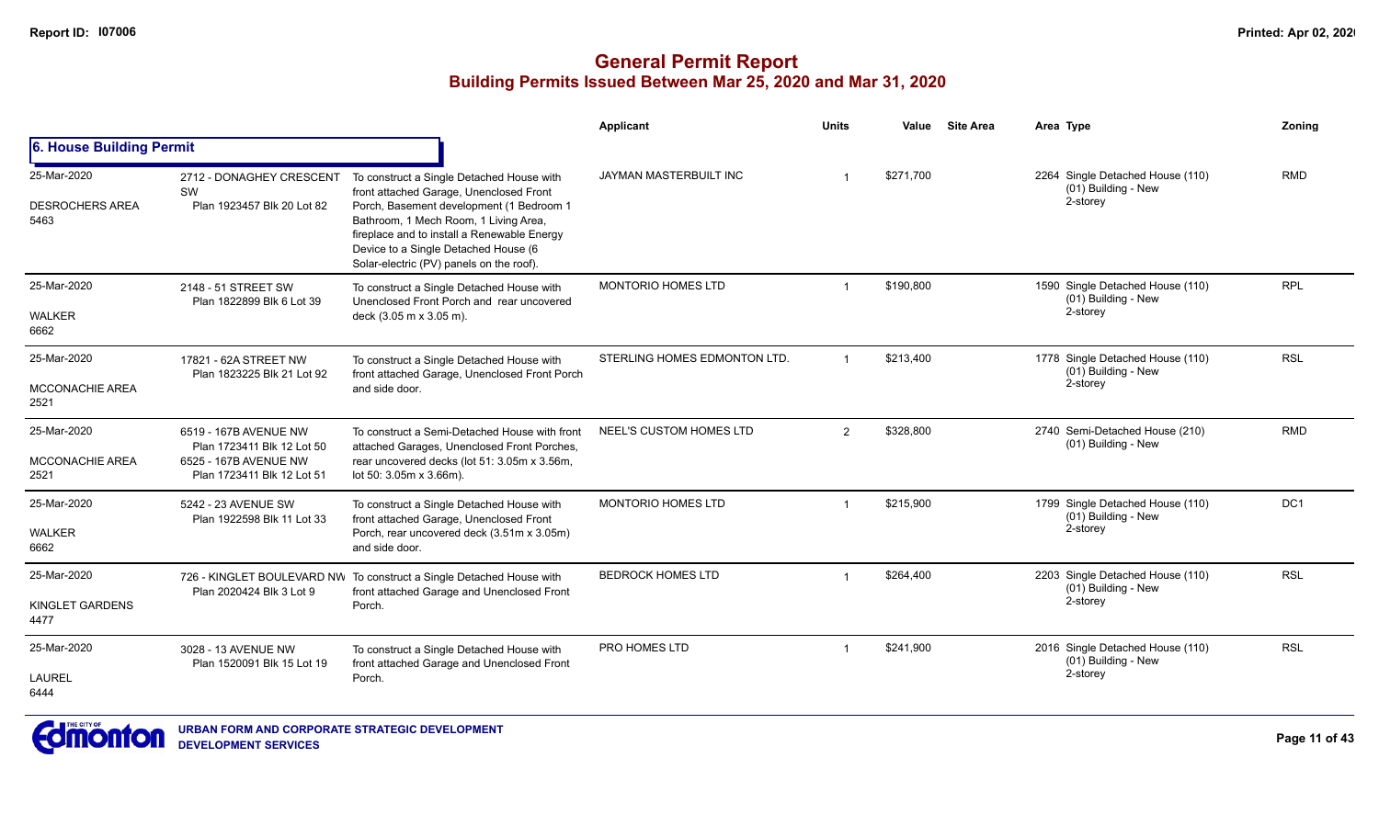|                                               |                                                                                                            |                                                                                                                                                                                                                                                                                                              | Applicant                    | <b>Units</b>   | Value     | <b>Site Area</b> | Area Type                                                             | Zonina     |
|-----------------------------------------------|------------------------------------------------------------------------------------------------------------|--------------------------------------------------------------------------------------------------------------------------------------------------------------------------------------------------------------------------------------------------------------------------------------------------------------|------------------------------|----------------|-----------|------------------|-----------------------------------------------------------------------|------------|
| 6. House Building Permit                      |                                                                                                            |                                                                                                                                                                                                                                                                                                              |                              |                |           |                  |                                                                       |            |
| 25-Mar-2020<br><b>DESROCHERS AREA</b><br>5463 | 2712 - DONAGHEY CRESCENT<br>SW<br>Plan 1923457 Blk 20 Lot 82                                               | To construct a Single Detached House with<br>front attached Garage, Unenclosed Front<br>Porch, Basement development (1 Bedroom 1<br>Bathroom, 1 Mech Room, 1 Living Area,<br>fireplace and to install a Renewable Energy<br>Device to a Single Detached House (6<br>Solar-electric (PV) panels on the roof). | JAYMAN MASTERBUILT INC       |                | \$271.700 |                  | 2264 Single Detached House (110)<br>(01) Building - New<br>2-storey   | <b>RMD</b> |
| 25-Mar-2020<br><b>WALKER</b><br>6662          | 2148 - 51 STREET SW<br>Plan 1822899 Blk 6 Lot 39                                                           | To construct a Single Detached House with<br>Unenclosed Front Porch and rear uncovered<br>deck (3.05 m x 3.05 m).                                                                                                                                                                                            | MONTORIO HOMES LTD           |                | \$190,800 |                  | 1590 Single Detached House (110)<br>(01) Building - New<br>2-storey   | <b>RPL</b> |
| 25-Mar-2020<br><b>MCCONACHIE AREA</b><br>2521 | 17821 - 62A STREET NW<br>Plan 1823225 Blk 21 Lot 92                                                        | To construct a Single Detached House with<br>front attached Garage, Unenclosed Front Porch<br>and side door.                                                                                                                                                                                                 | STERLING HOMES EDMONTON LTD. |                | \$213.400 |                  | 1778 Single Detached House (110)<br>(01) Building - New<br>2-storey   | <b>RSL</b> |
| 25-Mar-2020<br>MCCONACHIE AREA<br>2521        | 6519 - 167B AVENUE NW<br>Plan 1723411 Blk 12 Lot 50<br>6525 - 167B AVENUE NW<br>Plan 1723411 Blk 12 Lot 51 | To construct a Semi-Detached House with front<br>attached Garages, Unenclosed Front Porches,<br>rear uncovered decks (lot 51: 3.05m x 3.56m,<br>lot 50: 3.05m x 3.66m).                                                                                                                                      | NEEL'S CUSTOM HOMES LTD      | $\overline{2}$ | \$328,800 |                  | 2740 Semi-Detached House (210)<br>(01) Building - New                 | <b>RMD</b> |
| 25-Mar-2020<br><b>WALKER</b><br>6662          | 5242 - 23 AVENUE SW<br>Plan 1922598 Blk 11 Lot 33                                                          | To construct a Single Detached House with<br>front attached Garage, Unenclosed Front<br>Porch, rear uncovered deck (3.51m x 3.05m)<br>and side door.                                                                                                                                                         | MONTORIO HOMES LTD           |                | \$215,900 |                  | 1799 Single Detached House (110)<br>$(01)$ Building - New<br>2-storey | DC1        |
| 25-Mar-2020<br>KINGLET GARDENS<br>4477        | Plan 2020424 Blk 3 Lot 9                                                                                   | 726 - KINGLET BOULEVARD NW To construct a Single Detached House with<br>front attached Garage and Unenclosed Front<br>Porch.                                                                                                                                                                                 | <b>BEDROCK HOMES LTD</b>     |                | \$264,400 |                  | 2203 Single Detached House (110)<br>(01) Building - New<br>2-storey   | <b>RSL</b> |
| 25-Mar-2020<br><b>LAUREL</b><br>6444          | 3028 - 13 AVENUE NW<br>Plan 1520091 Blk 15 Lot 19                                                          | To construct a Single Detached House with<br>front attached Garage and Unenclosed Front<br>Porch.                                                                                                                                                                                                            | <b>PRO HOMES LTD</b>         |                | \$241,900 |                  | 2016 Single Detached House (110)<br>(01) Building - New<br>2-storey   | <b>RSL</b> |

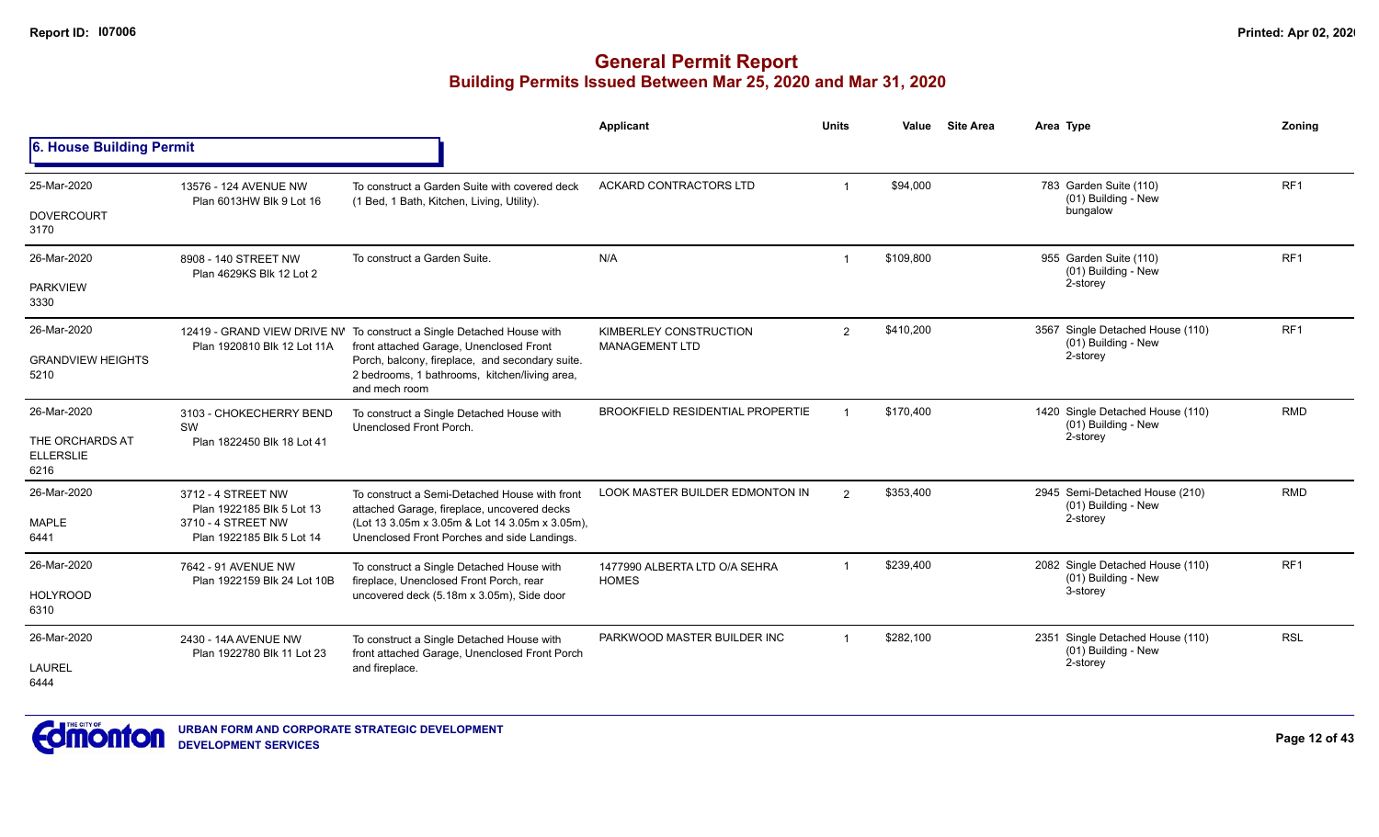#### **General Permit Report Building Permits Issued Between Mar 25, 2020 and Mar 31, 2020**

|                                             |                                                    |                                                                                                                   | Applicant                                       | Units                   | Value     | <b>Site Area</b> | Area Type                                               | Zoning          |
|---------------------------------------------|----------------------------------------------------|-------------------------------------------------------------------------------------------------------------------|-------------------------------------------------|-------------------------|-----------|------------------|---------------------------------------------------------|-----------------|
| 6. House Building Permit                    |                                                    |                                                                                                                   |                                                 |                         |           |                  |                                                         |                 |
| 25-Mar-2020                                 | 13576 - 124 AVENUE NW<br>Plan 6013HW Blk 9 Lot 16  | To construct a Garden Suite with covered deck<br>(1 Bed, 1 Bath, Kitchen, Living, Utility).                       | ACKARD CONTRACTORS LTD                          |                         | \$94,000  |                  | 783 Garden Suite (110)<br>(01) Building - New           | RF1             |
| <b>DOVERCOURT</b><br>3170                   |                                                    |                                                                                                                   |                                                 |                         |           |                  | bungalow                                                |                 |
| 26-Mar-2020                                 | 8908 - 140 STREET NW<br>Plan 4629KS Blk 12 Lot 2   | To construct a Garden Suite.                                                                                      | N/A                                             | $\overline{\mathbf{1}}$ | \$109,800 |                  | 955 Garden Suite (110)<br>(01) Building - New           | RF <sub>1</sub> |
| <b>PARKVIEW</b><br>3330                     |                                                    |                                                                                                                   |                                                 |                         |           |                  | 2-storey                                                |                 |
| 26-Mar-2020                                 | Plan 1920810 Blk 12 Lot 11A                        | 12419 - GRAND VIEW DRIVE NV To construct a Single Detached House with<br>front attached Garage, Unenclosed Front  | KIMBERLEY CONSTRUCTION<br><b>MANAGEMENT LTD</b> | $\overline{2}$          | \$410,200 |                  | 3567 Single Detached House (110)<br>(01) Building - New | RF <sub>1</sub> |
| <b>GRANDVIEW HEIGHTS</b><br>5210            |                                                    | Porch, balcony, fireplace, and secondary suite.<br>2 bedrooms, 1 bathrooms, kitchen/living area,<br>and mech room |                                                 |                         |           |                  | 2-storey                                                |                 |
| 26-Mar-2020                                 | 3103 - CHOKECHERRY BEND<br>SW                      | To construct a Single Detached House with<br>Unenclosed Front Porch.                                              | BROOKFIELD RESIDENTIAL PROPERTIE                |                         | \$170,400 |                  | 1420 Single Detached House (110)<br>(01) Building - New | <b>RMD</b>      |
| THE ORCHARDS AT<br><b>ELLERSLIE</b><br>6216 | Plan 1822450 Blk 18 Lot 41                         |                                                                                                                   |                                                 |                         |           |                  | 2-storey                                                |                 |
| 26-Mar-2020                                 | 3712 - 4 STREET NW<br>Plan 1922185 Blk 5 Lot 13    | To construct a Semi-Detached House with front<br>attached Garage, fireplace, uncovered decks                      | <b>LOOK MASTER BUILDER EDMONTON IN</b>          | $\overline{2}$          | \$353,400 |                  | 2945 Semi-Detached House (210)<br>(01) Building - New   | <b>RMD</b>      |
| <b>MAPLE</b><br>6441                        | 3710 - 4 STREET NW<br>Plan 1922185 Blk 5 Lot 14    | (Lot 13 3.05m x 3.05m & Lot 14 3.05m x 3.05m),<br>Unenclosed Front Porches and side Landings.                     |                                                 |                         |           |                  | 2-storey                                                |                 |
| 26-Mar-2020                                 | 7642 - 91 AVENUE NW                                | To construct a Single Detached House with<br>fireplace, Unenclosed Front Porch, rear                              | 1477990 ALBERTA LTD O/A SEHRA<br><b>HOMES</b>   |                         | \$239,400 |                  | 2082 Single Detached House (110)<br>(01) Building - New | RF <sub>1</sub> |
| <b>HOLYROOD</b><br>6310                     | Plan 1922159 Blk 24 Lot 10B                        | uncovered deck (5.18m x 3.05m), Side door                                                                         |                                                 |                         |           |                  | 3-storey                                                |                 |
| 26-Mar-2020                                 | 2430 - 14A AVENUE NW<br>Plan 1922780 Blk 11 Lot 23 | To construct a Single Detached House with<br>front attached Garage, Unenclosed Front Porch                        | PARKWOOD MASTER BUILDER INC                     |                         | \$282,100 |                  | 2351 Single Detached House (110)<br>(01) Building - New | <b>RSL</b>      |
| LAUREL<br>6444                              |                                                    | and fireplace.                                                                                                    |                                                 |                         |           |                  | 2-storey                                                |                 |

**URBAN FORM AND CORPORATE STRATEGIC DEVELOPMENT**

**DEVELOPMENT SERVICES**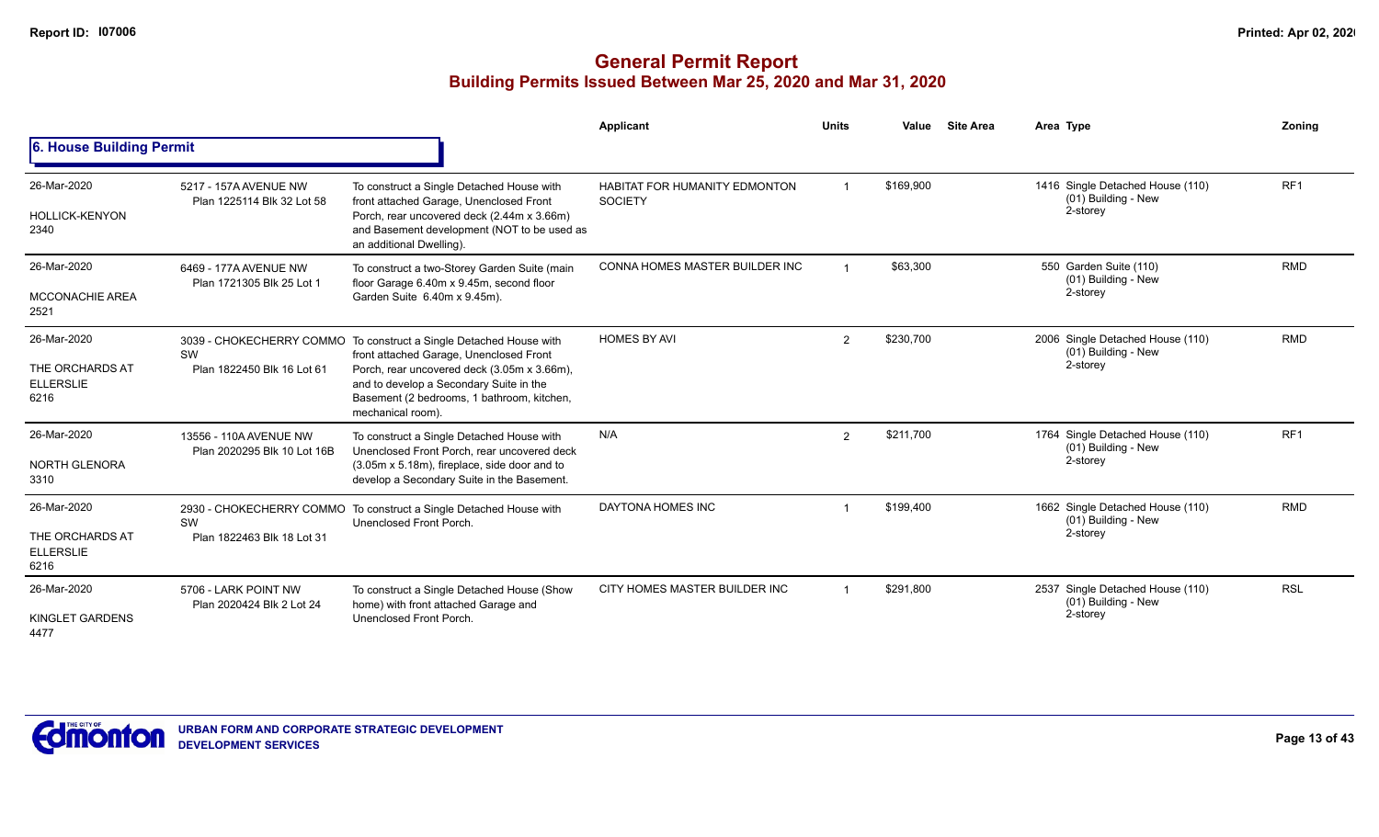|                                                            |                                                       |                                                                                                                                                                                                                                                                            | Applicant                                              | <b>Units</b> | Value     | <b>Site Area</b> | Area Type                                                           | Zoning          |
|------------------------------------------------------------|-------------------------------------------------------|----------------------------------------------------------------------------------------------------------------------------------------------------------------------------------------------------------------------------------------------------------------------------|--------------------------------------------------------|--------------|-----------|------------------|---------------------------------------------------------------------|-----------------|
| 6. House Building Permit                                   |                                                       |                                                                                                                                                                                                                                                                            |                                                        |              |           |                  |                                                                     |                 |
| 26-Mar-2020<br><b>HOLLICK-KENYON</b><br>2340               | 5217 - 157A AVENUE NW<br>Plan 1225114 Blk 32 Lot 58   | To construct a Single Detached House with<br>front attached Garage, Unenclosed Front<br>Porch, rear uncovered deck (2.44m x 3.66m)<br>and Basement development (NOT to be used as<br>an additional Dwelling).                                                              | <b>HABITAT FOR HUMANITY EDMONTON</b><br><b>SOCIETY</b> |              | \$169,900 |                  | 1416 Single Detached House (110)<br>(01) Building - New<br>2-storey | RF <sub>1</sub> |
| 26-Mar-2020<br><b>MCCONACHIE AREA</b><br>2521              | 6469 - 177A AVENUE NW<br>Plan 1721305 Blk 25 Lot 1    | To construct a two-Storey Garden Suite (main<br>floor Garage 6.40m x 9.45m, second floor<br>Garden Suite 6.40m x 9.45m).                                                                                                                                                   | CONNA HOMES MASTER BUILDER INC                         |              | \$63,300  |                  | 550 Garden Suite (110)<br>(01) Building - New<br>2-storey           | <b>RMD</b>      |
| 26-Mar-2020<br>THE ORCHARDS AT<br><b>ELLERSLIE</b><br>6216 | SW<br>Plan 1822450 Blk 16 Lot 61                      | 3039 - CHOKECHERRY COMMO To construct a Single Detached House with<br>front attached Garage, Unenclosed Front<br>Porch, rear uncovered deck (3.05m x 3.66m),<br>and to develop a Secondary Suite in the<br>Basement (2 bedrooms, 1 bathroom, kitchen,<br>mechanical room). | <b>HOMES BY AVI</b>                                    | 2            | \$230,700 |                  | 2006 Single Detached House (110)<br>(01) Building - New<br>2-storey | <b>RMD</b>      |
| 26-Mar-2020<br>NORTH GLENORA<br>3310                       | 13556 - 110A AVENUE NW<br>Plan 2020295 Blk 10 Lot 16B | To construct a Single Detached House with<br>Unenclosed Front Porch, rear uncovered deck<br>(3.05m x 5.18m), fireplace, side door and to<br>develop a Secondary Suite in the Basement.                                                                                     | N/A                                                    | 2            | \$211,700 |                  | 1764 Single Detached House (110)<br>(01) Building - New<br>2-storey | RF <sub>1</sub> |
| 26-Mar-2020<br>THE ORCHARDS AT<br><b>ELLERSLIE</b><br>6216 | SW<br>Plan 1822463 Blk 18 Lot 31                      | 2930 - CHOKECHERRY COMMO To construct a Single Detached House with<br>Unenclosed Front Porch.                                                                                                                                                                              | DAYTONA HOMES INC                                      |              | \$199,400 |                  | 1662 Single Detached House (110)<br>(01) Building - New<br>2-storey | <b>RMD</b>      |
| 26-Mar-2020<br>KINGLET GARDENS<br>4477                     | 5706 - LARK POINT NW<br>Plan 2020424 Blk 2 Lot 24     | To construct a Single Detached House (Show<br>home) with front attached Garage and<br>Unenclosed Front Porch.                                                                                                                                                              | CITY HOMES MASTER BUILDER INC                          |              | \$291,800 |                  | 2537 Single Detached House (110)<br>(01) Building - New<br>2-storey | <b>RSL</b>      |

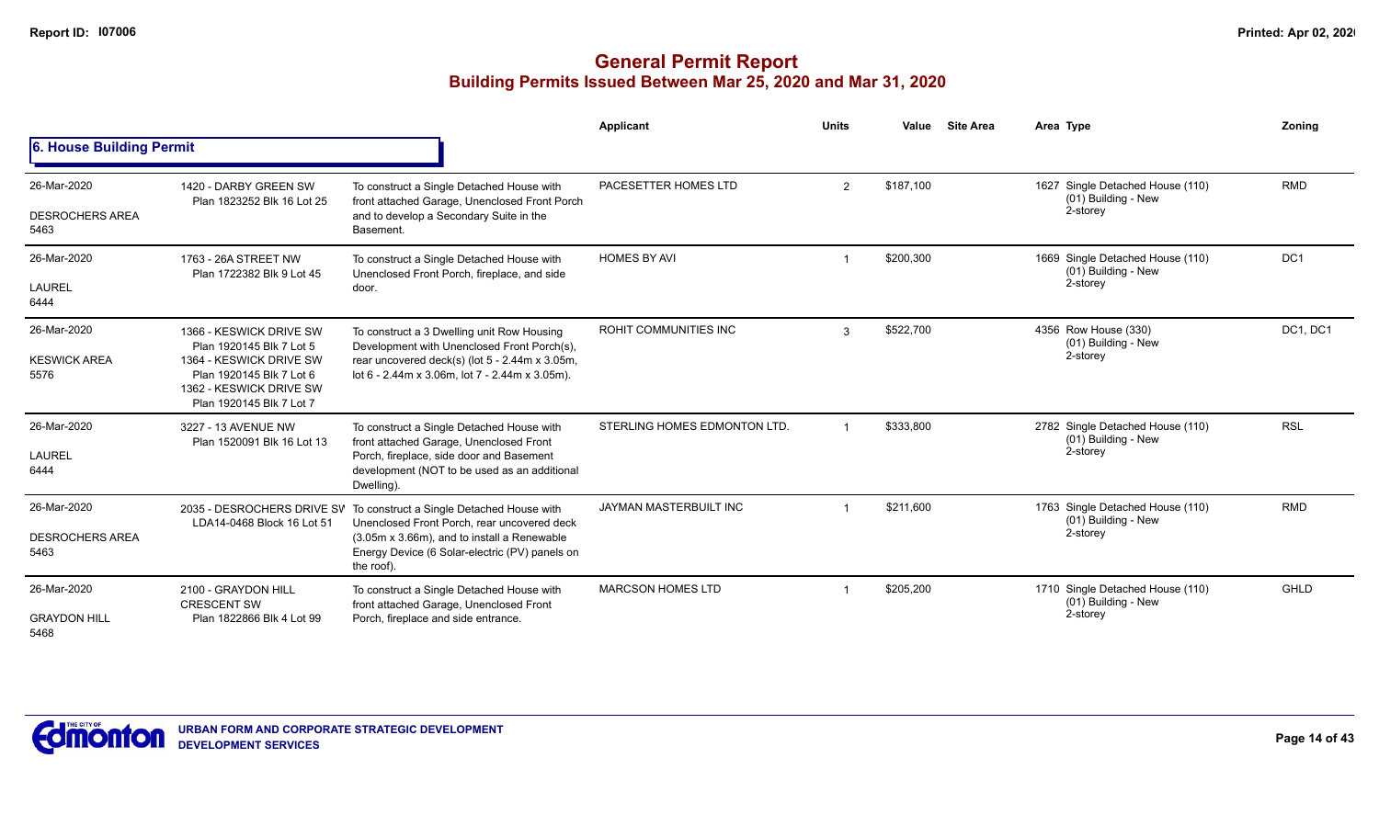|                                               |                                                                                                                                                                   |                                                                                                                                                                                                                                    | Applicant                    | <b>Units</b>   | Value     | <b>Site Area</b> | Area Type                                                           | Zoning          |
|-----------------------------------------------|-------------------------------------------------------------------------------------------------------------------------------------------------------------------|------------------------------------------------------------------------------------------------------------------------------------------------------------------------------------------------------------------------------------|------------------------------|----------------|-----------|------------------|---------------------------------------------------------------------|-----------------|
| 6. House Building Permit                      |                                                                                                                                                                   |                                                                                                                                                                                                                                    |                              |                |           |                  |                                                                     |                 |
| 26-Mar-2020<br><b>DESROCHERS AREA</b><br>5463 | 1420 - DARBY GREEN SW<br>Plan 1823252 Blk 16 Lot 25                                                                                                               | To construct a Single Detached House with<br>front attached Garage, Unenclosed Front Porch<br>and to develop a Secondary Suite in the<br>Basement.                                                                                 | PACESETTER HOMES LTD         | $\overline{2}$ | \$187,100 |                  | 1627 Single Detached House (110)<br>(01) Building - New<br>2-storey | <b>RMD</b>      |
| 26-Mar-2020<br>LAUREL<br>6444                 | 1763 - 26A STREET NW<br>Plan 1722382 Blk 9 Lot 45                                                                                                                 | To construct a Single Detached House with<br>Unenclosed Front Porch, fireplace, and side<br>door.                                                                                                                                  | <b>HOMES BY AVI</b>          |                | \$200,300 |                  | 1669 Single Detached House (110)<br>(01) Building - New<br>2-storey | DC <sub>1</sub> |
| 26-Mar-2020<br><b>KESWICK AREA</b><br>5576    | 1366 - KESWICK DRIVE SW<br>Plan 1920145 Blk 7 Lot 5<br>1364 - KESWICK DRIVE SW<br>Plan 1920145 Blk 7 Lot 6<br>1362 - KESWICK DRIVE SW<br>Plan 1920145 Blk 7 Lot 7 | To construct a 3 Dwelling unit Row Housing<br>Development with Unenclosed Front Porch(s),<br>rear uncovered deck(s) (lot $5 - 2.44$ m x 3.05m,<br>lot 6 - 2.44m x 3.06m, lot 7 - 2.44m x 3.05m).                                   | <b>ROHIT COMMUNITIES INC</b> | 3              | \$522,700 |                  | 4356 Row House (330)<br>(01) Building - New<br>2-storey             | DC1, DC1        |
| 26-Mar-2020<br><b>LAUREL</b><br>6444          | 3227 - 13 AVENUE NW<br>Plan 1520091 Blk 16 Lot 13                                                                                                                 | To construct a Single Detached House with<br>front attached Garage, Unenclosed Front<br>Porch, fireplace, side door and Basement<br>development (NOT to be used as an additional<br>Dwelling).                                     | STERLING HOMES EDMONTON LTD. |                | \$333,800 |                  | 2782 Single Detached House (110)<br>(01) Building - New<br>2-storey | <b>RSL</b>      |
| 26-Mar-2020<br><b>DESROCHERS AREA</b><br>5463 | LDA14-0468 Block 16 Lot 51                                                                                                                                        | 2035 - DESROCHERS DRIVE SV To construct a Single Detached House with<br>Unenclosed Front Porch, rear uncovered deck<br>(3.05m x 3.66m), and to install a Renewable<br>Energy Device (6 Solar-electric (PV) panels on<br>the roof). | JAYMAN MASTERBUILT INC       |                | \$211.600 |                  | 1763 Single Detached House (110)<br>(01) Building - New<br>2-storey | <b>RMD</b>      |
| 26-Mar-2020<br><b>GRAYDON HILL</b><br>5468    | 2100 - GRAYDON HILL<br><b>CRESCENT SW</b><br>Plan 1822866 Blk 4 Lot 99                                                                                            | To construct a Single Detached House with<br>front attached Garage, Unenclosed Front<br>Porch, fireplace and side entrance.                                                                                                        | <b>MARCSON HOMES LTD</b>     |                | \$205,200 |                  | 1710 Single Detached House (110)<br>(01) Building - New<br>2-storey | GHLD            |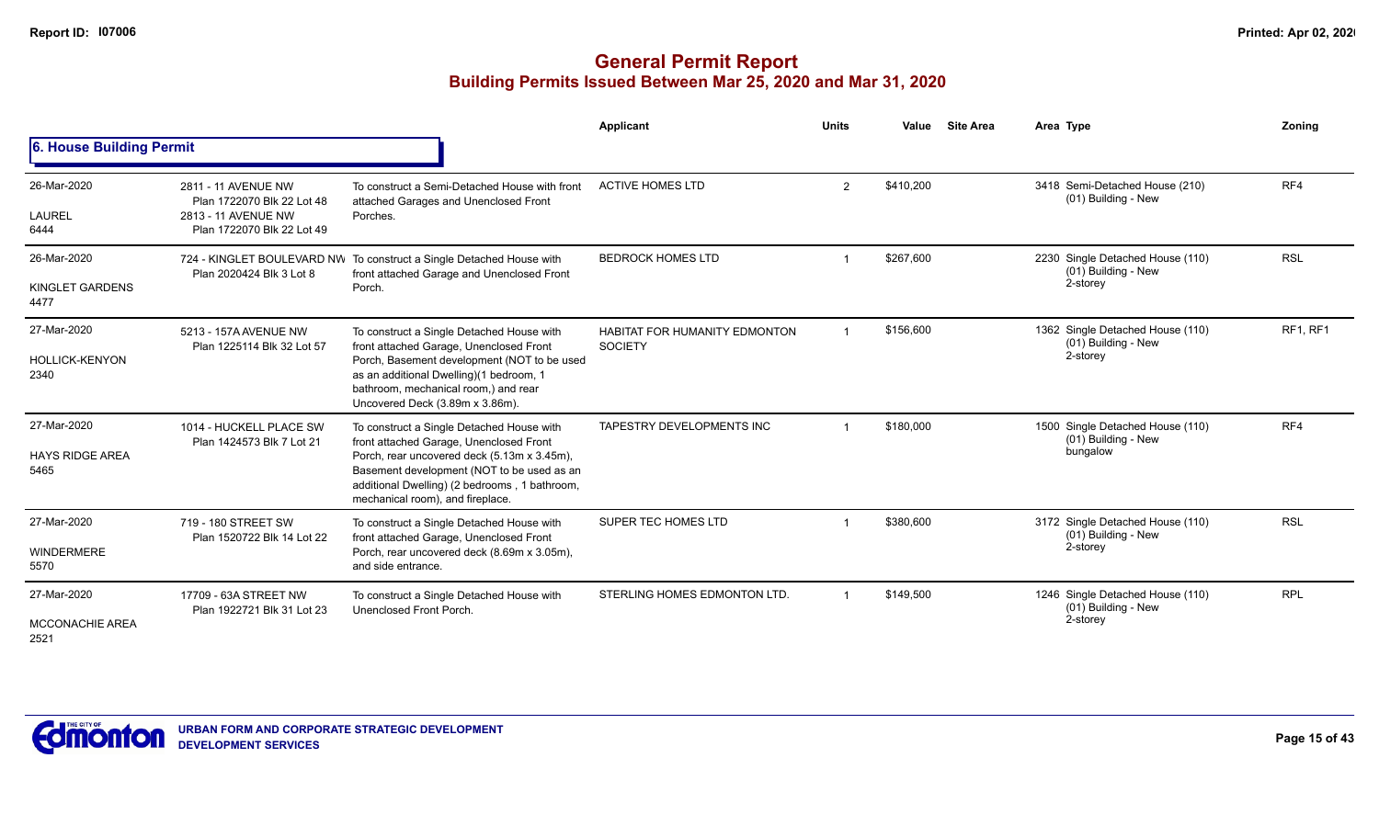|                                               |                                                                                                        |                                                                                                                                                                                                                                                                        | Applicant                                       | <b>Units</b>   | Value     | <b>Site Area</b> | Area Type                                                           | Zoning     |
|-----------------------------------------------|--------------------------------------------------------------------------------------------------------|------------------------------------------------------------------------------------------------------------------------------------------------------------------------------------------------------------------------------------------------------------------------|-------------------------------------------------|----------------|-----------|------------------|---------------------------------------------------------------------|------------|
| 6. House Building Permit                      |                                                                                                        |                                                                                                                                                                                                                                                                        |                                                 |                |           |                  |                                                                     |            |
| 26-Mar-2020<br><b>LAUREL</b><br>6444          | 2811 - 11 AVENUE NW<br>Plan 1722070 Blk 22 Lot 48<br>2813 - 11 AVENUE NW<br>Plan 1722070 Blk 22 Lot 49 | To construct a Semi-Detached House with front<br>attached Garages and Unenclosed Front<br>Porches.                                                                                                                                                                     | <b>ACTIVE HOMES LTD</b>                         | $\overline{2}$ | \$410,200 |                  | 3418 Semi-Detached House (210)<br>(01) Building - New               | RF4        |
| 26-Mar-2020<br>KINGLET GARDENS<br>4477        | Plan 2020424 Blk 3 Lot 8                                                                               | 724 - KINGLET BOULEVARD NW To construct a Single Detached House with<br>front attached Garage and Unenclosed Front<br>Porch.                                                                                                                                           | <b>BEDROCK HOMES LTD</b>                        |                | \$267,600 |                  | 2230 Single Detached House (110)<br>(01) Building - New<br>2-storey | <b>RSL</b> |
| 27-Mar-2020<br><b>HOLLICK-KENYON</b><br>2340  | 5213 - 157A AVENUE NW<br>Plan 1225114 Blk 32 Lot 57                                                    | To construct a Single Detached House with<br>front attached Garage, Unenclosed Front<br>Porch, Basement development (NOT to be used<br>as an additional Dwelling)(1 bedroom, 1<br>bathroom, mechanical room,) and rear<br>Uncovered Deck (3.89m x 3.86m).              | HABITAT FOR HUMANITY EDMONTON<br><b>SOCIETY</b> |                | \$156,600 |                  | 1362 Single Detached House (110)<br>(01) Building - New<br>2-storey | RF1, RF1   |
| 27-Mar-2020<br><b>HAYS RIDGE AREA</b><br>5465 | 1014 - HUCKELL PLACE SW<br>Plan 1424573 Blk 7 Lot 21                                                   | To construct a Single Detached House with<br>front attached Garage, Unenclosed Front<br>Porch, rear uncovered deck (5.13m x 3.45m),<br>Basement development (NOT to be used as an<br>additional Dwelling) (2 bedrooms, 1 bathroom,<br>mechanical room), and fireplace. | TAPESTRY DEVELOPMENTS INC                       |                | \$180,000 |                  | 1500 Single Detached House (110)<br>(01) Building - New<br>bungalow | RF4        |
| 27-Mar-2020<br><b>WINDERMERE</b><br>5570      | 719 - 180 STREET SW<br>Plan 1520722 Blk 14 Lot 22                                                      | To construct a Single Detached House with<br>front attached Garage, Unenclosed Front<br>Porch, rear uncovered deck (8.69m x 3.05m),<br>and side entrance.                                                                                                              | SUPER TEC HOMES LTD                             |                | \$380,600 |                  | 3172 Single Detached House (110)<br>(01) Building - New<br>2-storey | <b>RSL</b> |
| 27-Mar-2020<br><b>MCCONACHIE AREA</b><br>2521 | 17709 - 63A STREET NW<br>Plan 1922721 Blk 31 Lot 23                                                    | To construct a Single Detached House with<br>Unenclosed Front Porch.                                                                                                                                                                                                   | STERLING HOMES EDMONTON LTD.                    |                | \$149.500 |                  | 1246 Single Detached House (110)<br>(01) Building - New<br>2-storey | <b>RPL</b> |

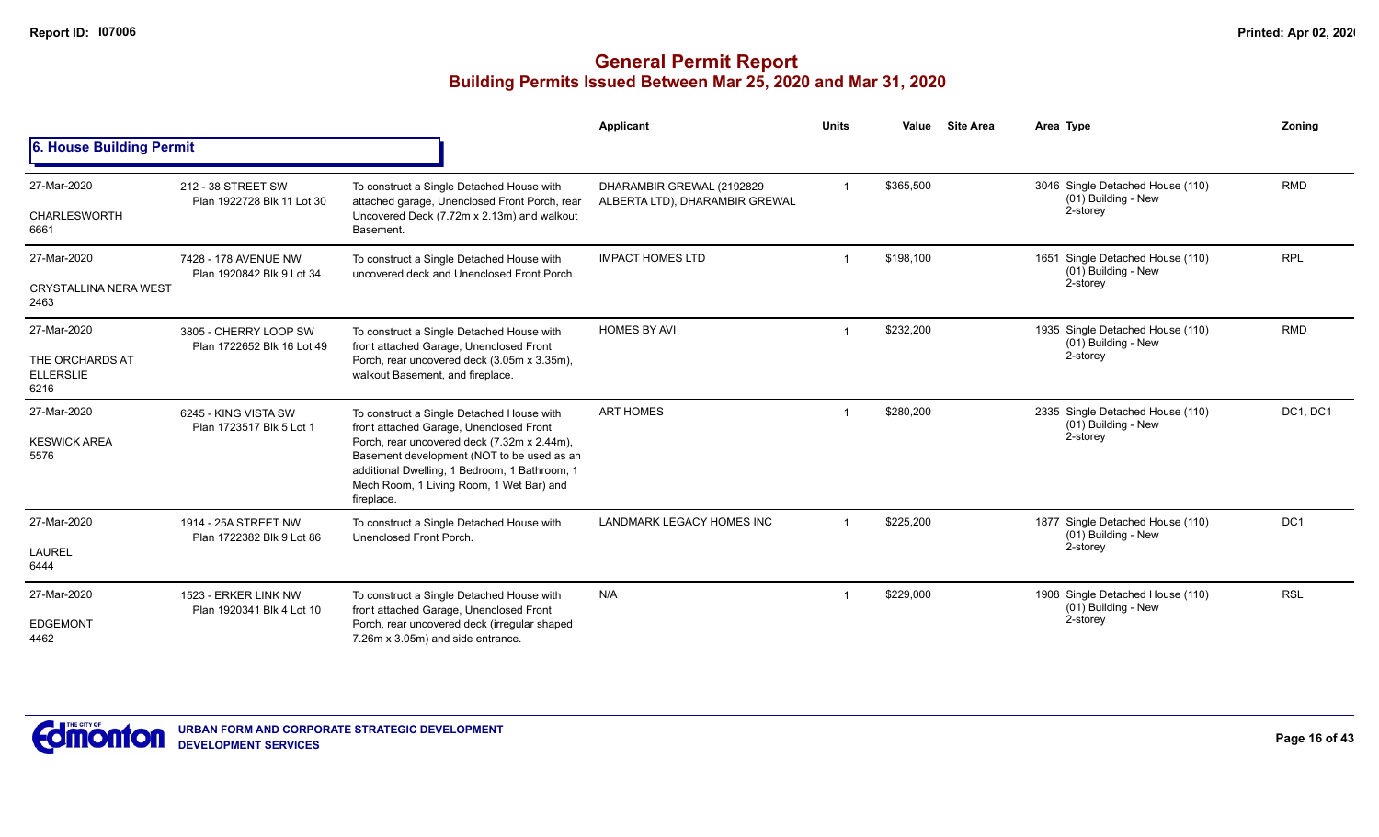|                                                            |                                                     |                                                                                                                                                                                                                                                                                              | Applicant                                                   | <b>Units</b> | Value     | <b>Site Area</b> | Area Type                                                              | <b>Zoning</b>   |
|------------------------------------------------------------|-----------------------------------------------------|----------------------------------------------------------------------------------------------------------------------------------------------------------------------------------------------------------------------------------------------------------------------------------------------|-------------------------------------------------------------|--------------|-----------|------------------|------------------------------------------------------------------------|-----------------|
| 6. House Building Permit                                   |                                                     |                                                                                                                                                                                                                                                                                              |                                                             |              |           |                  |                                                                        |                 |
| 27-Mar-2020<br><b>CHARLESWORTH</b><br>6661                 | 212 - 38 STREET SW<br>Plan 1922728 Blk 11 Lot 30    | To construct a Single Detached House with<br>attached garage, Unenclosed Front Porch, rear<br>Uncovered Deck (7.72m x 2.13m) and walkout<br>Basement.                                                                                                                                        | DHARAMBIR GREWAL (2192829<br>ALBERTA LTD), DHARAMBIR GREWAL |              | \$365,500 |                  | 3046 Single Detached House (110)<br>(01) Building - New<br>2-storey    | <b>RMD</b>      |
| 27-Mar-2020<br><b>CRYSTALLINA NERA WEST</b><br>2463        | 7428 - 178 AVENUE NW<br>Plan 1920842 Blk 9 Lot 34   | To construct a Single Detached House with<br>uncovered deck and Unenclosed Front Porch.                                                                                                                                                                                                      | <b>IMPACT HOMES LTD</b>                                     |              | \$198,100 |                  | Single Detached House (110)<br>1651<br>(01) Building - New<br>2-storey | <b>RPL</b>      |
| 27-Mar-2020<br>THE ORCHARDS AT<br><b>ELLERSLIE</b><br>6216 | 3805 - CHERRY LOOP SW<br>Plan 1722652 Blk 16 Lot 49 | To construct a Single Detached House with<br>front attached Garage, Unenclosed Front<br>Porch, rear uncovered deck (3.05m x 3.35m),<br>walkout Basement, and fireplace.                                                                                                                      | <b>HOMES BY AVI</b>                                         |              | \$232,200 |                  | 1935 Single Detached House (110)<br>(01) Building - New<br>2-storey    | <b>RMD</b>      |
| 27-Mar-2020<br><b>KESWICK AREA</b><br>5576                 | 6245 - KING VISTA SW<br>Plan 1723517 Blk 5 Lot 1    | To construct a Single Detached House with<br>front attached Garage, Unenclosed Front<br>Porch, rear uncovered deck (7.32m x 2.44m),<br>Basement development (NOT to be used as an<br>additional Dwelling, 1 Bedroom, 1 Bathroom, 1<br>Mech Room, 1 Living Room, 1 Wet Bar) and<br>fireplace. | <b>ART HOMES</b>                                            |              | \$280,200 |                  | 2335 Single Detached House (110)<br>(01) Building - New<br>2-storey    | DC1, DC1        |
| 27-Mar-2020<br><b>LAUREL</b><br>6444                       | 1914 - 25A STREET NW<br>Plan 1722382 Blk 9 Lot 86   | To construct a Single Detached House with<br>Unenclosed Front Porch.                                                                                                                                                                                                                         | LANDMARK LEGACY HOMES INC                                   |              | \$225,200 |                  | 1877 Single Detached House (110)<br>(01) Building - New<br>2-storey    | DC <sub>1</sub> |
| 27-Mar-2020<br><b>EDGEMONT</b><br>4462                     | 1523 - ERKER LINK NW<br>Plan 1920341 Blk 4 Lot 10   | To construct a Single Detached House with<br>front attached Garage, Unenclosed Front<br>Porch, rear uncovered deck (irregular shaped<br>7.26m x 3.05m) and side entrance.                                                                                                                    | N/A                                                         |              | \$229,000 |                  | 1908 Single Detached House (110)<br>(01) Building - New<br>2-storey    | <b>RSL</b>      |

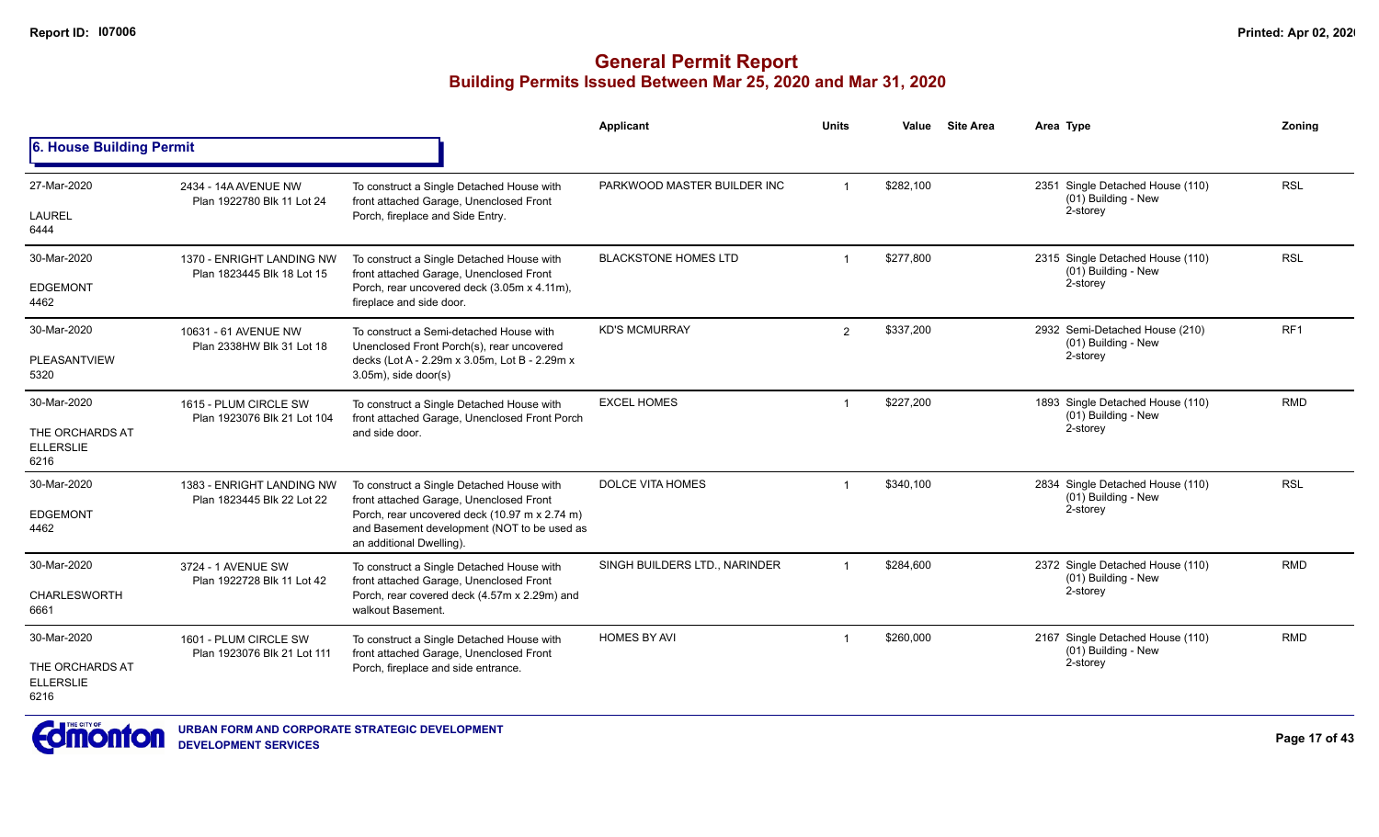|                                             |                                                                                                                                                                      |                                                                                                                          | <b>Applicant</b>              | <b>Units</b>            | Value     | <b>Site Area</b>                                        | Area Type                                               | Zoning          |
|---------------------------------------------|----------------------------------------------------------------------------------------------------------------------------------------------------------------------|--------------------------------------------------------------------------------------------------------------------------|-------------------------------|-------------------------|-----------|---------------------------------------------------------|---------------------------------------------------------|-----------------|
| 6. House Building Permit                    |                                                                                                                                                                      |                                                                                                                          |                               |                         |           |                                                         |                                                         |                 |
| 27-Mar-2020                                 | 2434 - 14A AVENUE NW<br>Plan 1922780 Blk 11 Lot 24                                                                                                                   | To construct a Single Detached House with<br>front attached Garage, Unenclosed Front                                     | PARKWOOD MASTER BUILDER INC   | $\overline{1}$          | \$282,100 |                                                         | 2351 Single Detached House (110)<br>(01) Building - New | <b>RSL</b>      |
| <b>LAUREL</b><br>6444                       |                                                                                                                                                                      | Porch, fireplace and Side Entry.                                                                                         |                               |                         |           |                                                         | 2-storey                                                |                 |
| 30-Mar-2020                                 | 1370 - ENRIGHT LANDING NW<br>Plan 1823445 Blk 18 Lot 15                                                                                                              | To construct a Single Detached House with<br>front attached Garage, Unenclosed Front                                     | <b>BLACKSTONE HOMES LTD</b>   |                         | \$277.800 |                                                         | 2315 Single Detached House (110)<br>(01) Building - New | <b>RSL</b>      |
| <b>EDGEMONT</b><br>4462                     |                                                                                                                                                                      | Porch, rear uncovered deck (3.05m x 4.11m),<br>fireplace and side door.                                                  |                               |                         |           |                                                         | 2-storey                                                |                 |
| 30-Mar-2020                                 | 10631 - 61 AVENUE NW<br>Plan 2338HW Blk 31 Lot 18                                                                                                                    | To construct a Semi-detached House with<br>Unenclosed Front Porch(s), rear uncovered                                     | <b>KD'S MCMURRAY</b>          | $\overline{2}$          | \$337,200 |                                                         | 2932 Semi-Detached House (210)<br>(01) Building - New   | RF <sub>1</sub> |
| <b>PLEASANTVIEW</b><br>5320                 |                                                                                                                                                                      | decks (Lot A - 2.29m x 3.05m, Lot B - 2.29m x<br>$3.05m$ , side door(s)                                                  |                               |                         |           | 2-storey                                                |                                                         |                 |
| 30-Mar-2020                                 | 1615 - PLUM CIRCLE SW<br>To construct a Single Detached House with<br>front attached Garage, Unenclosed Front Porch<br>Plan 1923076 Blk 21 Lot 104<br>and side door. | <b>EXCEL HOMES</b>                                                                                                       |                               | \$227,200               |           | 1893 Single Detached House (110)<br>(01) Building - New | <b>RMD</b>                                              |                 |
| THE ORCHARDS AT<br><b>ELLERSLIE</b><br>6216 |                                                                                                                                                                      |                                                                                                                          |                               |                         |           |                                                         | 2-storey                                                |                 |
| 30-Mar-2020                                 | 1383 - ENRIGHT LANDING NW<br>Plan 1823445 Blk 22 Lot 22                                                                                                              | To construct a Single Detached House with<br>front attached Garage, Unenclosed Front                                     | <b>DOLCE VITA HOMES</b>       |                         | \$340,100 |                                                         | 2834 Single Detached House (110)<br>(01) Building - New | <b>RSL</b>      |
| <b>EDGEMONT</b><br>4462                     |                                                                                                                                                                      | Porch, rear uncovered deck (10.97 m x 2.74 m)<br>and Basement development (NOT to be used as<br>an additional Dwelling). |                               |                         |           |                                                         | 2-storey                                                |                 |
| 30-Mar-2020                                 | 3724 - 1 AVENUE SW                                                                                                                                                   | To construct a Single Detached House with<br>front attached Garage, Unenclosed Front                                     | SINGH BUILDERS LTD., NARINDER | $\overline{\mathbf{1}}$ | \$284,600 |                                                         | 2372 Single Detached House (110)<br>(01) Building - New | <b>RMD</b>      |
| <b>CHARLESWORTH</b><br>6661                 | Plan 1922728 Blk 11 Lot 42                                                                                                                                           | Porch, rear covered deck (4.57m x 2.29m) and<br>walkout Basement.                                                        |                               |                         |           |                                                         | 2-storey                                                |                 |
| 30-Mar-2020                                 | 1601 - PLUM CIRCLE SW<br>Plan 1923076 Blk 21 Lot 111                                                                                                                 | To construct a Single Detached House with<br>front attached Garage, Unenclosed Front                                     | <b>HOMES BY AVI</b>           |                         | \$260,000 |                                                         | 2167 Single Detached House (110)<br>(01) Building - New | <b>RMD</b>      |
| THE ORCHARDS AT<br><b>ELLERSLIE</b><br>6216 |                                                                                                                                                                      | Porch, fireplace and side entrance.                                                                                      |                               |                         |           |                                                         | 2-storey                                                |                 |

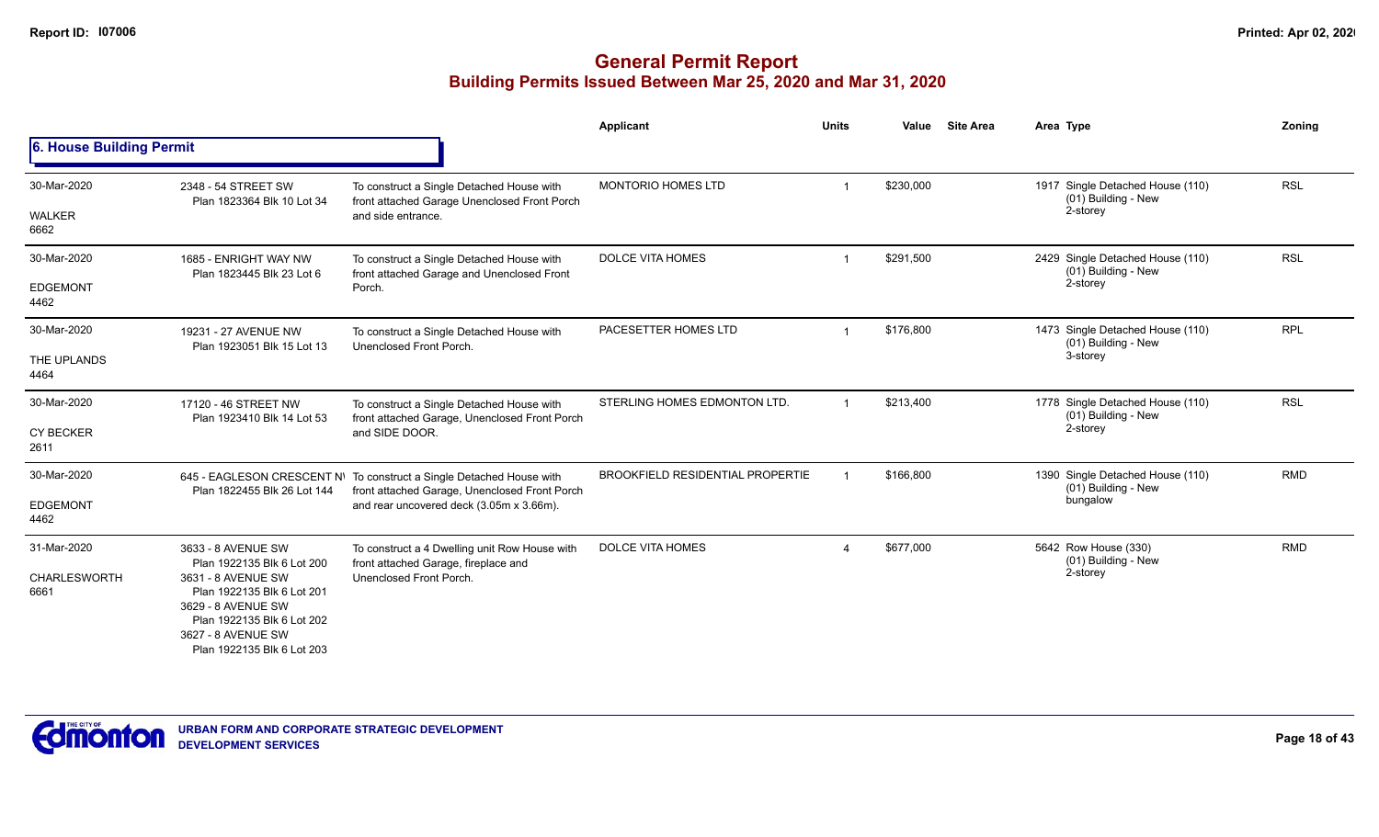|                              |                                                                                                                                                          |                                                                                                                       | Applicant                               | <b>Units</b> | <b>Site Area</b><br>Value | Area Type                                                           | Zoning     |
|------------------------------|----------------------------------------------------------------------------------------------------------------------------------------------------------|-----------------------------------------------------------------------------------------------------------------------|-----------------------------------------|--------------|---------------------------|---------------------------------------------------------------------|------------|
| 6. House Building Permit     |                                                                                                                                                          |                                                                                                                       |                                         |              |                           |                                                                     |            |
| 30-Mar-2020<br><b>WALKER</b> | 2348 - 54 STREET SW<br>Plan 1823364 Blk 10 Lot 34                                                                                                        | To construct a Single Detached House with<br>front attached Garage Unenclosed Front Porch<br>and side entrance.       | <b>MONTORIO HOMES LTD</b>               |              | \$230,000                 | 1917 Single Detached House (110)<br>(01) Building - New<br>2-storey | <b>RSL</b> |
| 6662                         |                                                                                                                                                          |                                                                                                                       |                                         |              |                           |                                                                     |            |
| 30-Mar-2020                  | 1685 - ENRIGHT WAY NW<br>Plan 1823445 Blk 23 Lot 6                                                                                                       | To construct a Single Detached House with<br>front attached Garage and Unenclosed Front                               | <b>DOLCE VITA HOMES</b>                 |              | \$291,500                 | 2429 Single Detached House (110)<br>(01) Building - New             | <b>RSL</b> |
| <b>EDGEMONT</b><br>4462      |                                                                                                                                                          | Porch.                                                                                                                |                                         |              |                           | 2-storey                                                            |            |
| 30-Mar-2020                  | 19231 - 27 AVENUE NW<br>Plan 1923051 Blk 15 Lot 13                                                                                                       | To construct a Single Detached House with<br>Unenclosed Front Porch.                                                  | PACESETTER HOMES LTD                    |              | \$176,800                 | 1473 Single Detached House (110)<br>(01) Building - New             | <b>RPL</b> |
| THE UPLANDS<br>4464          |                                                                                                                                                          |                                                                                                                       |                                         |              |                           | 3-storey                                                            |            |
| 30-Mar-2020                  | 17120 - 46 STREET NW<br>Plan 1923410 Blk 14 Lot 53                                                                                                       | To construct a Single Detached House with<br>front attached Garage, Unenclosed Front Porch<br>and SIDE DOOR.          | STERLING HOMES EDMONTON LTD.            |              | \$213,400                 | 1778 Single Detached House (110)<br>(01) Building - New             | <b>RSL</b> |
| <b>CY BECKER</b><br>2611     |                                                                                                                                                          |                                                                                                                       |                                         |              |                           | 2-storey                                                            |            |
| 30-Mar-2020                  | Plan 1822455 Blk 26 Lot 144                                                                                                                              | 645 - EAGLESON CRESCENT N\ To construct a Single Detached House with<br>front attached Garage, Unenclosed Front Porch | <b>BROOKFIELD RESIDENTIAL PROPERTIE</b> |              | \$166,800                 | 1390 Single Detached House (110)<br>(01) Building - New             | <b>RMD</b> |
| <b>EDGEMONT</b><br>4462      |                                                                                                                                                          | and rear uncovered deck (3.05m x 3.66m).                                                                              |                                         |              |                           | bungalow                                                            |            |
| 31-Mar-2020                  | 3633 - 8 AVENUE SW<br>Plan 1922135 Blk 6 Lot 200                                                                                                         | To construct a 4 Dwelling unit Row House with<br>front attached Garage, fireplace and                                 | <b>DOLCE VITA HOMES</b>                 |              | \$677,000                 | 5642 Row House (330)<br>(01) Building - New                         | <b>RMD</b> |
| <b>CHARLESWORTH</b><br>6661  | 3631 - 8 AVENUE SW<br>Plan 1922135 Blk 6 Lot 201<br>3629 - 8 AVENUE SW<br>Plan 1922135 Blk 6 Lot 202<br>3627 - 8 AVENUE SW<br>Plan 1922135 Blk 6 Lot 203 | Unenclosed Front Porch.                                                                                               |                                         |              |                           | 2-storey                                                            |            |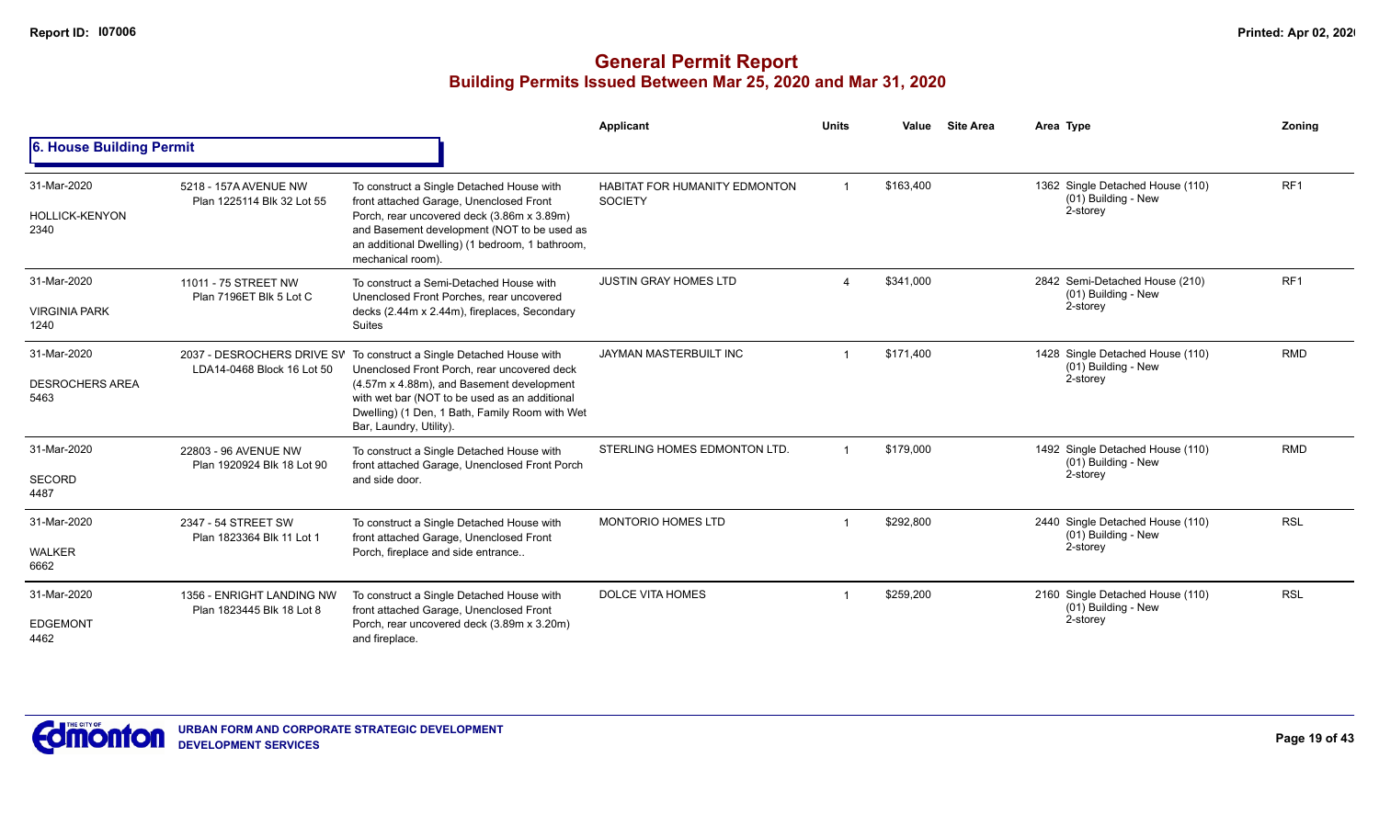|                                               |                                                        |                                                                                                                                                                                                                                                                                                                                                                                                                                                                                                                                                                                                                                                                                                                                                                                                                                                                                                                                                                                                                                                                                                                                                                                                                                                                                                                                                                                                                                                                                                                                                                                                                                                                                                                                                                                                                                           | Applicant | <b>Units</b> | Value | <b>Site Area</b> | Area Type                       | Zonina |
|-----------------------------------------------|--------------------------------------------------------|-------------------------------------------------------------------------------------------------------------------------------------------------------------------------------------------------------------------------------------------------------------------------------------------------------------------------------------------------------------------------------------------------------------------------------------------------------------------------------------------------------------------------------------------------------------------------------------------------------------------------------------------------------------------------------------------------------------------------------------------------------------------------------------------------------------------------------------------------------------------------------------------------------------------------------------------------------------------------------------------------------------------------------------------------------------------------------------------------------------------------------------------------------------------------------------------------------------------------------------------------------------------------------------------------------------------------------------------------------------------------------------------------------------------------------------------------------------------------------------------------------------------------------------------------------------------------------------------------------------------------------------------------------------------------------------------------------------------------------------------------------------------------------------------------------------------------------------------|-----------|--------------|-------|------------------|---------------------------------|--------|
| 6. House Building Permit                      |                                                        | RF <sub>1</sub><br>\$163,400<br>1362 Single Detached House (110)<br>To construct a Single Detached House with<br>$\overline{1}$<br><b>HABITAT FOR HUMANITY EDMONTON</b><br>(01) Building - New<br>front attached Garage, Unenclosed Front<br><b>SOCIETY</b><br>2-storey<br>Porch, rear uncovered deck (3.86m x 3.89m)<br>and Basement development (NOT to be used as<br>an additional Dwelling) (1 bedroom, 1 bathroom,<br>mechanical room).<br>RF <sub>1</sub><br><b>JUSTIN GRAY HOMES LTD</b><br>\$341,000<br>2842 Semi-Detached House (210)<br>To construct a Semi-Detached House with<br>$\Delta$<br>(01) Building - New<br>Unenclosed Front Porches, rear uncovered<br>2-storey<br>decks (2.44m x 2.44m), fireplaces, Secondary<br><b>Suites</b><br>\$171.400<br>JAYMAN MASTERBUILT INC<br>1428 Single Detached House (110)<br><b>RMD</b><br>2037 - DESROCHERS DRIVE SV To construct a Single Detached House with<br>(01) Building - New<br>Unenclosed Front Porch, rear uncovered deck<br>2-storey<br>(4.57m x 4.88m), and Basement development<br>with wet bar (NOT to be used as an additional<br>Dwelling) (1 Den, 1 Bath, Family Room with Wet<br>Bar, Laundry, Utility).<br><b>RMD</b><br>STERLING HOMES EDMONTON LTD.<br>\$179,000<br>1492 Single Detached House (110)<br>To construct a Single Detached House with<br>(01) Building - New<br>front attached Garage, Unenclosed Front Porch<br>2-storey<br>and side door.<br><b>RSL</b><br><b>MONTORIO HOMES LTD</b><br>\$292,800<br>2440 Single Detached House (110)<br>To construct a Single Detached House with<br>(01) Building - New<br>front attached Garage, Unenclosed Front<br>2-storey<br>Porch, fireplace and side entrance<br><b>DOLCE VITA HOMES</b><br>\$259,200<br><b>RSL</b><br>2160 Single Detached House (110)<br>To construct a Single Detached House with |           |              |       |                  |                                 |        |
| 31-Mar-2020<br><b>HOLLICK-KENYON</b><br>2340  | 5218 - 157A AVENUE NW<br>Plan 1225114 Blk 32 Lot 55    |                                                                                                                                                                                                                                                                                                                                                                                                                                                                                                                                                                                                                                                                                                                                                                                                                                                                                                                                                                                                                                                                                                                                                                                                                                                                                                                                                                                                                                                                                                                                                                                                                                                                                                                                                                                                                                           |           |              |       |                  |                                 |        |
| 31-Mar-2020<br><b>VIRGINIA PARK</b><br>1240   | 11011 - 75 STREET NW<br>Plan 7196ET Blk 5 Lot C        |                                                                                                                                                                                                                                                                                                                                                                                                                                                                                                                                                                                                                                                                                                                                                                                                                                                                                                                                                                                                                                                                                                                                                                                                                                                                                                                                                                                                                                                                                                                                                                                                                                                                                                                                                                                                                                           |           |              |       |                  |                                 |        |
| 31-Mar-2020<br><b>DESROCHERS AREA</b><br>5463 | LDA14-0468 Block 16 Lot 50                             |                                                                                                                                                                                                                                                                                                                                                                                                                                                                                                                                                                                                                                                                                                                                                                                                                                                                                                                                                                                                                                                                                                                                                                                                                                                                                                                                                                                                                                                                                                                                                                                                                                                                                                                                                                                                                                           |           |              |       |                  |                                 |        |
| 31-Mar-2020<br><b>SECORD</b><br>4487          | 22803 - 96 AVENUE NW<br>Plan 1920924 Blk 18 Lot 90     |                                                                                                                                                                                                                                                                                                                                                                                                                                                                                                                                                                                                                                                                                                                                                                                                                                                                                                                                                                                                                                                                                                                                                                                                                                                                                                                                                                                                                                                                                                                                                                                                                                                                                                                                                                                                                                           |           |              |       |                  |                                 |        |
| 31-Mar-2020<br><b>WALKER</b><br>6662          | 2347 - 54 STREET SW<br>Plan 1823364 Blk 11 Lot 1       |                                                                                                                                                                                                                                                                                                                                                                                                                                                                                                                                                                                                                                                                                                                                                                                                                                                                                                                                                                                                                                                                                                                                                                                                                                                                                                                                                                                                                                                                                                                                                                                                                                                                                                                                                                                                                                           |           |              |       |                  |                                 |        |
| 31-Mar-2020<br><b>EDGEMONT</b><br>4462        | 1356 - ENRIGHT LANDING NW<br>Plan 1823445 Blk 18 Lot 8 | front attached Garage, Unenclosed Front<br>Porch, rear uncovered deck (3.89m x 3.20m)<br>and fireplace.                                                                                                                                                                                                                                                                                                                                                                                                                                                                                                                                                                                                                                                                                                                                                                                                                                                                                                                                                                                                                                                                                                                                                                                                                                                                                                                                                                                                                                                                                                                                                                                                                                                                                                                                   |           |              |       |                  | (01) Building - New<br>2-storey |        |

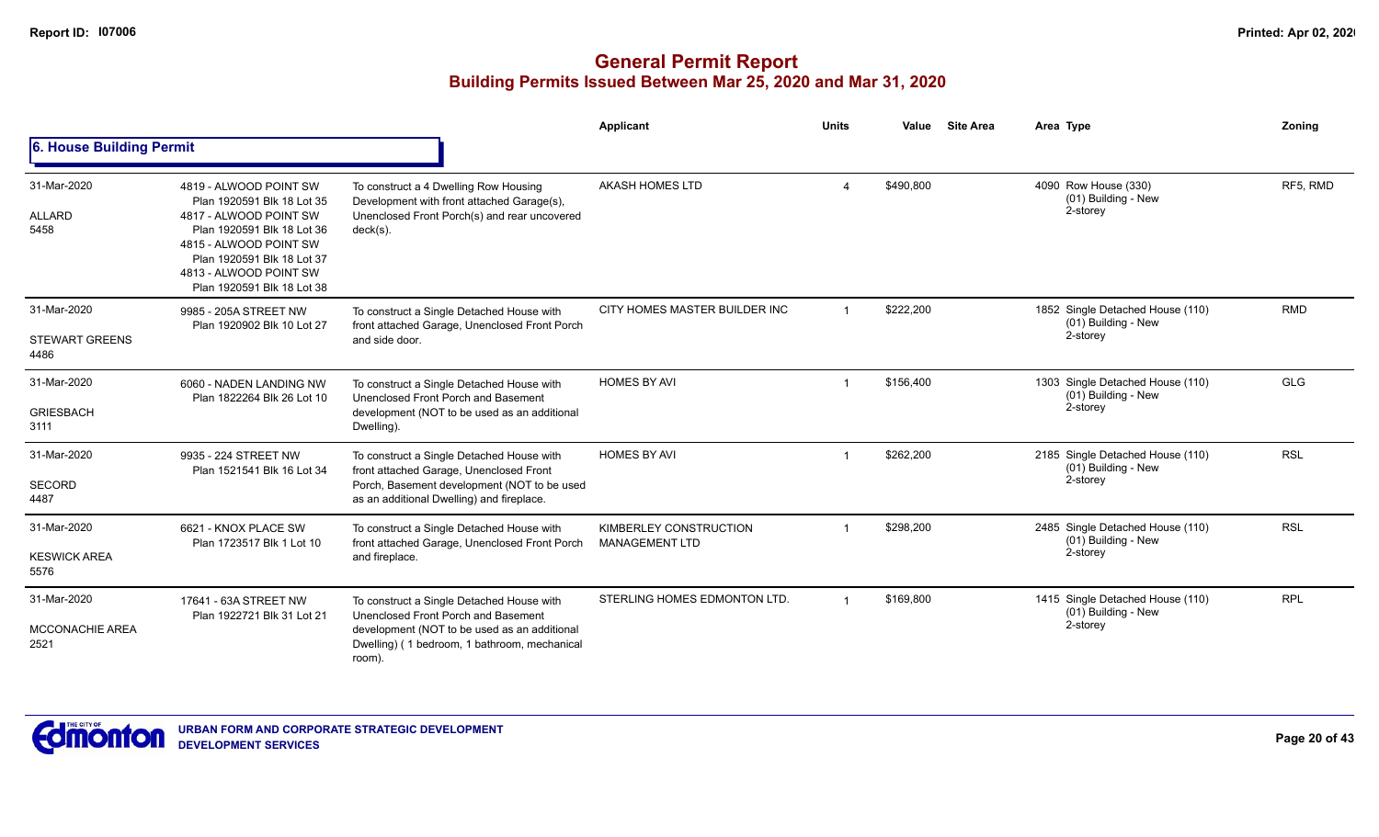|                                               |                                                                                                                                                                                                                              |                                                                                                                                                                                            | Applicant                                       | <b>Units</b>   | Value     | <b>Site Area</b> | Area Type                                                             | Zoning     |
|-----------------------------------------------|------------------------------------------------------------------------------------------------------------------------------------------------------------------------------------------------------------------------------|--------------------------------------------------------------------------------------------------------------------------------------------------------------------------------------------|-------------------------------------------------|----------------|-----------|------------------|-----------------------------------------------------------------------|------------|
| 6. House Building Permit                      |                                                                                                                                                                                                                              |                                                                                                                                                                                            |                                                 |                |           |                  |                                                                       |            |
| 31-Mar-2020<br><b>ALLARD</b><br>5458          | 4819 - ALWOOD POINT SW<br>Plan 1920591 Blk 18 Lot 35<br>4817 - ALWOOD POINT SW<br>Plan 1920591 Blk 18 Lot 36<br>4815 - ALWOOD POINT SW<br>Plan 1920591 Blk 18 Lot 37<br>4813 - ALWOOD POINT SW<br>Plan 1920591 Blk 18 Lot 38 | To construct a 4 Dwelling Row Housing<br>Development with front attached Garage(s),<br>Unenclosed Front Porch(s) and rear uncovered<br>$deck(s)$ .                                         | AKASH HOMES LTD                                 |                | \$490,800 |                  | 4090 Row House (330)<br>(01) Building - New<br>2-storey               | RF5, RMD   |
| 31-Mar-2020<br><b>STEWART GREENS</b><br>4486  | 9985 - 205A STREET NW<br>Plan 1920902 Blk 10 Lot 27                                                                                                                                                                          | To construct a Single Detached House with<br>front attached Garage, Unenclosed Front Porch<br>and side door.                                                                               | CITY HOMES MASTER BUILDER INC                   |                | \$222,200 |                  | 1852 Single Detached House (110)<br>$(01)$ Building - New<br>2-storey | <b>RMD</b> |
| 31-Mar-2020<br><b>GRIESBACH</b><br>3111       | 6060 - NADEN LANDING NW<br>Plan 1822264 Blk 26 Lot 10                                                                                                                                                                        | To construct a Single Detached House with<br>Unenclosed Front Porch and Basement<br>development (NOT to be used as an additional<br>Dwelling).                                             | <b>HOMES BY AVI</b>                             | $\mathbf 1$    | \$156,400 |                  | 1303 Single Detached House (110)<br>(01) Building - New<br>2-storey   | <b>GLG</b> |
| 31-Mar-2020<br><b>SECORD</b><br>4487          | 9935 - 224 STREET NW<br>Plan 1521541 Blk 16 Lot 34                                                                                                                                                                           | To construct a Single Detached House with<br>front attached Garage, Unenclosed Front<br>Porch, Basement development (NOT to be used<br>as an additional Dwelling) and fireplace.           | <b>HOMES BY AVI</b>                             |                | \$262,200 |                  | 2185 Single Detached House (110)<br>(01) Building - New<br>2-storey   | <b>RSL</b> |
| 31-Mar-2020<br><b>KESWICK AREA</b><br>5576    | 6621 - KNOX PLACE SW<br>Plan 1723517 Blk 1 Lot 10                                                                                                                                                                            | To construct a Single Detached House with<br>front attached Garage, Unenclosed Front Porch<br>and fireplace.                                                                               | KIMBERLEY CONSTRUCTION<br><b>MANAGEMENT LTD</b> |                | \$298,200 |                  | 2485 Single Detached House (110)<br>(01) Building - New<br>2-storey   | <b>RSL</b> |
| 31-Mar-2020<br><b>MCCONACHIE AREA</b><br>2521 | 17641 - 63A STREET NW<br>Plan 1922721 Blk 31 Lot 21                                                                                                                                                                          | To construct a Single Detached House with<br>Unenclosed Front Porch and Basement<br>development (NOT to be used as an additional<br>Dwelling) (1 bedroom, 1 bathroom, mechanical<br>room). | STERLING HOMES EDMONTON LTD.                    | $\overline{1}$ | \$169,800 |                  | 1415 Single Detached House (110)<br>(01) Building - New<br>2-storey   | <b>RPL</b> |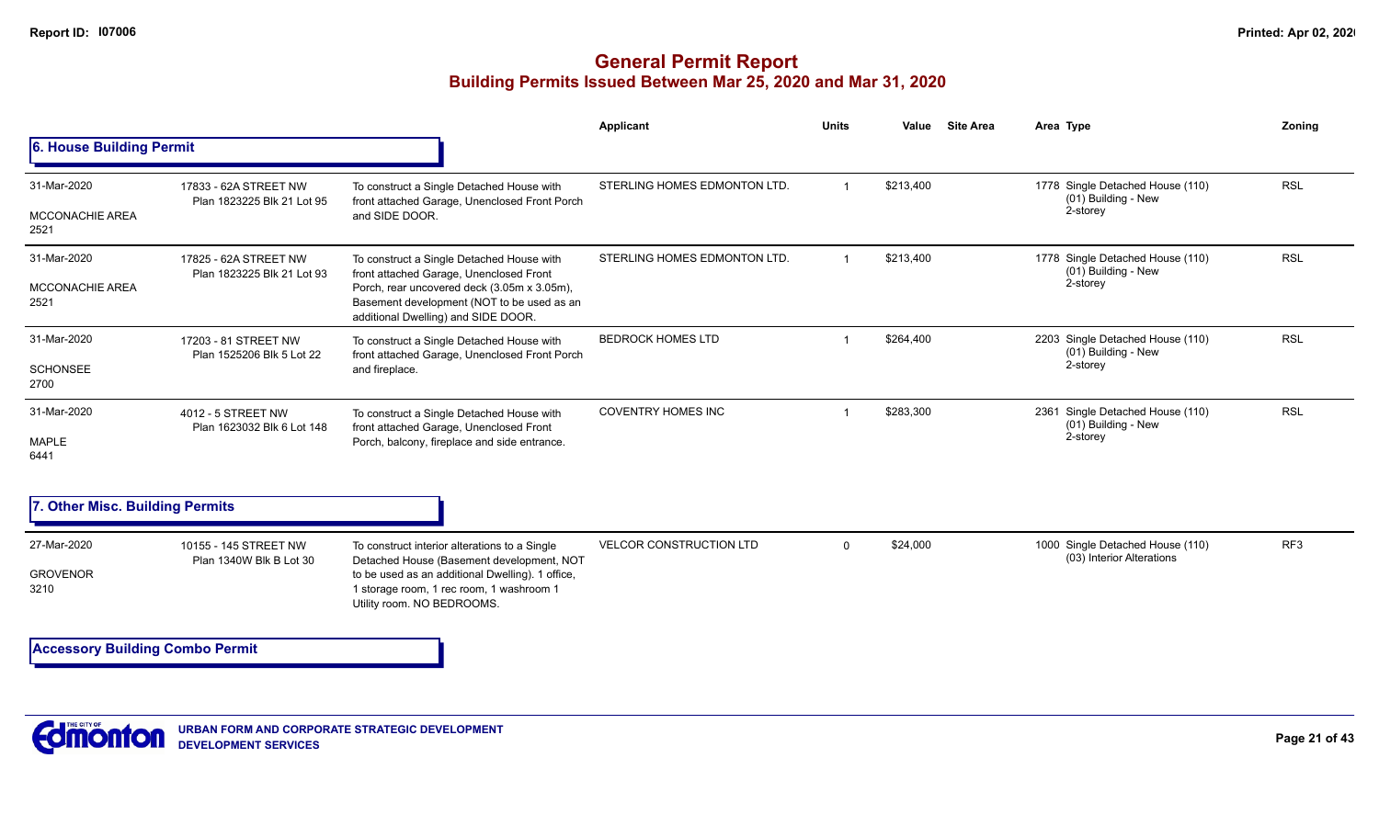#### **General Permit Report Building Permits Issued Between Mar 25, 2020 and Mar 31, 2020**

|                                               |                                                     |                                                                                                                                                                                                                          | Applicant                      | <b>Units</b> | Value     | <b>Site Area</b> | Area Type                                                           | Zonina          |
|-----------------------------------------------|-----------------------------------------------------|--------------------------------------------------------------------------------------------------------------------------------------------------------------------------------------------------------------------------|--------------------------------|--------------|-----------|------------------|---------------------------------------------------------------------|-----------------|
| 6. House Building Permit                      |                                                     |                                                                                                                                                                                                                          |                                |              |           |                  |                                                                     |                 |
| 31-Mar-2020<br><b>MCCONACHIE AREA</b><br>2521 | 17833 - 62A STREET NW<br>Plan 1823225 Blk 21 Lot 95 | To construct a Single Detached House with<br>front attached Garage, Unenclosed Front Porch<br>and SIDE DOOR.                                                                                                             | STERLING HOMES EDMONTON LTD.   |              | \$213,400 |                  | 1778 Single Detached House (110)<br>(01) Building - New<br>2-storey | <b>RSL</b>      |
| 31-Mar-2020<br><b>MCCONACHIE AREA</b><br>2521 | 17825 - 62A STREET NW<br>Plan 1823225 Blk 21 Lot 93 | To construct a Single Detached House with<br>front attached Garage, Unenclosed Front<br>Porch, rear uncovered deck (3.05m x 3.05m),<br>Basement development (NOT to be used as an<br>additional Dwelling) and SIDE DOOR. | STERLING HOMES EDMONTON LTD.   |              | \$213,400 |                  | 1778 Single Detached House (110)<br>(01) Building - New<br>2-storey | <b>RSL</b>      |
| 31-Mar-2020<br><b>SCHONSEE</b><br>2700        | 17203 - 81 STREET NW<br>Plan 1525206 Blk 5 Lot 22   | To construct a Single Detached House with<br>front attached Garage, Unenclosed Front Porch<br>and fireplace.                                                                                                             | <b>BEDROCK HOMES LTD</b>       |              | \$264,400 |                  | 2203 Single Detached House (110)<br>(01) Building - New<br>2-storey | <b>RSL</b>      |
| 31-Mar-2020<br>MAPLE<br>6441                  | 4012 - 5 STREET NW<br>Plan 1623032 Blk 6 Lot 148    | To construct a Single Detached House with<br>front attached Garage, Unenclosed Front<br>Porch, balcony, fireplace and side entrance.                                                                                     | <b>COVENTRY HOMES INC</b>      |              | \$283,300 |                  | 2361 Single Detached House (110)<br>(01) Building - New<br>2-storey | <b>RSL</b>      |
| 7. Other Misc. Building Permits               |                                                     |                                                                                                                                                                                                                          |                                |              |           |                  |                                                                     |                 |
| 27-Mar-2020<br><b>GROVENOR</b><br>3210        | 10155 - 145 STREET NW<br>Plan 1340W Blk B Lot 30    | To construct interior alterations to a Single<br>Detached House (Basement development, NOT<br>to be used as an additional Dwelling). 1 office,<br>1 storage room, 1 rec room, 1 washroom 1<br>Utility room. NO BEDROOMS. | <b>VELCOR CONSTRUCTION LTD</b> | $\Omega$     | \$24,000  |                  | 1000 Single Detached House (110)<br>(03) Interior Alterations       | RF <sub>3</sub> |

**Accessory Building Combo Permit**

**URBAN FORM AND CORPORATE STRATEGIC DEVELOPMENT DEVELOPMENT SERVICES**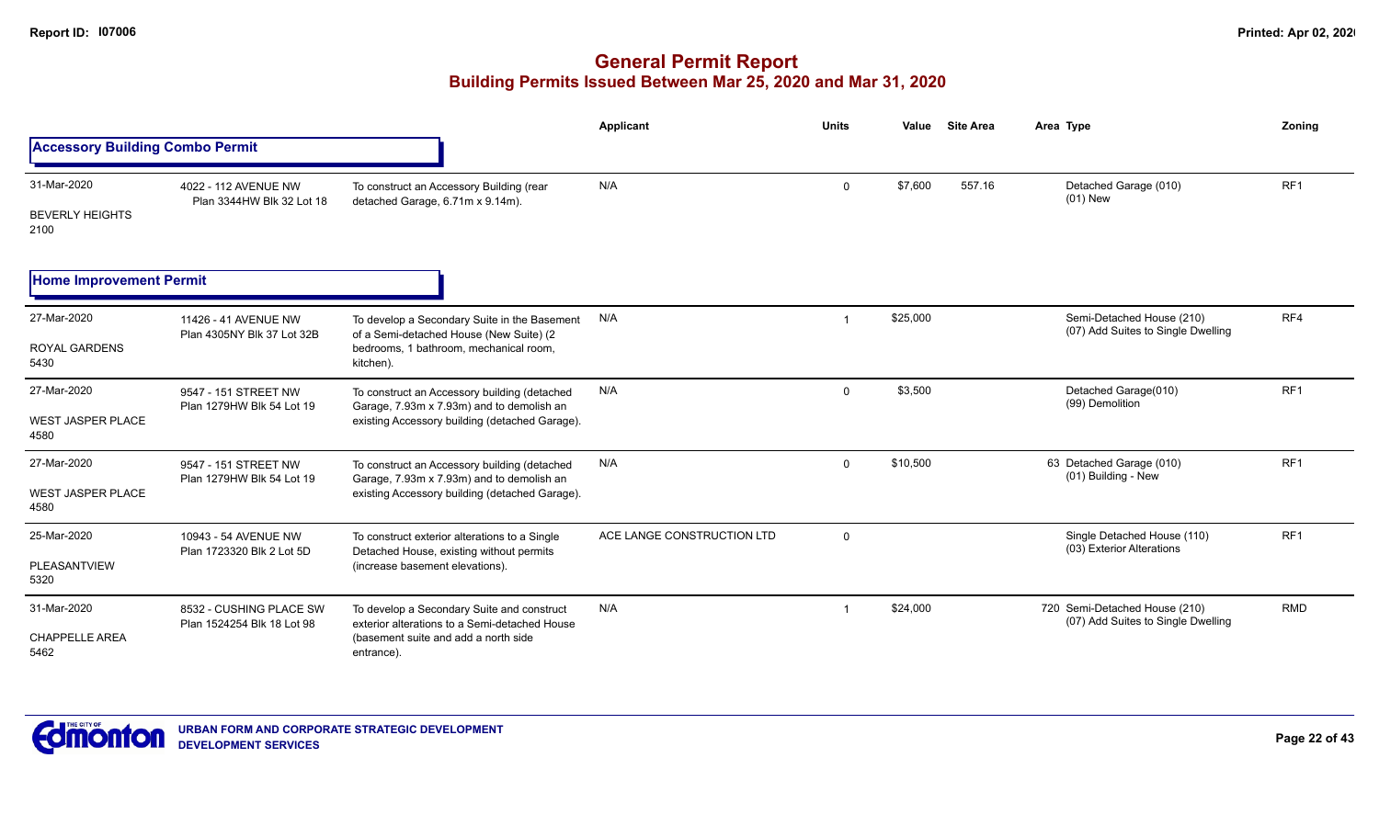|                                                 |                                                       |                                                                                                                                                   | Applicant                  | <b>Units</b> | Value    | <b>Site Area</b> | Area Type                                                           | Zoning          |
|-------------------------------------------------|-------------------------------------------------------|---------------------------------------------------------------------------------------------------------------------------------------------------|----------------------------|--------------|----------|------------------|---------------------------------------------------------------------|-----------------|
| <b>Accessory Building Combo Permit</b>          |                                                       |                                                                                                                                                   |                            |              |          |                  |                                                                     |                 |
| 31-Mar-2020<br><b>BEVERLY HEIGHTS</b><br>2100   | 4022 - 112 AVENUE NW<br>Plan 3344HW Blk 32 Lot 18     | To construct an Accessory Building (rear<br>detached Garage, 6.71m x 9.14m).                                                                      | N/A                        | $\mathbf 0$  | \$7,600  | 557.16           | Detached Garage (010)<br>$(01)$ New                                 | RF <sub>1</sub> |
| <b>Home Improvement Permit</b>                  |                                                       |                                                                                                                                                   |                            |              |          |                  |                                                                     |                 |
| 27-Mar-2020<br><b>ROYAL GARDENS</b><br>5430     | 11426 - 41 AVENUE NW<br>Plan 4305NY Blk 37 Lot 32B    | To develop a Secondary Suite in the Basement<br>of a Semi-detached House (New Suite) (2<br>bedrooms, 1 bathroom, mechanical room,<br>kitchen).    | N/A                        |              | \$25,000 |                  | Semi-Detached House (210)<br>(07) Add Suites to Single Dwelling     | RF4             |
| 27-Mar-2020<br><b>WEST JASPER PLACE</b><br>4580 | 9547 - 151 STREET NW<br>Plan 1279HW Blk 54 Lot 19     | To construct an Accessory building (detached<br>Garage, 7.93m x 7.93m) and to demolish an<br>existing Accessory building (detached Garage).       | N/A                        | $\mathbf 0$  | \$3,500  |                  | Detached Garage(010)<br>(99) Demolition                             | RF1             |
| 27-Mar-2020<br><b>WEST JASPER PLACE</b><br>4580 | 9547 - 151 STREET NW<br>Plan 1279HW Blk 54 Lot 19     | To construct an Accessory building (detached<br>Garage, 7.93m x 7.93m) and to demolish an<br>existing Accessory building (detached Garage).       | N/A                        | $\mathbf{0}$ | \$10,500 |                  | 63 Detached Garage (010)<br>(01) Building - New                     | RF <sub>1</sub> |
| 25-Mar-2020<br>PLEASANTVIEW<br>5320             | 10943 - 54 AVENUE NW<br>Plan 1723320 Blk 2 Lot 5D     | To construct exterior alterations to a Single<br>Detached House, existing without permits<br>(increase basement elevations).                      | ACE LANGE CONSTRUCTION LTD | $\mathbf 0$  |          |                  | Single Detached House (110)<br>(03) Exterior Alterations            | RF1             |
| 31-Mar-2020<br><b>CHAPPELLE AREA</b><br>5462    | 8532 - CUSHING PLACE SW<br>Plan 1524254 Blk 18 Lot 98 | To develop a Secondary Suite and construct<br>exterior alterations to a Semi-detached House<br>(basement suite and add a north side<br>entrance). | N/A                        |              | \$24,000 |                  | 720 Semi-Detached House (210)<br>(07) Add Suites to Single Dwelling | <b>RMD</b>      |

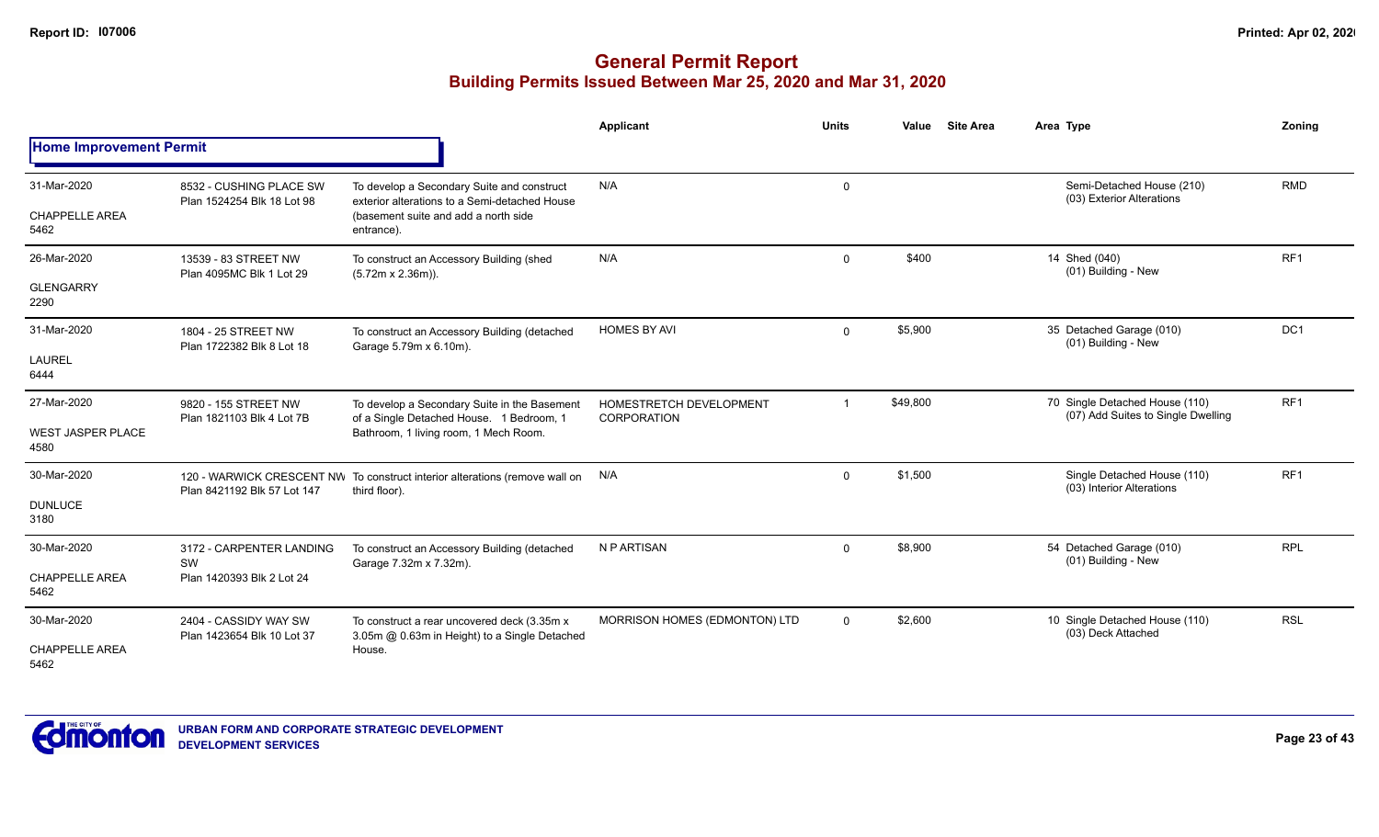|                                                 |                                                             |                                                                                                                                                   | Applicant                              | <b>Units</b>   | Value    | <b>Site Area</b> | Area Type                                                            | Zonina          |
|-------------------------------------------------|-------------------------------------------------------------|---------------------------------------------------------------------------------------------------------------------------------------------------|----------------------------------------|----------------|----------|------------------|----------------------------------------------------------------------|-----------------|
| <b>Home Improvement Permit</b>                  |                                                             |                                                                                                                                                   |                                        |                |          |                  |                                                                      |                 |
| 31-Mar-2020<br><b>CHAPPELLE AREA</b><br>5462    | 8532 - CUSHING PLACE SW<br>Plan 1524254 Blk 18 Lot 98       | To develop a Secondary Suite and construct<br>exterior alterations to a Semi-detached House<br>(basement suite and add a north side<br>entrance). | N/A                                    | 0              |          |                  | Semi-Detached House (210)<br>(03) Exterior Alterations               | <b>RMD</b>      |
| 26-Mar-2020<br><b>GLENGARRY</b><br>2290         | 13539 - 83 STREET NW<br>Plan 4095MC Blk 1 Lot 29            | To construct an Accessory Building (shed<br>$(5.72m \times 2.36m)$ ).                                                                             | N/A                                    | $\mathbf{0}$   | \$400    |                  | 14 Shed (040)<br>(01) Building - New                                 | RF <sub>1</sub> |
| 31-Mar-2020<br>LAUREL<br>6444                   | 1804 - 25 STREET NW<br>Plan 1722382 Blk 8 Lot 18            | To construct an Accessory Building (detached<br>Garage 5.79m x 6.10m).                                                                            | <b>HOMES BY AVI</b>                    | $\mathbf{0}$   | \$5,900  |                  | 35 Detached Garage (010)<br>(01) Building - New                      | DC1             |
| 27-Mar-2020<br><b>WEST JASPER PLACE</b><br>4580 | 9820 - 155 STREET NW<br>Plan 1821103 Blk 4 Lot 7B           | To develop a Secondary Suite in the Basement<br>of a Single Detached House. 1 Bedroom, 1<br>Bathroom, 1 living room, 1 Mech Room.                 | HOMESTRETCH DEVELOPMENT<br>CORPORATION | $\overline{1}$ | \$49,800 |                  | 70 Single Detached House (110)<br>(07) Add Suites to Single Dwelling | RF <sub>1</sub> |
| 30-Mar-2020<br><b>DUNLUCE</b><br>3180           | Plan 8421192 Blk 57 Lot 147                                 | 120 - WARWICK CRESCENT NW To construct interior alterations (remove wall on<br>third floor).                                                      | N/A                                    | $\mathbf{0}$   | \$1,500  |                  | Single Detached House (110)<br>(03) Interior Alterations             | RF <sub>1</sub> |
| 30-Mar-2020<br><b>CHAPPELLE AREA</b><br>5462    | 3172 - CARPENTER LANDING<br>SW<br>Plan 1420393 Blk 2 Lot 24 | To construct an Accessory Building (detached<br>Garage 7.32m x 7.32m).                                                                            | N P ARTISAN                            | $\mathbf{0}$   | \$8,900  |                  | 54 Detached Garage (010)<br>(01) Building - New                      | <b>RPL</b>      |
| 30-Mar-2020<br><b>CHAPPELLE AREA</b><br>5462    | 2404 - CASSIDY WAY SW<br>Plan 1423654 Blk 10 Lot 37         | To construct a rear uncovered deck (3.35m x)<br>3.05m @ 0.63m in Height) to a Single Detached<br>House.                                           | MORRISON HOMES (EDMONTON) LTD          | $\mathbf{0}$   | \$2,600  |                  | 10 Single Detached House (110)<br>(03) Deck Attached                 | <b>RSL</b>      |

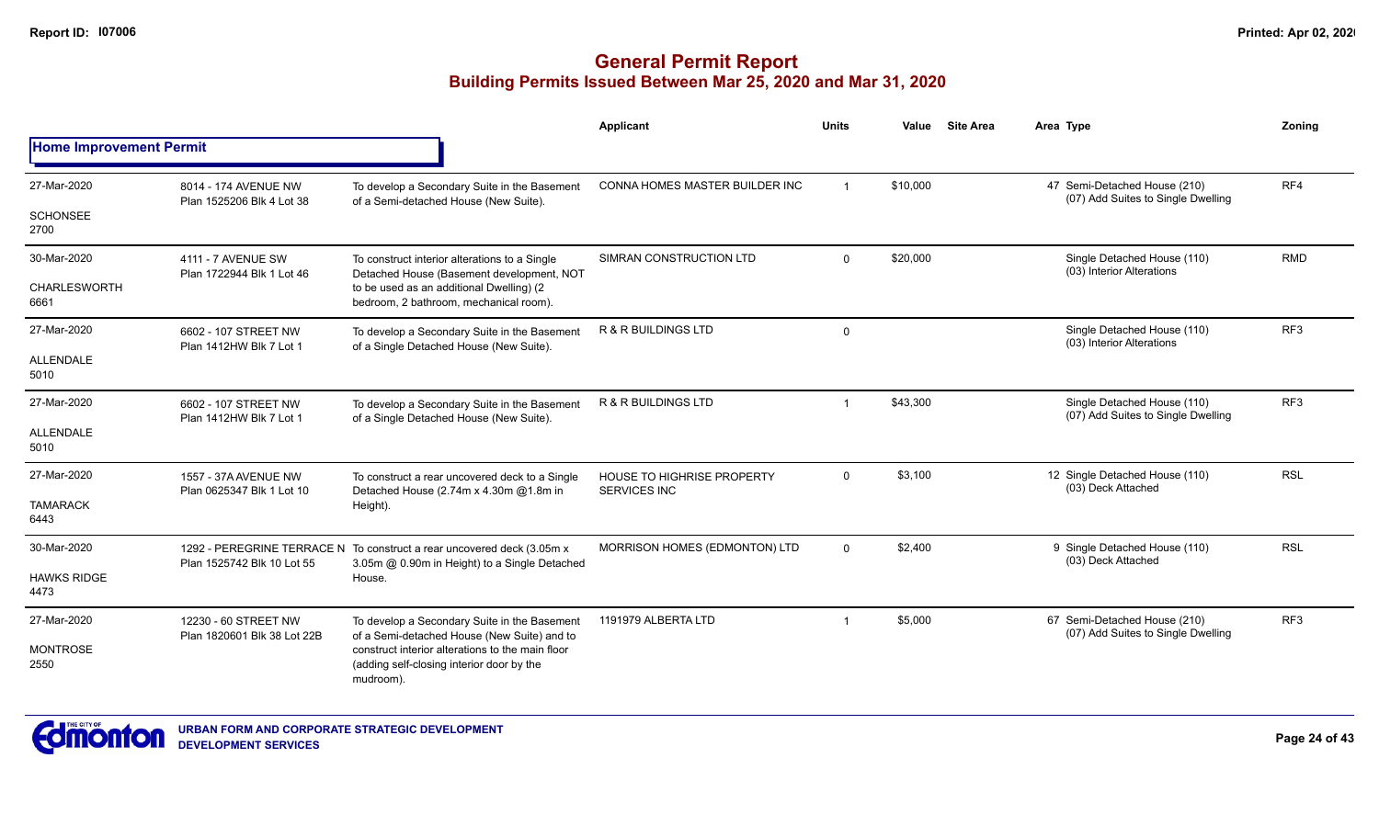|                                |                                                                                                                                                    |                                                                                                                         | Applicant                                         | <b>Units</b>            | Value    | <b>Site Area</b> | Area Type                                                          | <b>Zoning</b>   |
|--------------------------------|----------------------------------------------------------------------------------------------------------------------------------------------------|-------------------------------------------------------------------------------------------------------------------------|---------------------------------------------------|-------------------------|----------|------------------|--------------------------------------------------------------------|-----------------|
| <b>Home Improvement Permit</b> |                                                                                                                                                    |                                                                                                                         |                                                   |                         |          |                  |                                                                    |                 |
| 27-Mar-2020                    | 8014 - 174 AVENUE NW<br>Plan 1525206 Blk 4 Lot 38                                                                                                  | To develop a Secondary Suite in the Basement<br>of a Semi-detached House (New Suite).                                   | CONNA HOMES MASTER BUILDER INC                    | $\overline{1}$          | \$10,000 |                  | 47 Semi-Detached House (210)<br>(07) Add Suites to Single Dwelling | RF4             |
| <b>SCHONSEE</b><br>2700        |                                                                                                                                                    |                                                                                                                         |                                                   |                         |          |                  |                                                                    |                 |
| 30-Mar-2020                    | 4111 - 7 AVENUE SW<br>Plan 1722944 Blk 1 Lot 46                                                                                                    | To construct interior alterations to a Single<br>Detached House (Basement development, NOT                              | SIMRAN CONSTRUCTION LTD                           | $\Omega$                | \$20,000 |                  | Single Detached House (110)<br>(03) Interior Alterations           | <b>RMD</b>      |
| <b>CHARLESWORTH</b><br>6661    |                                                                                                                                                    | to be used as an additional Dwelling) (2<br>bedroom, 2 bathroom, mechanical room).                                      |                                                   |                         |          |                  |                                                                    |                 |
| 27-Mar-2020                    | 6602 - 107 STREET NW<br>Plan 1412HW Blk 7 Lot 1                                                                                                    | To develop a Secondary Suite in the Basement<br>of a Single Detached House (New Suite).                                 | <b>R &amp; R BUILDINGS LTD</b>                    | $\mathbf 0$             |          |                  | Single Detached House (110)<br>(03) Interior Alterations           | RF <sub>3</sub> |
| <b>ALLENDALE</b><br>5010       |                                                                                                                                                    |                                                                                                                         |                                                   |                         |          |                  |                                                                    |                 |
| 27-Mar-2020                    | 6602 - 107 STREET NW<br>Plan 1412HW Blk 7 Lot 1                                                                                                    | To develop a Secondary Suite in the Basement<br>of a Single Detached House (New Suite).                                 | R & R BUILDINGS LTD                               | $\overline{\mathbf{1}}$ | \$43,300 |                  | Single Detached House (110)<br>(07) Add Suites to Single Dwelling  | RF <sub>3</sub> |
| ALLENDALE<br>5010              |                                                                                                                                                    |                                                                                                                         |                                                   |                         |          |                  |                                                                    |                 |
| 27-Mar-2020                    | 1557 - 37A AVENUE NW<br>Plan 0625347 Blk 1 Lot 10                                                                                                  | To construct a rear uncovered deck to a Single<br>Detached House (2.74m x 4.30m @1.8m in                                | HOUSE TO HIGHRISE PROPERTY<br><b>SERVICES INC</b> | $\Omega$                | \$3,100  |                  | 12 Single Detached House (110)<br>(03) Deck Attached               | <b>RSL</b>      |
| <b>TAMARACK</b><br>6443        |                                                                                                                                                    | Height).                                                                                                                |                                                   |                         |          |                  |                                                                    |                 |
| 30-Mar-2020                    |                                                                                                                                                    | 1292 - PEREGRINE TERRACE N To construct a rear uncovered deck (3.05m x<br>3.05m @ 0.90m in Height) to a Single Detached | MORRISON HOMES (EDMONTON) LTD                     | $\mathbf 0$             | \$2,400  |                  | 9 Single Detached House (110)<br>(03) Deck Attached                | <b>RSL</b>      |
| <b>HAWKS RIDGE</b><br>4473     | Plan 1525742 Blk 10 Lot 55                                                                                                                         | House.                                                                                                                  |                                                   |                         |          |                  |                                                                    |                 |
| 27-Mar-2020                    | 12230 - 60 STREET NW<br>To develop a Secondary Suite in the Basement<br>of a Semi-detached House (New Suite) and to<br>Plan 1820601 Blk 38 Lot 22B |                                                                                                                         | 1191979 ALBERTA LTD                               |                         | \$5,000  |                  | 67 Semi-Detached House (210)<br>(07) Add Suites to Single Dwelling | RF <sub>3</sub> |
| <b>MONTROSE</b><br>2550        |                                                                                                                                                    | construct interior alterations to the main floor<br>(adding self-closing interior door by the<br>mudroom).              |                                                   |                         |          |                  |                                                                    |                 |

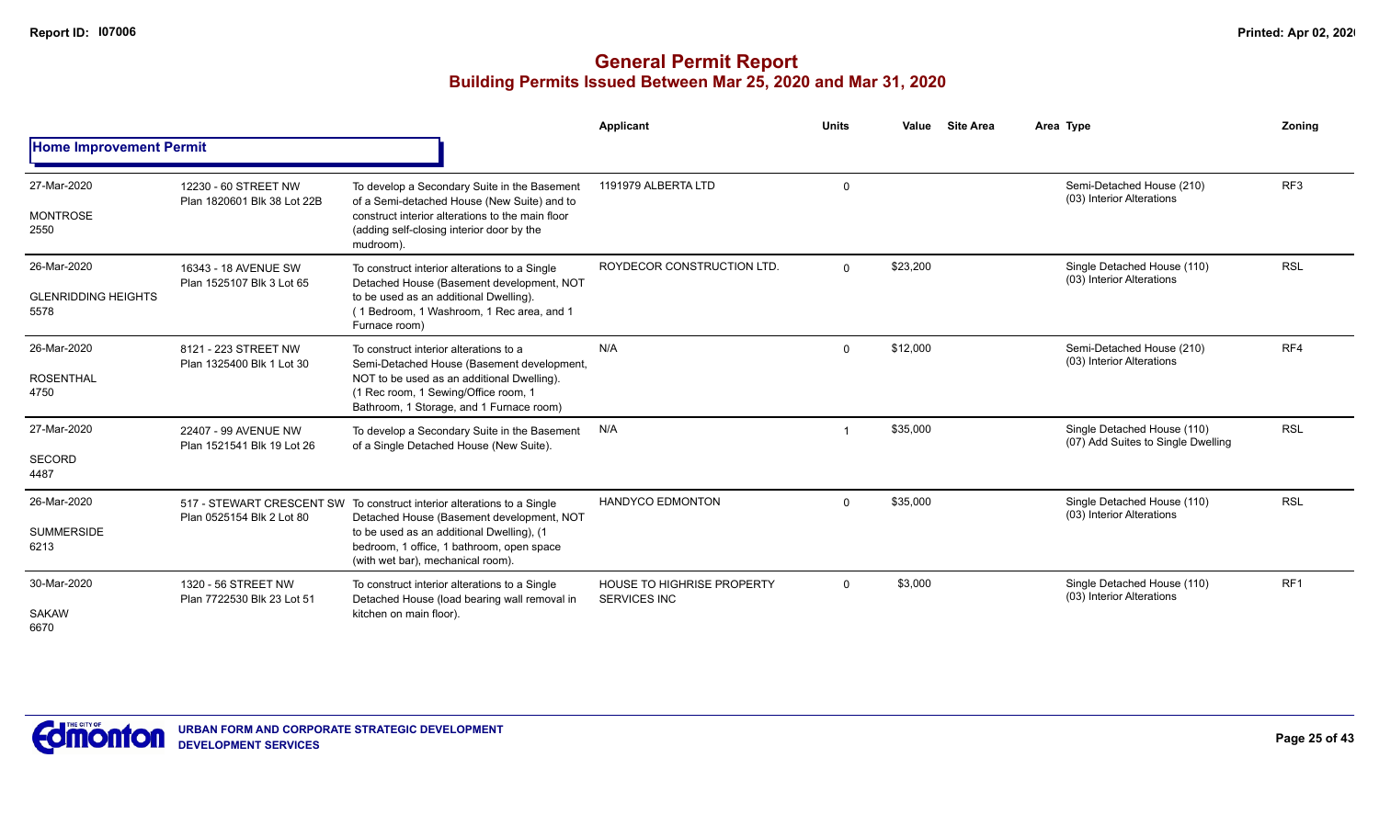|                                                   |                                                     |                                                                                                                                                                                                                                                     | Applicant                                         | <b>Units</b> | Value    | <b>Site Area</b> | Area Type                                                         | Zoning          |
|---------------------------------------------------|-----------------------------------------------------|-----------------------------------------------------------------------------------------------------------------------------------------------------------------------------------------------------------------------------------------------------|---------------------------------------------------|--------------|----------|------------------|-------------------------------------------------------------------|-----------------|
| <b>Home Improvement Permit</b>                    |                                                     |                                                                                                                                                                                                                                                     |                                                   |              |          |                  |                                                                   |                 |
| 27-Mar-2020<br><b>MONTROSE</b><br>2550            | 12230 - 60 STREET NW<br>Plan 1820601 Blk 38 Lot 22B | To develop a Secondary Suite in the Basement<br>of a Semi-detached House (New Suite) and to<br>construct interior alterations to the main floor<br>(adding self-closing interior door by the<br>mudroom).                                           | 1191979 ALBERTA LTD                               | $\mathbf 0$  |          |                  | Semi-Detached House (210)<br>(03) Interior Alterations            | RF <sub>3</sub> |
| 26-Mar-2020<br><b>GLENRIDDING HEIGHTS</b><br>5578 | 16343 - 18 AVENUE SW<br>Plan 1525107 Blk 3 Lot 65   | To construct interior alterations to a Single<br>Detached House (Basement development, NOT<br>to be used as an additional Dwelling).<br>(1 Bedroom, 1 Washroom, 1 Rec area, and 1<br>Furnace room)                                                  | ROYDECOR CONSTRUCTION LTD.                        | $\Omega$     | \$23,200 |                  | Single Detached House (110)<br>(03) Interior Alterations          | <b>RSL</b>      |
| 26-Mar-2020<br><b>ROSENTHAL</b><br>4750           | 8121 - 223 STREET NW<br>Plan 1325400 Blk 1 Lot 30   | To construct interior alterations to a<br>Semi-Detached House (Basement development,<br>NOT to be used as an additional Dwelling).<br>(1 Rec room, 1 Sewing/Office room, 1<br>Bathroom, 1 Storage, and 1 Furnace room)                              | N/A                                               | $\Omega$     | \$12,000 |                  | Semi-Detached House (210)<br>(03) Interior Alterations            | RF4             |
| 27-Mar-2020<br><b>SECORD</b><br>4487              | 22407 - 99 AVENUE NW<br>Plan 1521541 Blk 19 Lot 26  | To develop a Secondary Suite in the Basement<br>of a Single Detached House (New Suite).                                                                                                                                                             | N/A                                               |              | \$35,000 |                  | Single Detached House (110)<br>(07) Add Suites to Single Dwelling | <b>RSL</b>      |
| 26-Mar-2020<br><b>SUMMERSIDE</b><br>6213          | Plan 0525154 Blk 2 Lot 80                           | 517 - STEWART CRESCENT SW To construct interior alterations to a Single<br>Detached House (Basement development, NOT<br>to be used as an additional Dwelling), (1<br>bedroom, 1 office, 1 bathroom, open space<br>(with wet bar), mechanical room). | <b>HANDYCO EDMONTON</b>                           | $\Omega$     | \$35,000 |                  | Single Detached House (110)<br>(03) Interior Alterations          | <b>RSL</b>      |
| 30-Mar-2020<br><b>SAKAW</b><br>6670               | 1320 - 56 STREET NW<br>Plan 7722530 Blk 23 Lot 51   | To construct interior alterations to a Single<br>Detached House (load bearing wall removal in<br>kitchen on main floor).                                                                                                                            | HOUSE TO HIGHRISE PROPERTY<br><b>SERVICES INC</b> | $\Omega$     | \$3,000  |                  | Single Detached House (110)<br>(03) Interior Alterations          | RF <sub>1</sub> |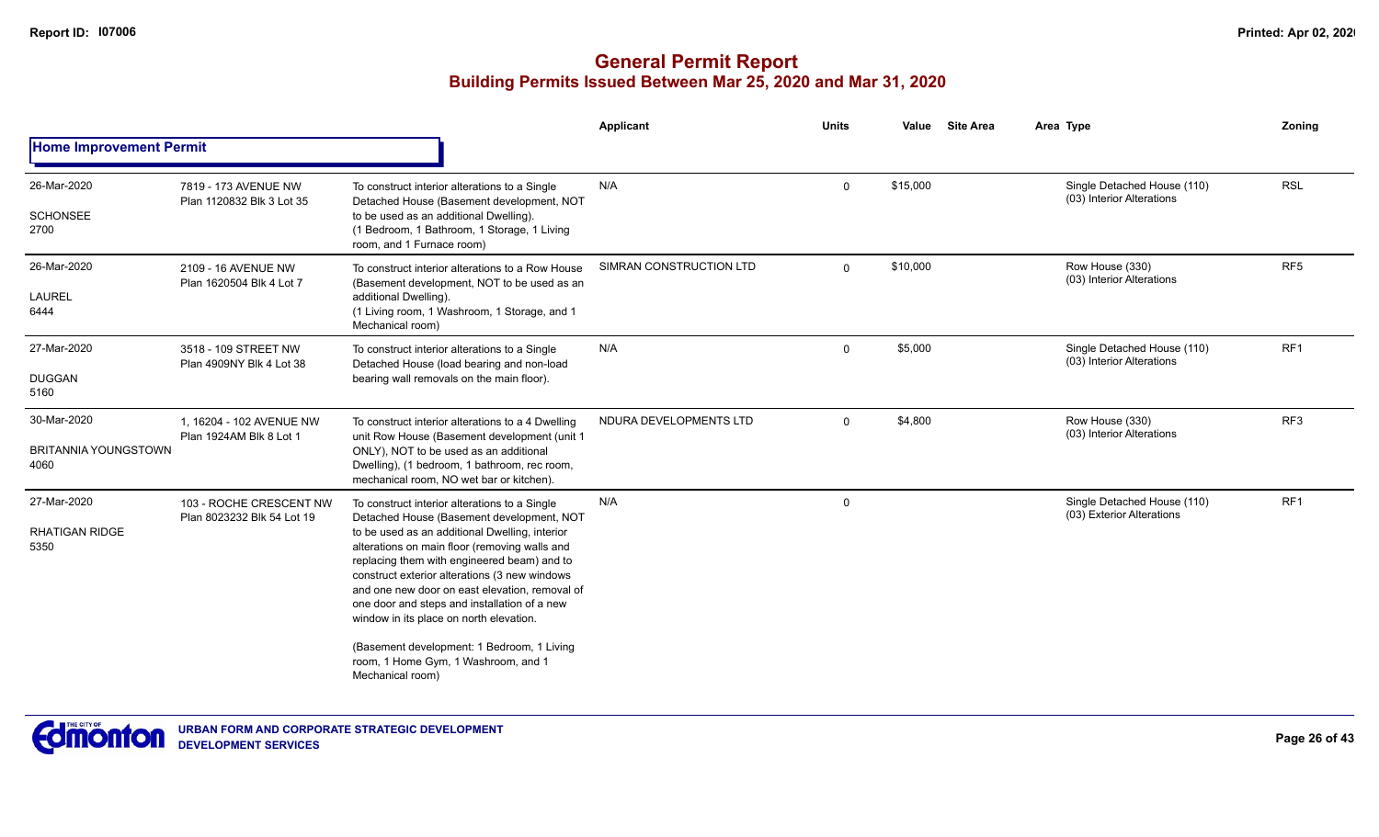|                                                    |                                                       |                                                                                                                                                                                                                                                                                                                                                                                                                                                                                                                                                     | <b>Applicant</b>        | <b>Units</b> | Value    | <b>Site Area</b> | Area Type                                                | Zoning          |
|----------------------------------------------------|-------------------------------------------------------|-----------------------------------------------------------------------------------------------------------------------------------------------------------------------------------------------------------------------------------------------------------------------------------------------------------------------------------------------------------------------------------------------------------------------------------------------------------------------------------------------------------------------------------------------------|-------------------------|--------------|----------|------------------|----------------------------------------------------------|-----------------|
| <b>Home Improvement Permit</b>                     |                                                       |                                                                                                                                                                                                                                                                                                                                                                                                                                                                                                                                                     |                         |              |          |                  |                                                          |                 |
| 26-Mar-2020<br><b>SCHONSEE</b><br>2700             | 7819 - 173 AVENUE NW<br>Plan 1120832 Blk 3 Lot 35     | To construct interior alterations to a Single<br>Detached House (Basement development, NOT<br>to be used as an additional Dwelling).<br>(1 Bedroom, 1 Bathroom, 1 Storage, 1 Living<br>room, and 1 Furnace room)                                                                                                                                                                                                                                                                                                                                    | N/A                     | $\mathbf 0$  | \$15,000 |                  | Single Detached House (110)<br>(03) Interior Alterations | <b>RSL</b>      |
| 26-Mar-2020<br>LAUREL<br>6444                      | 2109 - 16 AVENUE NW<br>Plan 1620504 Blk 4 Lot 7       | To construct interior alterations to a Row House<br>(Basement development, NOT to be used as an<br>additional Dwelling).<br>(1 Living room, 1 Washroom, 1 Storage, and 1<br>Mechanical room)                                                                                                                                                                                                                                                                                                                                                        | SIMRAN CONSTRUCTION LTD | $\Omega$     | \$10,000 |                  | Row House (330)<br>(03) Interior Alterations             | RF <sub>5</sub> |
| 27-Mar-2020<br><b>DUGGAN</b><br>5160               | 3518 - 109 STREET NW<br>Plan 4909NY Blk 4 Lot 38      | To construct interior alterations to a Single<br>Detached House (load bearing and non-load<br>bearing wall removals on the main floor).                                                                                                                                                                                                                                                                                                                                                                                                             | N/A                     | $\Omega$     | \$5,000  |                  | Single Detached House (110)<br>(03) Interior Alterations | RF1             |
| 30-Mar-2020<br><b>BRITANNIA YOUNGSTOWN</b><br>4060 | 1, 16204 - 102 AVENUE NW<br>Plan 1924AM Blk 8 Lot 1   | To construct interior alterations to a 4 Dwelling<br>unit Row House (Basement development (unit 1<br>ONLY), NOT to be used as an additional<br>Dwelling), (1 bedroom, 1 bathroom, rec room,<br>mechanical room, NO wet bar or kitchen).                                                                                                                                                                                                                                                                                                             | NDURA DEVELOPMENTS LTD  | $\Omega$     | \$4,800  |                  | Row House (330)<br>(03) Interior Alterations             | RF3             |
| 27-Mar-2020<br><b>RHATIGAN RIDGE</b><br>5350       | 103 - ROCHE CRESCENT NW<br>Plan 8023232 Blk 54 Lot 19 | To construct interior alterations to a Single<br>Detached House (Basement development, NOT<br>to be used as an additional Dwelling, interior<br>alterations on main floor (removing walls and<br>replacing them with engineered beam) and to<br>construct exterior alterations (3 new windows<br>and one new door on east elevation, removal of<br>one door and steps and installation of a new<br>window in its place on north elevation.<br>(Basement development: 1 Bedroom, 1 Living<br>room, 1 Home Gym, 1 Washroom, and 1<br>Mechanical room) | N/A                     | $\mathbf 0$  |          |                  | Single Detached House (110)<br>(03) Exterior Alterations | RF1             |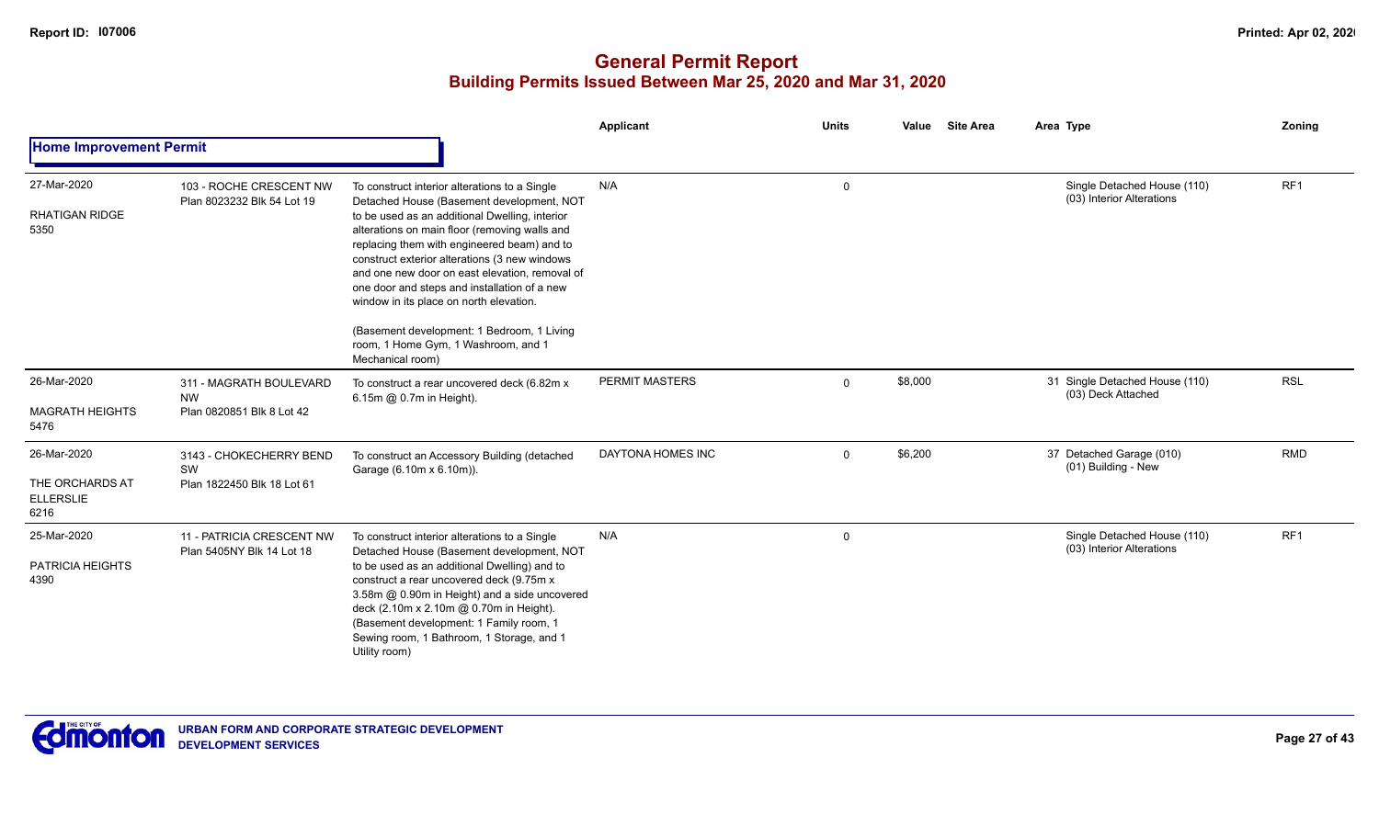|                                                            |                                                                   |                                                                                                                                                                                                                                                                                                                                                                                                                                                                                                                                                     | Applicant             | <b>Units</b> | <b>Site Area</b><br>Value | Area Type                                                | Zoning     |
|------------------------------------------------------------|-------------------------------------------------------------------|-----------------------------------------------------------------------------------------------------------------------------------------------------------------------------------------------------------------------------------------------------------------------------------------------------------------------------------------------------------------------------------------------------------------------------------------------------------------------------------------------------------------------------------------------------|-----------------------|--------------|---------------------------|----------------------------------------------------------|------------|
| <b>Home Improvement Permit</b>                             |                                                                   |                                                                                                                                                                                                                                                                                                                                                                                                                                                                                                                                                     |                       |              |                           |                                                          |            |
| 27-Mar-2020<br><b>RHATIGAN RIDGE</b><br>5350               | 103 - ROCHE CRESCENT NW<br>Plan 8023232 Blk 54 Lot 19             | To construct interior alterations to a Single<br>Detached House (Basement development, NOT<br>to be used as an additional Dwelling, interior<br>alterations on main floor (removing walls and<br>replacing them with engineered beam) and to<br>construct exterior alterations (3 new windows<br>and one new door on east elevation, removal of<br>one door and steps and installation of a new<br>window in its place on north elevation.<br>(Basement development: 1 Bedroom, 1 Living<br>room, 1 Home Gym, 1 Washroom, and 1<br>Mechanical room) | N/A                   | 0            |                           | Single Detached House (110)<br>(03) Interior Alterations | RF1        |
| 26-Mar-2020<br><b>MAGRATH HEIGHTS</b><br>5476              | 311 - MAGRATH BOULEVARD<br><b>NW</b><br>Plan 0820851 Blk 8 Lot 42 | To construct a rear uncovered deck (6.82m x<br>6.15m @ 0.7m in Height).                                                                                                                                                                                                                                                                                                                                                                                                                                                                             | <b>PERMIT MASTERS</b> | $\mathbf{0}$ | \$8,000                   | 31 Single Detached House (110)<br>(03) Deck Attached     | <b>RSL</b> |
| 26-Mar-2020<br>THE ORCHARDS AT<br><b>ELLERSLIE</b><br>6216 | 3143 - CHOKECHERRY BEND<br>SW<br>Plan 1822450 Blk 18 Lot 61       | To construct an Accessory Building (detached<br>Garage (6.10m x 6.10m)).                                                                                                                                                                                                                                                                                                                                                                                                                                                                            | DAYTONA HOMES INC     | $\mathbf{0}$ | \$6,200                   | 37 Detached Garage (010)<br>(01) Building - New          | <b>RMD</b> |
| 25-Mar-2020<br>PATRICIA HEIGHTS<br>4390                    | 11 - PATRICIA CRESCENT NW<br>Plan 5405NY Blk 14 Lot 18            | To construct interior alterations to a Single<br>Detached House (Basement development, NOT<br>to be used as an additional Dwelling) and to<br>construct a rear uncovered deck (9.75m x<br>3.58m @ 0.90m in Height) and a side uncovered<br>deck (2.10m x 2.10m @ 0.70m in Height).<br>(Basement development: 1 Family room, 1<br>Sewing room, 1 Bathroom, 1 Storage, and 1<br>Utility room)                                                                                                                                                         | N/A                   | $\mathbf 0$  |                           | Single Detached House (110)<br>(03) Interior Alterations | RF1        |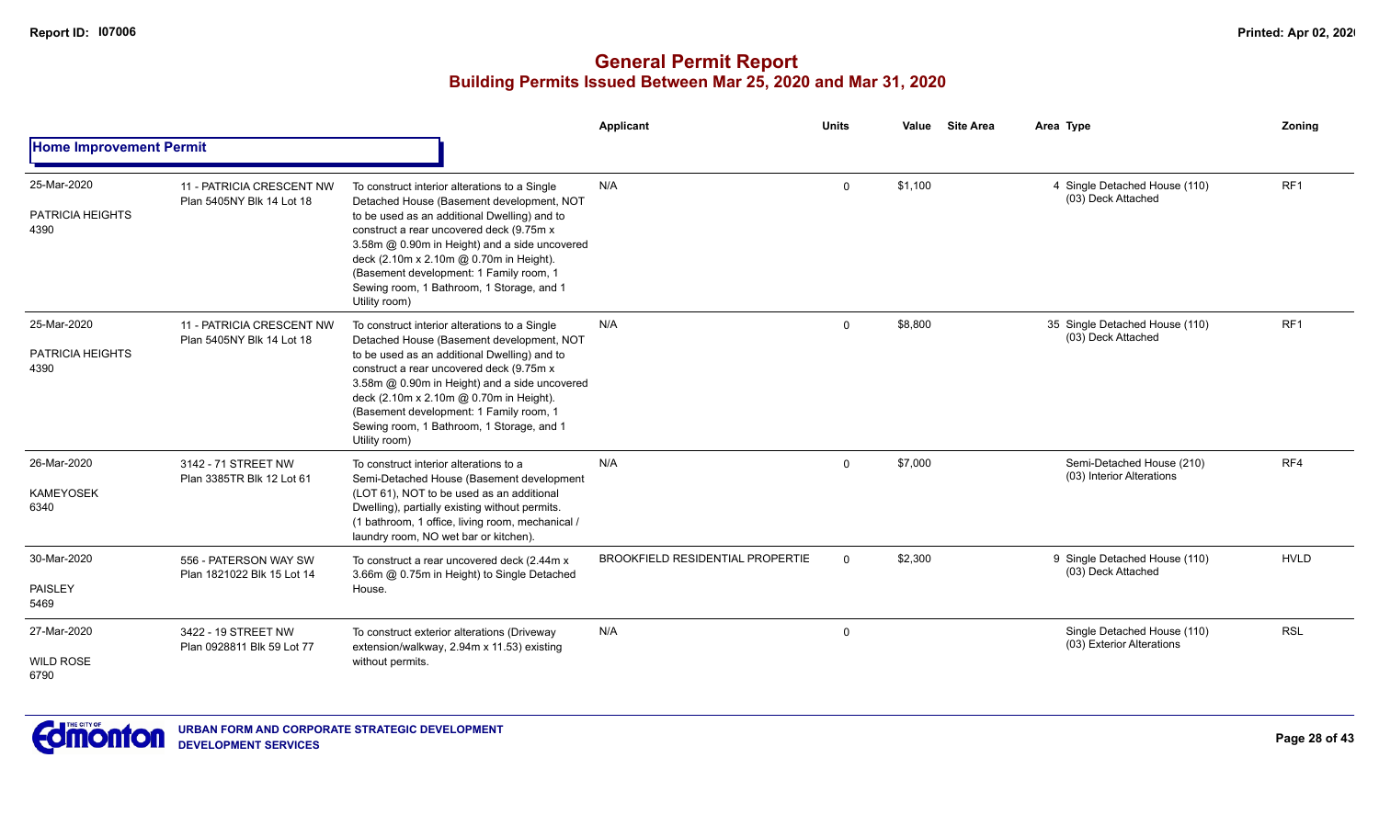#### **General Permit Report Building Permits Issued Between Mar 25, 2020 and Mar 31, 2020**

|                                         |                                                        |                                                                                                                                                                                                                                                                                                                                                                                             | Applicant                               | Units       | Value   | <b>Site Area</b> | Area Type                                                | Zoning          |
|-----------------------------------------|--------------------------------------------------------|---------------------------------------------------------------------------------------------------------------------------------------------------------------------------------------------------------------------------------------------------------------------------------------------------------------------------------------------------------------------------------------------|-----------------------------------------|-------------|---------|------------------|----------------------------------------------------------|-----------------|
| <b>Home Improvement Permit</b>          |                                                        |                                                                                                                                                                                                                                                                                                                                                                                             |                                         |             |         |                  |                                                          |                 |
| 25-Mar-2020<br>PATRICIA HEIGHTS<br>4390 | 11 - PATRICIA CRESCENT NW<br>Plan 5405NY Blk 14 Lot 18 | To construct interior alterations to a Single<br>Detached House (Basement development, NOT<br>to be used as an additional Dwelling) and to<br>construct a rear uncovered deck (9.75m x<br>3.58m @ 0.90m in Height) and a side uncovered<br>deck (2.10m x 2.10m @ 0.70m in Height).<br>(Basement development: 1 Family room, 1<br>Sewing room, 1 Bathroom, 1 Storage, and 1<br>Utility room) | N/A                                     | $\Omega$    | \$1.100 |                  | 4 Single Detached House (110)<br>(03) Deck Attached      | RF <sub>1</sub> |
| 25-Mar-2020<br>PATRICIA HEIGHTS<br>4390 | 11 - PATRICIA CRESCENT NW<br>Plan 5405NY Blk 14 Lot 18 | To construct interior alterations to a Single<br>Detached House (Basement development, NOT<br>to be used as an additional Dwelling) and to<br>construct a rear uncovered deck (9.75m x<br>3.58m @ 0.90m in Height) and a side uncovered<br>deck (2.10m x 2.10m @ 0.70m in Height).<br>(Basement development: 1 Family room, 1<br>Sewing room, 1 Bathroom, 1 Storage, and 1<br>Utility room) | N/A                                     | $\Omega$    | \$8,800 |                  | 35 Single Detached House (110)<br>(03) Deck Attached     | RF <sub>1</sub> |
| 26-Mar-2020<br><b>KAMEYOSEK</b><br>6340 | 3142 - 71 STREET NW<br>Plan 3385TR Blk 12 Lot 61       | To construct interior alterations to a<br>Semi-Detached House (Basement development<br>(LOT 61), NOT to be used as an additional<br>Dwelling), partially existing without permits.<br>(1 bathroom, 1 office, living room, mechanical /<br>laundry room, NO wet bar or kitchen).                                                                                                             | N/A                                     | $\Omega$    | \$7,000 |                  | Semi-Detached House (210)<br>(03) Interior Alterations   | RF4             |
| 30-Mar-2020<br>PAISLEY<br>5469          | 556 - PATERSON WAY SW<br>Plan 1821022 Blk 15 Lot 14    | To construct a rear uncovered deck (2.44m x<br>3.66m @ 0.75m in Height) to Single Detached<br>House.                                                                                                                                                                                                                                                                                        | <b>BROOKFIELD RESIDENTIAL PROPERTIE</b> | $\Omega$    | \$2,300 |                  | 9 Single Detached House (110)<br>(03) Deck Attached      | <b>HVLD</b>     |
| 27-Mar-2020<br><b>WILD ROSE</b><br>6790 | 3422 - 19 STREET NW<br>Plan 0928811 Blk 59 Lot 77      | To construct exterior alterations (Driveway<br>extension/walkway, 2.94m x 11.53) existing<br>without permits.                                                                                                                                                                                                                                                                               | N/A                                     | $\mathbf 0$ |         |                  | Single Detached House (110)<br>(03) Exterior Alterations | <b>RSL</b>      |



**Page 28 of 43**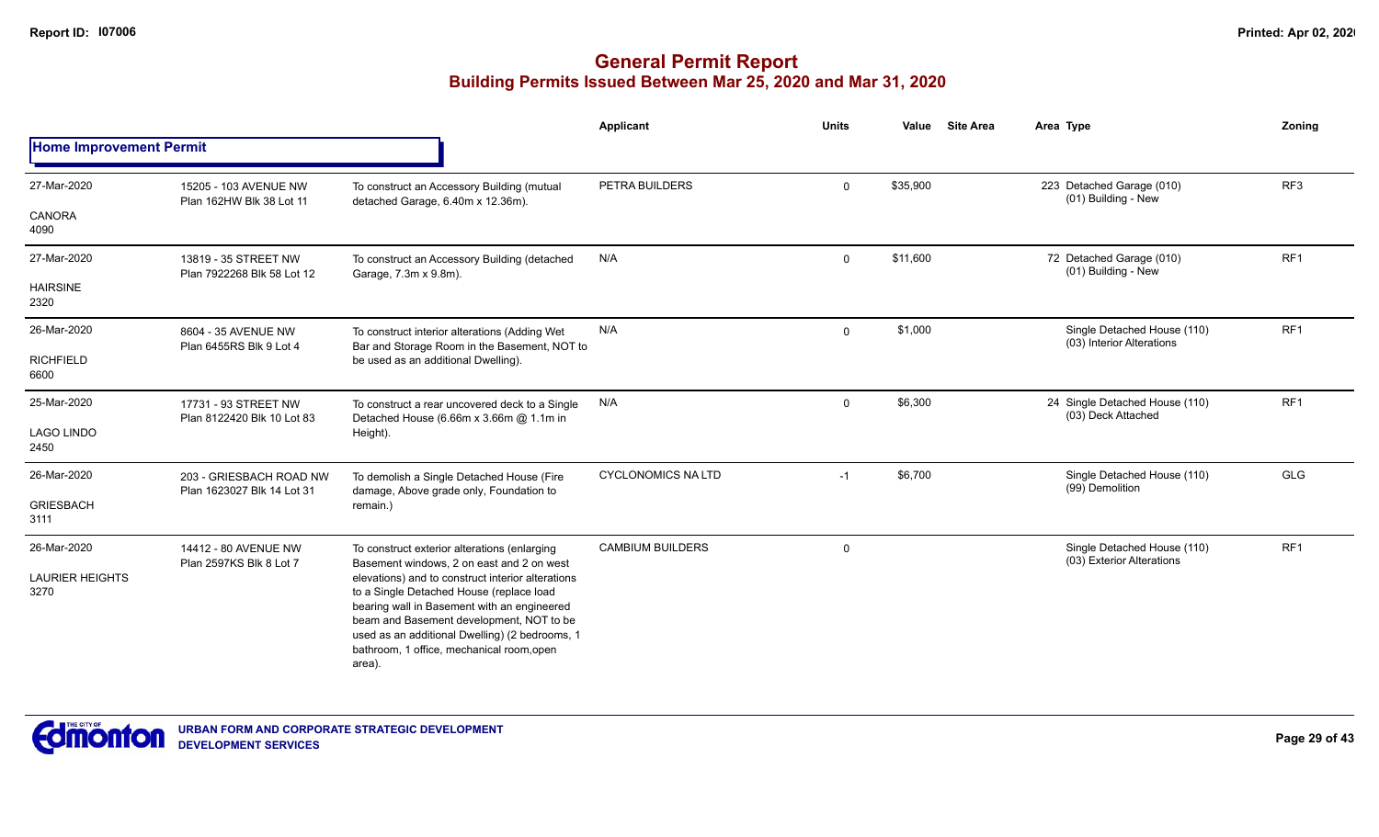|                                |                                                       |                                                                                                                                                                                                                                                                                                   | <b>Applicant</b>                | <b>Units</b> | Value    | <b>Site Area</b>                               | Area Type                                                | Zoning          |
|--------------------------------|-------------------------------------------------------|---------------------------------------------------------------------------------------------------------------------------------------------------------------------------------------------------------------------------------------------------------------------------------------------------|---------------------------------|--------------|----------|------------------------------------------------|----------------------------------------------------------|-----------------|
| <b>Home Improvement Permit</b> |                                                       |                                                                                                                                                                                                                                                                                                   |                                 |              |          |                                                |                                                          |                 |
| 27-Mar-2020                    | 15205 - 103 AVENUE NW<br>Plan 162HW Blk 38 Lot 11     | To construct an Accessory Building (mutual<br>detached Garage, 6.40m x 12.36m).                                                                                                                                                                                                                   | PETRA BUILDERS                  | $\mathbf 0$  | \$35,900 |                                                | 223 Detached Garage (010)<br>(01) Building - New         | RF3             |
| CANORA<br>4090                 |                                                       |                                                                                                                                                                                                                                                                                                   |                                 |              |          |                                                |                                                          |                 |
| 27-Mar-2020                    | 13819 - 35 STREET NW<br>Plan 7922268 Blk 58 Lot 12    | To construct an Accessory Building (detached<br>Garage, 7.3m x 9.8m).                                                                                                                                                                                                                             | N/A                             | $\Omega$     | \$11,600 |                                                | 72 Detached Garage (010)<br>(01) Building - New          | RF <sub>1</sub> |
| <b>HAIRSINE</b><br>2320        |                                                       |                                                                                                                                                                                                                                                                                                   |                                 |              |          |                                                |                                                          |                 |
| 26-Mar-2020                    | 8604 - 35 AVENUE NW<br>Plan 6455RS Blk 9 Lot 4        | To construct interior alterations (Adding Wet<br>Bar and Storage Room in the Basement, NOT to                                                                                                                                                                                                     | N/A                             | $\Omega$     | \$1,000  |                                                | Single Detached House (110)<br>(03) Interior Alterations | RF <sub>1</sub> |
| <b>RICHFIELD</b><br>6600       |                                                       | be used as an additional Dwelling).                                                                                                                                                                                                                                                               |                                 |              |          |                                                |                                                          |                 |
| 25-Mar-2020                    | 17731 - 93 STREET NW<br>Plan 8122420 Blk 10 Lot 83    | To construct a rear uncovered deck to a Single<br>Detached House (6.66m x 3.66m @ 1.1m in                                                                                                                                                                                                         | N/A                             | $\Omega$     | \$6,300  |                                                | 24 Single Detached House (110)<br>(03) Deck Attached     | RF <sub>1</sub> |
| <b>LAGO LINDO</b><br>2450      |                                                       | Height).                                                                                                                                                                                                                                                                                          |                                 |              |          |                                                |                                                          |                 |
| 26-Mar-2020                    | 203 - GRIESBACH ROAD NW<br>Plan 1623027 Blk 14 Lot 31 | To demolish a Single Detached House (Fire<br>damage, Above grade only, Foundation to                                                                                                                                                                                                              | <b>CYCLONOMICS NA LTD</b><br>-1 | \$6,700      |          | Single Detached House (110)<br>(99) Demolition | <b>GLG</b>                                               |                 |
| <b>GRIESBACH</b><br>3111       |                                                       | remain.)                                                                                                                                                                                                                                                                                          |                                 |              |          |                                                |                                                          |                 |
| 26-Mar-2020                    | 14412 - 80 AVENUE NW<br>Plan 2597KS Blk 8 Lot 7       | To construct exterior alterations (enlarging<br>Basement windows, 2 on east and 2 on west                                                                                                                                                                                                         | <b>CAMBIUM BUILDERS</b>         | $\mathbf 0$  |          |                                                | Single Detached House (110)<br>(03) Exterior Alterations | RF <sub>1</sub> |
| <b>LAURIER HEIGHTS</b><br>3270 |                                                       | elevations) and to construct interior alterations<br>to a Single Detached House (replace load<br>bearing wall in Basement with an engineered<br>beam and Basement development, NOT to be<br>used as an additional Dwelling) (2 bedrooms, 1<br>bathroom, 1 office, mechanical room, open<br>area). |                                 |              |          |                                                |                                                          |                 |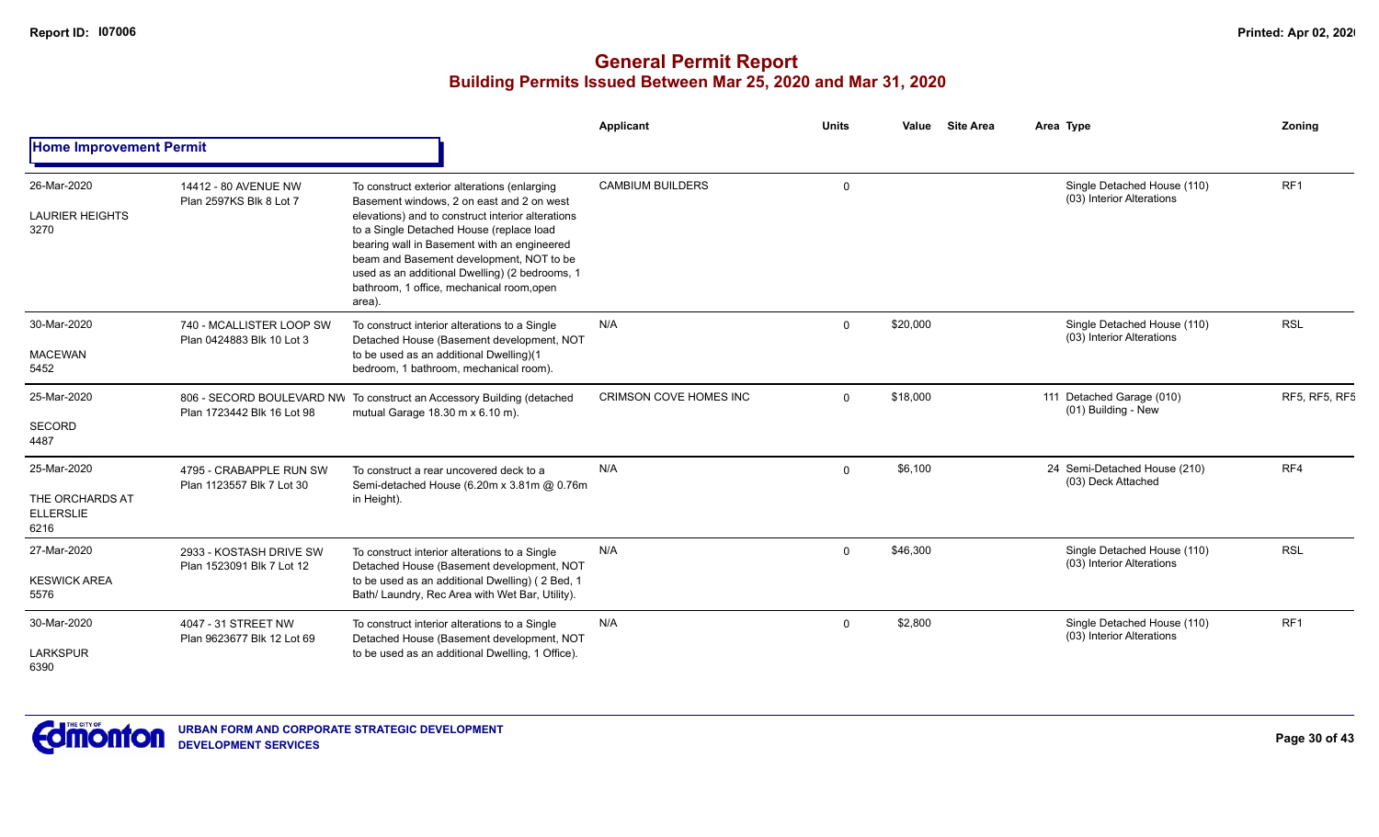|                                                            |                                                       |                                                                                                                                                                                                                                                                                                                                                                                                | Applicant                     | <b>Units</b> | Value    | <b>Site Area</b> | Area Type                                                | Zoning               |
|------------------------------------------------------------|-------------------------------------------------------|------------------------------------------------------------------------------------------------------------------------------------------------------------------------------------------------------------------------------------------------------------------------------------------------------------------------------------------------------------------------------------------------|-------------------------------|--------------|----------|------------------|----------------------------------------------------------|----------------------|
| <b>Home Improvement Permit</b>                             |                                                       |                                                                                                                                                                                                                                                                                                                                                                                                |                               |              |          |                  |                                                          |                      |
| 26-Mar-2020<br><b>LAURIER HEIGHTS</b><br>3270              | 14412 - 80 AVENUE NW<br>Plan 2597KS Blk 8 Lot 7       | To construct exterior alterations (enlarging<br>Basement windows, 2 on east and 2 on west<br>elevations) and to construct interior alterations<br>to a Single Detached House (replace load<br>bearing wall in Basement with an engineered<br>beam and Basement development, NOT to be<br>used as an additional Dwelling) (2 bedrooms, 1<br>bathroom, 1 office, mechanical room, open<br>area). | <b>CAMBIUM BUILDERS</b>       | $\mathbf 0$  |          |                  | Single Detached House (110)<br>(03) Interior Alterations | RF <sub>1</sub>      |
| 30-Mar-2020<br><b>MACEWAN</b><br>5452                      | 740 - MCALLISTER LOOP SW<br>Plan 0424883 Blk 10 Lot 3 | To construct interior alterations to a Single<br>Detached House (Basement development, NOT<br>to be used as an additional Dwelling)(1<br>bedroom, 1 bathroom, mechanical room).                                                                                                                                                                                                                | N/A                           | $\Omega$     | \$20,000 |                  | Single Detached House (110)<br>(03) Interior Alterations | <b>RSL</b>           |
| 25-Mar-2020<br><b>SECORD</b><br>4487                       | Plan 1723442 Blk 16 Lot 98                            | 806 - SECORD BOULEVARD NW To construct an Accessory Building (detached<br>mutual Garage 18.30 m x 6.10 m).                                                                                                                                                                                                                                                                                     | <b>CRIMSON COVE HOMES INC</b> | $\Omega$     | \$18,000 |                  | 111 Detached Garage (010)<br>(01) Building - New         | <b>RF5, RF5, RF5</b> |
| 25-Mar-2020<br>THE ORCHARDS AT<br><b>ELLERSLIE</b><br>6216 | 4795 - CRABAPPLE RUN SW<br>Plan 1123557 Blk 7 Lot 30  | To construct a rear uncovered deck to a<br>Semi-detached House (6.20m x 3.81m @ 0.76m<br>in Height).                                                                                                                                                                                                                                                                                           | N/A                           | $\Omega$     | \$6,100  |                  | 24 Semi-Detached House (210)<br>(03) Deck Attached       | RF4                  |
| 27-Mar-2020<br><b>KESWICK AREA</b><br>5576                 | 2933 - KOSTASH DRIVE SW<br>Plan 1523091 Blk 7 Lot 12  | To construct interior alterations to a Single<br>Detached House (Basement development, NOT<br>to be used as an additional Dwelling) (2 Bed, 1<br>Bath/ Laundry, Rec Area with Wet Bar, Utility).                                                                                                                                                                                               | N/A                           | $\Omega$     | \$46,300 |                  | Single Detached House (110)<br>(03) Interior Alterations | <b>RSL</b>           |
| 30-Mar-2020<br><b>LARKSPUR</b><br>6390                     | 4047 - 31 STREET NW<br>Plan 9623677 Blk 12 Lot 69     | To construct interior alterations to a Single<br>Detached House (Basement development, NOT<br>to be used as an additional Dwelling, 1 Office).                                                                                                                                                                                                                                                 | N/A                           | $\Omega$     | \$2,800  |                  | Single Detached House (110)<br>(03) Interior Alterations | RF1                  |

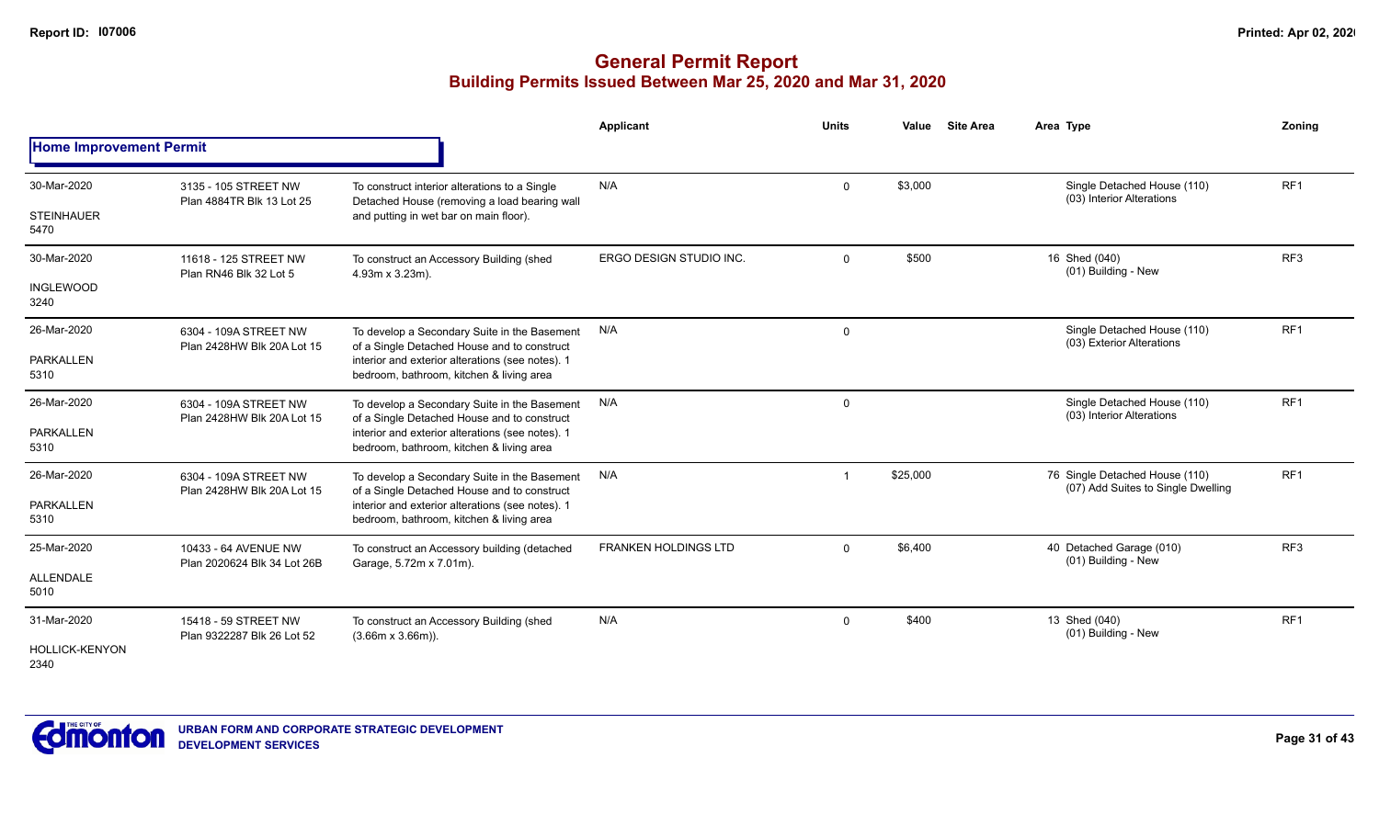|                                |                                                     |                                                                                               | Applicant                   | <b>Units</b>   | Value    | <b>Site Area</b> | Area Type                                                            | Zoning          |
|--------------------------------|-----------------------------------------------------|-----------------------------------------------------------------------------------------------|-----------------------------|----------------|----------|------------------|----------------------------------------------------------------------|-----------------|
| <b>Home Improvement Permit</b> |                                                     |                                                                                               |                             |                |          |                  |                                                                      |                 |
| 30-Mar-2020                    | 3135 - 105 STREET NW<br>Plan 4884TR Blk 13 Lot 25   | To construct interior alterations to a Single<br>Detached House (removing a load bearing wall | N/A                         | $\mathbf 0$    | \$3,000  |                  | Single Detached House (110)<br>(03) Interior Alterations             | RF <sub>1</sub> |
| <b>STEINHAUER</b><br>5470      |                                                     | and putting in wet bar on main floor).                                                        |                             |                |          |                  |                                                                      |                 |
| 30-Mar-2020                    | 11618 - 125 STREET NW<br>Plan RN46 Blk 32 Lot 5     | To construct an Accessory Building (shed<br>4.93m x 3.23m).                                   | ERGO DESIGN STUDIO INC.     | $\mathbf 0$    | \$500    |                  | 16 Shed (040)<br>(01) Building - New                                 | RF <sub>3</sub> |
| <b>INGLEWOOD</b><br>3240       |                                                     |                                                                                               |                             |                |          |                  |                                                                      |                 |
| 26-Mar-2020                    | 6304 - 109A STREET NW<br>Plan 2428HW Blk 20A Lot 15 | To develop a Secondary Suite in the Basement<br>of a Single Detached House and to construct   | N/A                         | $\mathbf 0$    |          |                  | Single Detached House (110)<br>(03) Exterior Alterations             | RF <sub>1</sub> |
| PARKALLEN<br>5310              |                                                     | interior and exterior alterations (see notes). 1<br>bedroom, bathroom, kitchen & living area  |                             |                |          |                  |                                                                      |                 |
| 26-Mar-2020                    | 6304 - 109A STREET NW<br>Plan 2428HW Blk 20A Lot 15 | To develop a Secondary Suite in the Basement<br>of a Single Detached House and to construct   | N/A                         | $\mathbf 0$    |          |                  | Single Detached House (110)<br>(03) Interior Alterations             | RF1             |
| <b>PARKALLEN</b><br>5310       |                                                     | interior and exterior alterations (see notes). 1<br>bedroom, bathroom, kitchen & living area  |                             |                |          |                  |                                                                      |                 |
| 26-Mar-2020                    | 6304 - 109A STREET NW<br>Plan 2428HW Blk 20A Lot 15 | To develop a Secondary Suite in the Basement<br>of a Single Detached House and to construct   | N/A                         | -1             | \$25,000 |                  | 76 Single Detached House (110)<br>(07) Add Suites to Single Dwelling | RF <sub>1</sub> |
| <b>PARKALLEN</b><br>5310       |                                                     | interior and exterior alterations (see notes). 1<br>bedroom, bathroom, kitchen & living area  |                             |                |          |                  |                                                                      |                 |
| 25-Mar-2020                    | 10433 - 64 AVENUE NW                                | To construct an Accessory building (detached<br>Garage, 5.72m x 7.01m).                       | <b>FRANKEN HOLDINGS LTD</b> | $\mathbf 0$    | \$6,400  |                  | 40 Detached Garage (010)<br>(01) Building - New                      | RF <sub>3</sub> |
| <b>ALLENDALE</b><br>5010       | Plan 2020624 Blk 34 Lot 26B                         |                                                                                               |                             |                |          |                  |                                                                      |                 |
| 31-Mar-2020                    | 15418 - 59 STREET NW<br>Plan 9322287 Blk 26 Lot 52  | To construct an Accessory Building (shed<br>$(3.66m \times 3.66m)$ ).                         | N/A                         | $\overline{0}$ | \$400    |                  | 13 Shed (040)<br>(01) Building - New                                 | RF <sub>1</sub> |
| <b>HOLLICK-KENYON</b><br>2340  |                                                     |                                                                                               |                             |                |          |                  |                                                                      |                 |

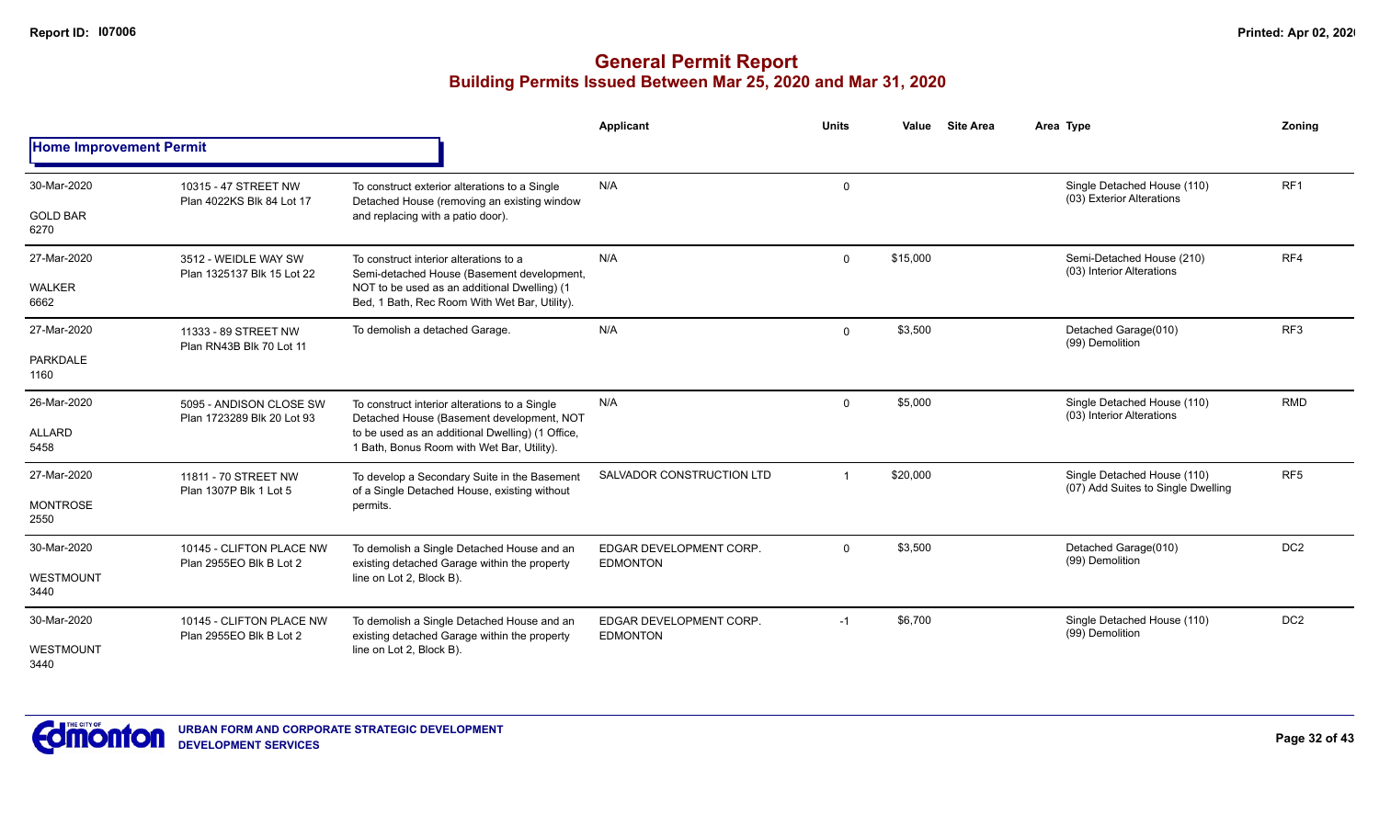|                                |                                                       |                                                                                                | Applicant                                  | <b>Units</b> | <b>Site Area</b><br>Value | Area Type                                                         | Zonina          |
|--------------------------------|-------------------------------------------------------|------------------------------------------------------------------------------------------------|--------------------------------------------|--------------|---------------------------|-------------------------------------------------------------------|-----------------|
| <b>Home Improvement Permit</b> |                                                       |                                                                                                |                                            |              |                           |                                                                   |                 |
| 30-Mar-2020                    | 10315 - 47 STREET NW<br>Plan 4022KS Blk 84 Lot 17     | To construct exterior alterations to a Single<br>Detached House (removing an existing window   | N/A                                        | 0            |                           | Single Detached House (110)<br>(03) Exterior Alterations          | RF <sub>1</sub> |
| <b>GOLD BAR</b><br>6270        |                                                       | and replacing with a patio door).                                                              |                                            |              |                           |                                                                   |                 |
| 27-Mar-2020                    | 3512 - WEIDLE WAY SW<br>Plan 1325137 Blk 15 Lot 22    | To construct interior alterations to a<br>Semi-detached House (Basement development,           | N/A                                        | $\mathbf 0$  | \$15,000                  | Semi-Detached House (210)<br>(03) Interior Alterations            | RF4             |
| WALKER<br>6662                 |                                                       | NOT to be used as an additional Dwelling) (1<br>Bed, 1 Bath, Rec Room With Wet Bar, Utility).  |                                            |              |                           |                                                                   |                 |
| 27-Mar-2020                    | 11333 - 89 STREET NW<br>Plan RN43B Blk 70 Lot 11      | To demolish a detached Garage.                                                                 | N/A                                        | $\mathbf 0$  | \$3,500                   | Detached Garage(010)<br>(99) Demolition                           | RF <sub>3</sub> |
| <b>PARKDALE</b><br>1160        |                                                       |                                                                                                |                                            |              |                           |                                                                   |                 |
| 26-Mar-2020                    | 5095 - ANDISON CLOSE SW<br>Plan 1723289 Blk 20 Lot 93 | To construct interior alterations to a Single<br>Detached House (Basement development, NOT     | N/A                                        | $\mathbf{0}$ | \$5,000                   | Single Detached House (110)<br>(03) Interior Alterations          | <b>RMD</b>      |
| <b>ALLARD</b><br>5458          |                                                       | to be used as an additional Dwelling) (1 Office,<br>1 Bath, Bonus Room with Wet Bar, Utility). |                                            |              |                           |                                                                   |                 |
| 27-Mar-2020                    | 11811 - 70 STREET NW<br>Plan 1307P Blk 1 Lot 5        | To develop a Secondary Suite in the Basement<br>of a Single Detached House, existing without   | SALVADOR CONSTRUCTION LTD                  |              | \$20,000                  | Single Detached House (110)<br>(07) Add Suites to Single Dwelling | RF <sub>5</sub> |
| <b>MONTROSE</b><br>2550        |                                                       | permits.                                                                                       |                                            |              |                           |                                                                   |                 |
| 30-Mar-2020                    | 10145 - CLIFTON PLACE NW<br>Plan 2955EO Blk B Lot 2   | To demolish a Single Detached House and an<br>existing detached Garage within the property     | EDGAR DEVELOPMENT CORP.<br><b>EDMONTON</b> | $\mathbf 0$  | \$3,500                   | Detached Garage(010)<br>(99) Demolition                           | DC <sub>2</sub> |
| WESTMOUNT<br>3440              |                                                       | line on Lot 2, Block B).                                                                       |                                            |              |                           |                                                                   |                 |
| 30-Mar-2020                    | 10145 - CLIFTON PLACE NW<br>Plan 2955EO Blk B Lot 2   | To demolish a Single Detached House and an<br>existing detached Garage within the property     | EDGAR DEVELOPMENT CORP.<br><b>EDMONTON</b> | $-1$         | \$6,700                   | Single Detached House (110)<br>(99) Demolition                    | DC <sub>2</sub> |
| WESTMOUNT<br>3440              |                                                       | line on Lot 2, Block B).                                                                       |                                            |              |                           |                                                                   |                 |

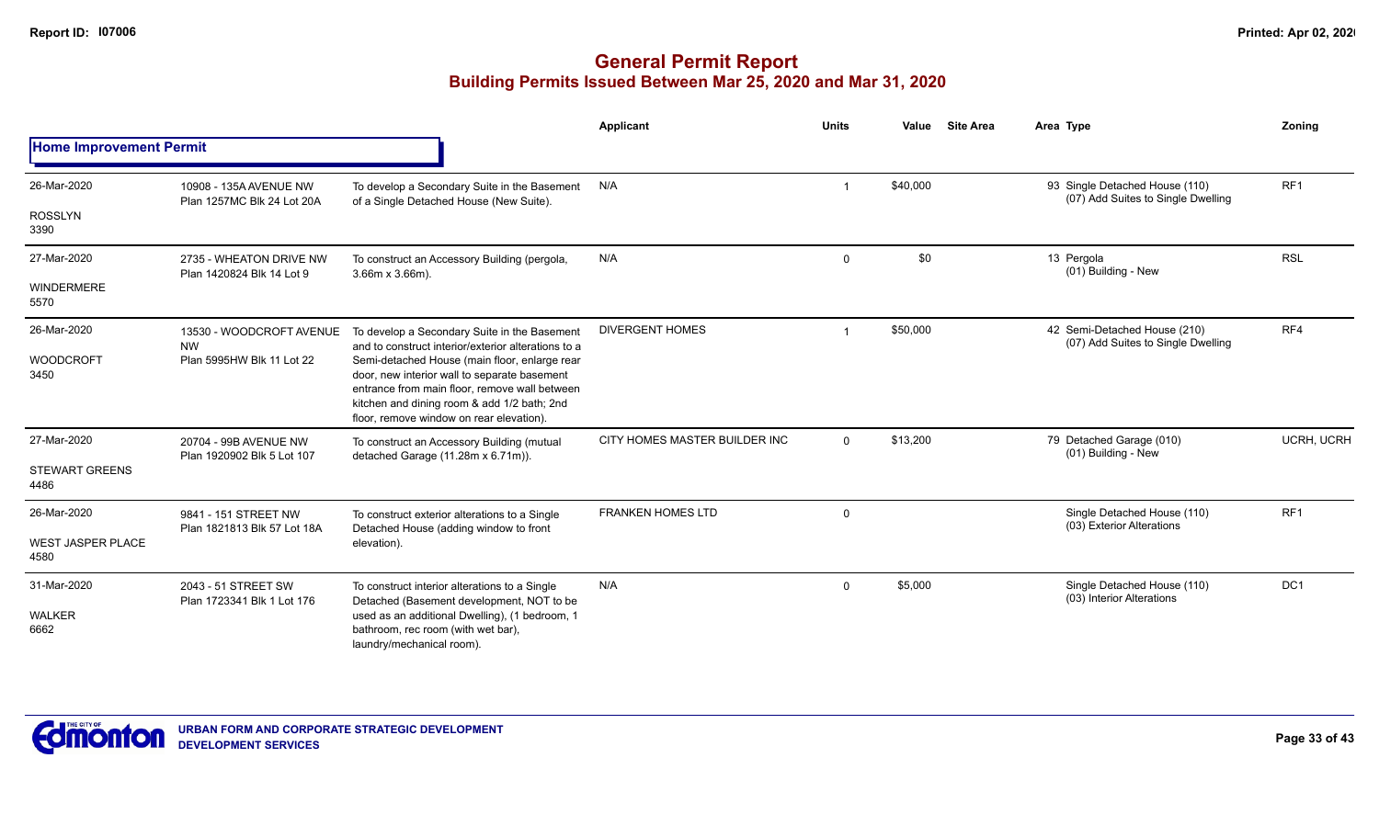|                                  |                                                      |                                                                                                                                                                                                                                           | <b>Applicant</b>              | <b>Units</b>   | Value    | <b>Site Area</b> | Area Type                                                            | Zoning            |
|----------------------------------|------------------------------------------------------|-------------------------------------------------------------------------------------------------------------------------------------------------------------------------------------------------------------------------------------------|-------------------------------|----------------|----------|------------------|----------------------------------------------------------------------|-------------------|
| <b>Home Improvement Permit</b>   |                                                      |                                                                                                                                                                                                                                           |                               |                |          |                  |                                                                      |                   |
| 26-Mar-2020                      | 10908 - 135A AVENUE NW<br>Plan 1257MC Blk 24 Lot 20A | To develop a Secondary Suite in the Basement<br>of a Single Detached House (New Suite).                                                                                                                                                   | N/A                           | $\overline{1}$ | \$40,000 |                  | 93 Single Detached House (110)<br>(07) Add Suites to Single Dwelling | RF <sub>1</sub>   |
| <b>ROSSLYN</b><br>3390           |                                                      |                                                                                                                                                                                                                                           |                               |                |          |                  |                                                                      |                   |
| 27-Mar-2020                      | 2735 - WHEATON DRIVE NW<br>Plan 1420824 Blk 14 Lot 9 | To construct an Accessory Building (pergola,<br>$3.66m \times 3.66m$ ).                                                                                                                                                                   | N/A                           | $\mathbf 0$    | \$0      |                  | 13 Pergola<br>(01) Building - New                                    | <b>RSL</b>        |
| WINDERMERE<br>5570               |                                                      |                                                                                                                                                                                                                                           |                               |                |          |                  |                                                                      |                   |
| 26-Mar-2020                      | 13530 - WOODCROFT AVENUE<br><b>NW</b>                | To develop a Secondary Suite in the Basement<br>and to construct interior/exterior alterations to a                                                                                                                                       | <b>DIVERGENT HOMES</b>        |                | \$50,000 |                  | 42 Semi-Detached House (210)<br>(07) Add Suites to Single Dwelling   | RF4               |
| <b>WOODCROFT</b><br>3450         | Plan 5995HW Blk 11 Lot 22                            | Semi-detached House (main floor, enlarge rear<br>door, new interior wall to separate basement<br>entrance from main floor, remove wall between<br>kitchen and dining room & add 1/2 bath; 2nd<br>floor, remove window on rear elevation). |                               |                |          |                  |                                                                      |                   |
| 27-Mar-2020                      | 20704 - 99B AVENUE NW<br>Plan 1920902 Blk 5 Lot 107  | To construct an Accessory Building (mutual<br>detached Garage (11.28m x 6.71m)).                                                                                                                                                          | CITY HOMES MASTER BUILDER INC | $\Omega$       | \$13,200 |                  | 79 Detached Garage (010)<br>(01) Building - New                      | <b>UCRH, UCRH</b> |
| <b>STEWART GREENS</b><br>4486    |                                                      |                                                                                                                                                                                                                                           |                               |                |          |                  |                                                                      |                   |
| 26-Mar-2020                      | 9841 - 151 STREET NW                                 | To construct exterior alterations to a Single<br>Detached House (adding window to front                                                                                                                                                   | <b>FRANKEN HOMES LTD</b>      | $\mathbf 0$    |          |                  | Single Detached House (110)<br>(03) Exterior Alterations             | RF <sub>1</sub>   |
| <b>WEST JASPER PLACE</b><br>4580 | Plan 1821813 Blk 57 Lot 18A                          | elevation).                                                                                                                                                                                                                               |                               |                |          |                  |                                                                      |                   |
| 31-Mar-2020                      | 2043 - 51 STREET SW<br>Plan 1723341 Blk 1 Lot 176    | To construct interior alterations to a Single<br>Detached (Basement development, NOT to be                                                                                                                                                | N/A                           | $\overline{0}$ | \$5,000  |                  | Single Detached House (110)<br>(03) Interior Alterations             | DC <sub>1</sub>   |
| <b>WALKER</b><br>6662            |                                                      | used as an additional Dwelling), (1 bedroom, 1<br>bathroom, rec room (with wet bar),<br>laundry/mechanical room).                                                                                                                         |                               |                |          |                  |                                                                      |                   |

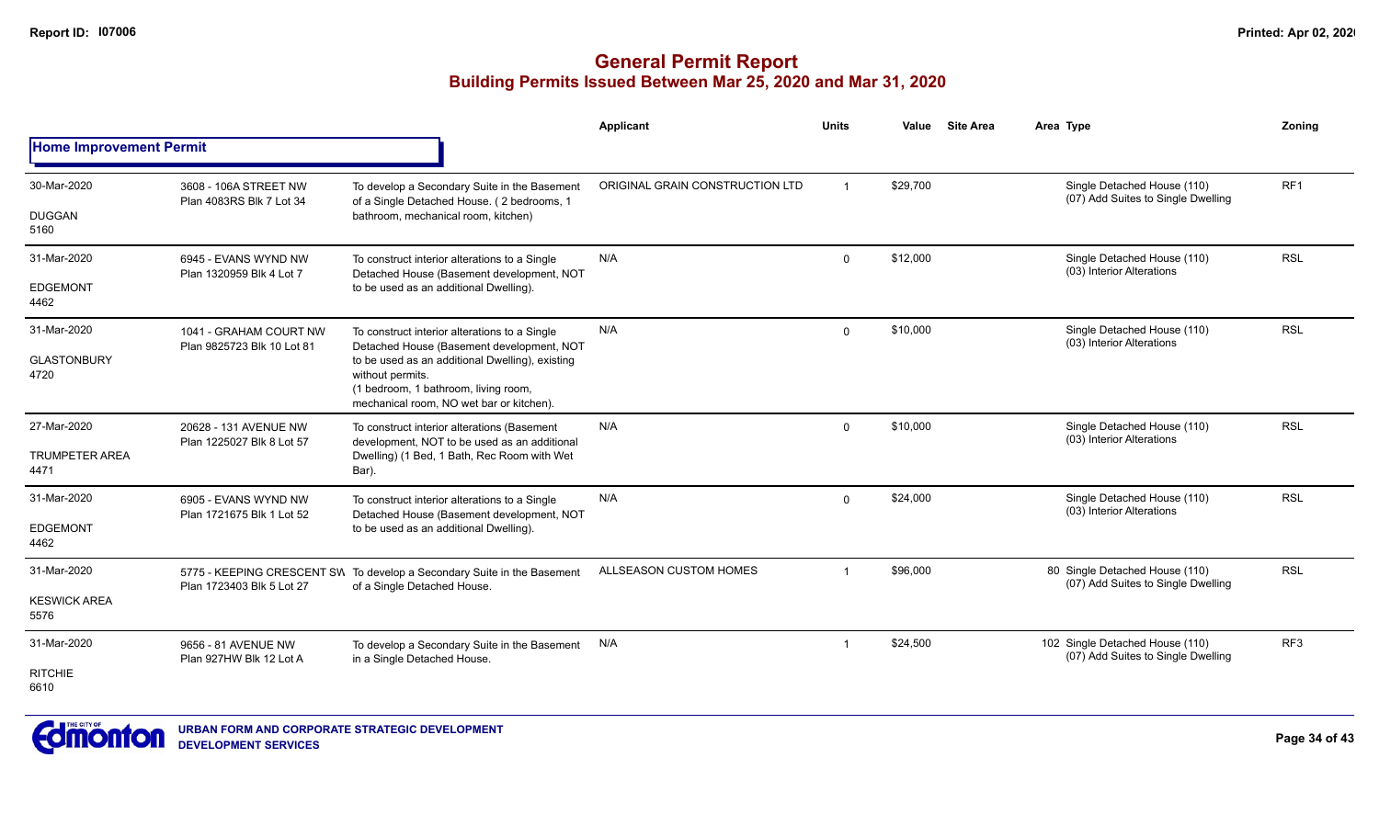|                                |                                                      |                                                                                                                                                         | Applicant                       | <b>Units</b>         | Value    | <b>Site Area</b>                                         | Area Type                                                             | Zonina          |
|--------------------------------|------------------------------------------------------|---------------------------------------------------------------------------------------------------------------------------------------------------------|---------------------------------|----------------------|----------|----------------------------------------------------------|-----------------------------------------------------------------------|-----------------|
| <b>Home Improvement Permit</b> |                                                      |                                                                                                                                                         |                                 |                      |          |                                                          |                                                                       |                 |
| 30-Mar-2020                    | 3608 - 106A STREET NW<br>Plan 4083RS Blk 7 Lot 34    | To develop a Secondary Suite in the Basement<br>of a Single Detached House. (2 bedrooms, 1                                                              | ORIGINAL GRAIN CONSTRUCTION LTD | $\overline{1}$       | \$29.700 |                                                          | Single Detached House (110)<br>(07) Add Suites to Single Dwelling     | RF <sub>1</sub> |
| <b>DUGGAN</b><br>5160          |                                                      | bathroom, mechanical room, kitchen)                                                                                                                     |                                 |                      |          |                                                          |                                                                       |                 |
| 31-Mar-2020                    | 6945 - EVANS WYND NW<br>Plan 1320959 Blk 4 Lot 7     | To construct interior alterations to a Single<br>Detached House (Basement development, NOT                                                              | N/A                             | $\mathbf 0$          | \$12,000 |                                                          | Single Detached House (110)<br>(03) Interior Alterations              | <b>RSL</b>      |
| <b>EDGEMONT</b><br>4462        |                                                      | to be used as an additional Dwelling).                                                                                                                  |                                 |                      |          |                                                          |                                                                       |                 |
| 31-Mar-2020                    | 1041 - GRAHAM COURT NW<br>Plan 9825723 Blk 10 Lot 81 | To construct interior alterations to a Single<br>Detached House (Basement development, NOT                                                              | N/A                             | \$10,000<br>$\Omega$ |          | Single Detached House (110)<br>(03) Interior Alterations | <b>RSL</b>                                                            |                 |
| <b>GLASTONBURY</b><br>4720     |                                                      | to be used as an additional Dwelling), existing<br>without permits.<br>(1 bedroom, 1 bathroom, living room,<br>mechanical room, NO wet bar or kitchen). |                                 |                      |          |                                                          |                                                                       |                 |
| 27-Mar-2020                    | 20628 - 131 AVENUE NW<br>Plan 1225027 Blk 8 Lot 57   | To construct interior alterations (Basement<br>development, NOT to be used as an additional                                                             | N/A                             | $\Omega$             | \$10,000 |                                                          | Single Detached House (110)<br>(03) Interior Alterations              | <b>RSL</b>      |
| <b>TRUMPETER AREA</b><br>4471  |                                                      | Dwelling) (1 Bed, 1 Bath, Rec Room with Wet<br>Bar).                                                                                                    |                                 |                      |          |                                                          |                                                                       |                 |
| 31-Mar-2020                    | 6905 - EVANS WYND NW<br>Plan 1721675 Blk 1 Lot 52    | To construct interior alterations to a Single<br>Detached House (Basement development, NOT                                                              | N/A                             | $\mathbf 0$          | \$24,000 |                                                          | Single Detached House (110)<br>(03) Interior Alterations              | <b>RSL</b>      |
| <b>EDGEMONT</b><br>4462        |                                                      | to be used as an additional Dwelling).                                                                                                                  |                                 |                      |          |                                                          |                                                                       |                 |
| 31-Mar-2020                    |                                                      | 5775 - KEEPING CRESCENT SW To develop a Secondary Suite in the Basement<br>of a Single Detached House.                                                  | ALLSEASON CUSTOM HOMES          |                      | \$96,000 |                                                          | 80 Single Detached House (110)<br>(07) Add Suites to Single Dwelling  | <b>RSL</b>      |
| <b>KESWICK AREA</b><br>5576    | Plan 1723403 Blk 5 Lot 27                            |                                                                                                                                                         |                                 |                      |          |                                                          |                                                                       |                 |
| 31-Mar-2020                    | 9656 - 81 AVENUE NW<br>Plan 927HW Blk 12 Lot A       | To develop a Secondary Suite in the Basement<br>in a Single Detached House.                                                                             | N/A                             | $\overline{1}$       | \$24,500 |                                                          | 102 Single Detached House (110)<br>(07) Add Suites to Single Dwelling | RF <sub>3</sub> |
| <b>RITCHIE</b><br>6610         |                                                      |                                                                                                                                                         |                                 |                      |          |                                                          |                                                                       |                 |

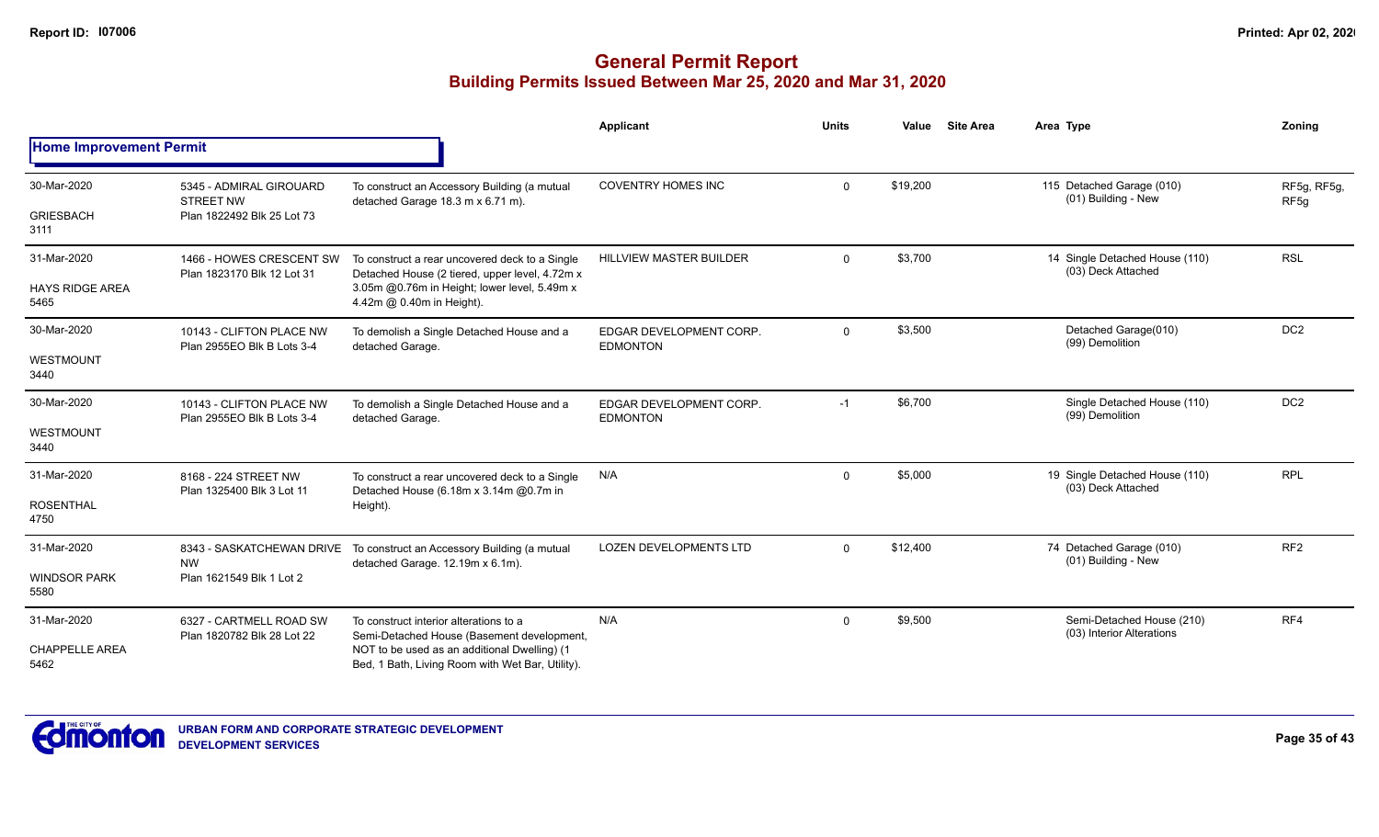|                                               |                                                                           |                                                                                                                                                                                          | Applicant                                  | <b>Units</b> | Value    | <b>Site Area</b> | Area Type                                              | Zoning                          |
|-----------------------------------------------|---------------------------------------------------------------------------|------------------------------------------------------------------------------------------------------------------------------------------------------------------------------------------|--------------------------------------------|--------------|----------|------------------|--------------------------------------------------------|---------------------------------|
| <b>Home Improvement Permit</b>                |                                                                           |                                                                                                                                                                                          |                                            |              |          |                  |                                                        |                                 |
| 30-Mar-2020<br><b>GRIESBACH</b><br>3111       | 5345 - ADMIRAL GIROUARD<br><b>STREET NW</b><br>Plan 1822492 Blk 25 Lot 73 | To construct an Accessory Building (a mutual<br>detached Garage 18.3 m x 6.71 m).                                                                                                        | <b>COVENTRY HOMES INC</b>                  | $\Omega$     | \$19,200 |                  | 115 Detached Garage (010)<br>(01) Building - New       | RF5g, RF5g,<br>RF <sub>5g</sub> |
| 31-Mar-2020<br><b>HAYS RIDGE AREA</b><br>5465 | 1466 - HOWES CRESCENT SW<br>Plan 1823170 Blk 12 Lot 31                    | To construct a rear uncovered deck to a Single<br>Detached House (2 tiered, upper level, 4.72m x<br>3.05m @0.76m in Height; lower level, 5.49m x<br>4.42m @ 0.40m in Height).            | <b>HILLVIEW MASTER BUILDER</b>             | $\Omega$     | \$3,700  |                  | 14 Single Detached House (110)<br>(03) Deck Attached   | <b>RSL</b>                      |
| 30-Mar-2020<br><b>WESTMOUNT</b><br>3440       | 10143 - CLIFTON PLACE NW<br>Plan 2955EO Blk B Lots 3-4                    | To demolish a Single Detached House and a<br>detached Garage.                                                                                                                            | EDGAR DEVELOPMENT CORP.<br><b>EDMONTON</b> | $\mathbf 0$  | \$3,500  |                  | Detached Garage(010)<br>(99) Demolition                | DC <sub>2</sub>                 |
| 30-Mar-2020<br><b>WESTMOUNT</b><br>3440       | 10143 - CLIFTON PLACE NW<br>Plan 2955EO Blk B Lots 3-4                    | To demolish a Single Detached House and a<br>detached Garage.                                                                                                                            | EDGAR DEVELOPMENT CORP.<br><b>EDMONTON</b> | $-1$         | \$6,700  |                  | Single Detached House (110)<br>(99) Demolition         | DC <sub>2</sub>                 |
| 31-Mar-2020<br><b>ROSENTHAL</b><br>4750       | 8168 - 224 STREET NW<br>Plan 1325400 Blk 3 Lot 11                         | To construct a rear uncovered deck to a Single<br>Detached House (6.18m x 3.14m @0.7m in<br>Height).                                                                                     | N/A                                        | $\mathbf{0}$ | \$5,000  |                  | 19 Single Detached House (110)<br>(03) Deck Attached   | <b>RPL</b>                      |
| 31-Mar-2020<br><b>WINDSOR PARK</b><br>5580    | 8343 - SASKATCHEWAN DRIVE<br><b>NW</b><br>Plan 1621549 Blk 1 Lot 2        | To construct an Accessory Building (a mutual<br>detached Garage. 12.19m x 6.1m).                                                                                                         | <b>LOZEN DEVELOPMENTS LTD</b>              | $\Omega$     | \$12,400 |                  | 74 Detached Garage (010)<br>(01) Building - New        | RF <sub>2</sub>                 |
| 31-Mar-2020<br><b>CHAPPELLE AREA</b><br>5462  | 6327 - CARTMELL ROAD SW<br>Plan 1820782 Blk 28 Lot 22                     | To construct interior alterations to a<br>Semi-Detached House (Basement development,<br>NOT to be used as an additional Dwelling) (1<br>Bed, 1 Bath, Living Room with Wet Bar, Utility). | N/A                                        | $\Omega$     | \$9,500  |                  | Semi-Detached House (210)<br>(03) Interior Alterations | RF4                             |

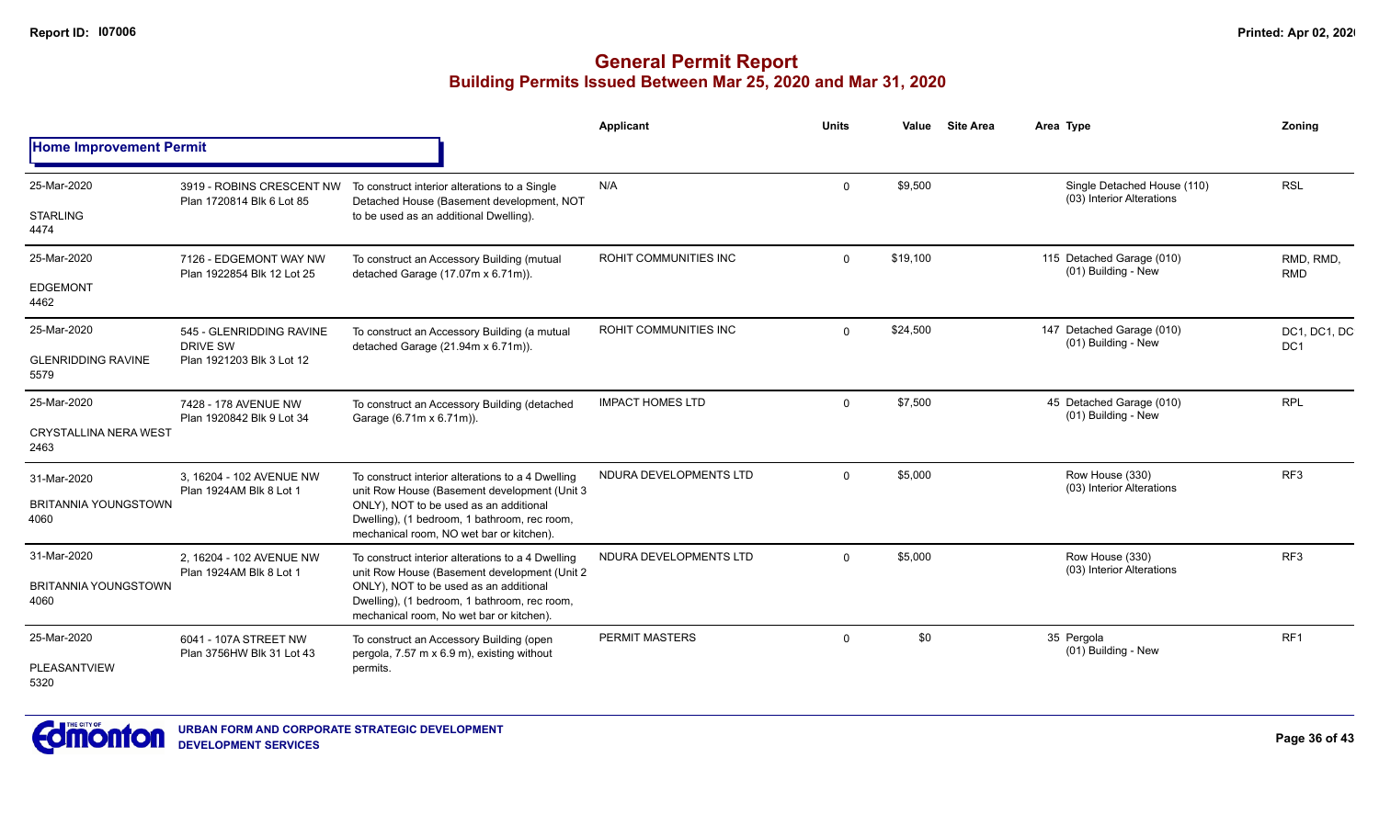|                                      |                                                      |                                                                                                                                    | Applicant               | <b>Units</b> | Value    | <b>Site Area</b> | Area Type |                                                          | Zoning                          |
|--------------------------------------|------------------------------------------------------|------------------------------------------------------------------------------------------------------------------------------------|-------------------------|--------------|----------|------------------|-----------|----------------------------------------------------------|---------------------------------|
| <b>Home Improvement Permit</b>       |                                                      |                                                                                                                                    |                         |              |          |                  |           |                                                          |                                 |
| 25-Mar-2020                          | 3919 - ROBINS CRESCENT NW                            | To construct interior alterations to a Single                                                                                      | N/A                     | 0            | \$9,500  |                  |           | Single Detached House (110)<br>(03) Interior Alterations | <b>RSL</b>                      |
| <b>STARLING</b><br>4474              | Plan 1720814 Blk 6 Lot 85                            | Detached House (Basement development, NOT<br>to be used as an additional Dwelling).                                                |                         |              |          |                  |           |                                                          |                                 |
| 25-Mar-2020                          | 7126 - EDGEMONT WAY NW<br>Plan 1922854 Blk 12 Lot 25 | To construct an Accessory Building (mutual<br>detached Garage (17.07m x 6.71m)).                                                   | ROHIT COMMUNITIES INC   | $\Omega$     | \$19,100 |                  |           | 115 Detached Garage (010)<br>(01) Building - New         | RMD, RMD.<br><b>RMD</b>         |
| <b>EDGEMONT</b><br>4462              |                                                      |                                                                                                                                    |                         |              |          |                  |           |                                                          |                                 |
| 25-Mar-2020                          | 545 - GLENRIDDING RAVINE<br><b>DRIVE SW</b>          | To construct an Accessory Building (a mutual<br>detached Garage (21.94m x 6.71m)).                                                 | ROHIT COMMUNITIES INC   | $\Omega$     | \$24,500 |                  |           | 147 Detached Garage (010)<br>(01) Building - New         | DC1, DC1, DC<br>DC <sub>1</sub> |
| <b>GLENRIDDING RAVINE</b><br>5579    | Plan 1921203 Blk 3 Lot 12                            |                                                                                                                                    |                         |              |          |                  |           |                                                          |                                 |
| 25-Mar-2020                          | 7428 - 178 AVENUE NW                                 | To construct an Accessory Building (detached                                                                                       | <b>IMPACT HOMES LTD</b> | $\mathbf 0$  | \$7,500  |                  |           | 45 Detached Garage (010)<br>(01) Building - New          | <b>RPL</b>                      |
| <b>CRYSTALLINA NERA WEST</b><br>2463 | Plan 1920842 Blk 9 Lot 34                            | Garage (6.71m x 6.71m)).                                                                                                           |                         |              |          |                  |           |                                                          |                                 |
| 31-Mar-2020                          | 3. 16204 - 102 AVENUE NW<br>Plan 1924AM Blk 8 Lot 1  | To construct interior alterations to a 4 Dwelling<br>unit Row House (Basement development (Unit 3                                  | NDURA DEVELOPMENTS LTD  | $\Omega$     | \$5,000  |                  |           | Row House (330)<br>(03) Interior Alterations             | RF <sub>3</sub>                 |
| <b>BRITANNIA YOUNGSTOWN</b><br>4060  |                                                      | ONLY), NOT to be used as an additional<br>Dwelling), (1 bedroom, 1 bathroom, rec room,<br>mechanical room, NO wet bar or kitchen). |                         |              |          |                  |           |                                                          |                                 |
| 31-Mar-2020                          | 2, 16204 - 102 AVENUE NW                             | To construct interior alterations to a 4 Dwelling<br>unit Row House (Basement development (Unit 2)                                 | NDURA DEVELOPMENTS LTD  | $\Omega$     | \$5,000  |                  |           | Row House (330)<br>(03) Interior Alterations             | RF <sub>3</sub>                 |
| <b>BRITANNIA YOUNGSTOWN</b><br>4060  | Plan 1924AM Blk 8 Lot 1                              | ONLY), NOT to be used as an additional<br>Dwelling), (1 bedroom, 1 bathroom, rec room,<br>mechanical room, No wet bar or kitchen). |                         |              |          |                  |           |                                                          |                                 |
| 25-Mar-2020                          | 6041 - 107A STREET NW<br>Plan 3756HW Blk 31 Lot 43   | To construct an Accessory Building (open<br>pergola, 7.57 m x 6.9 m), existing without                                             | <b>PERMIT MASTERS</b>   | 0            | \$0      |                  |           | 35 Pergola<br>(01) Building - New                        | RF1                             |
| <b>PLEASANTVIEW</b><br>5320          |                                                      | permits.                                                                                                                           |                         |              |          |                  |           |                                                          |                                 |

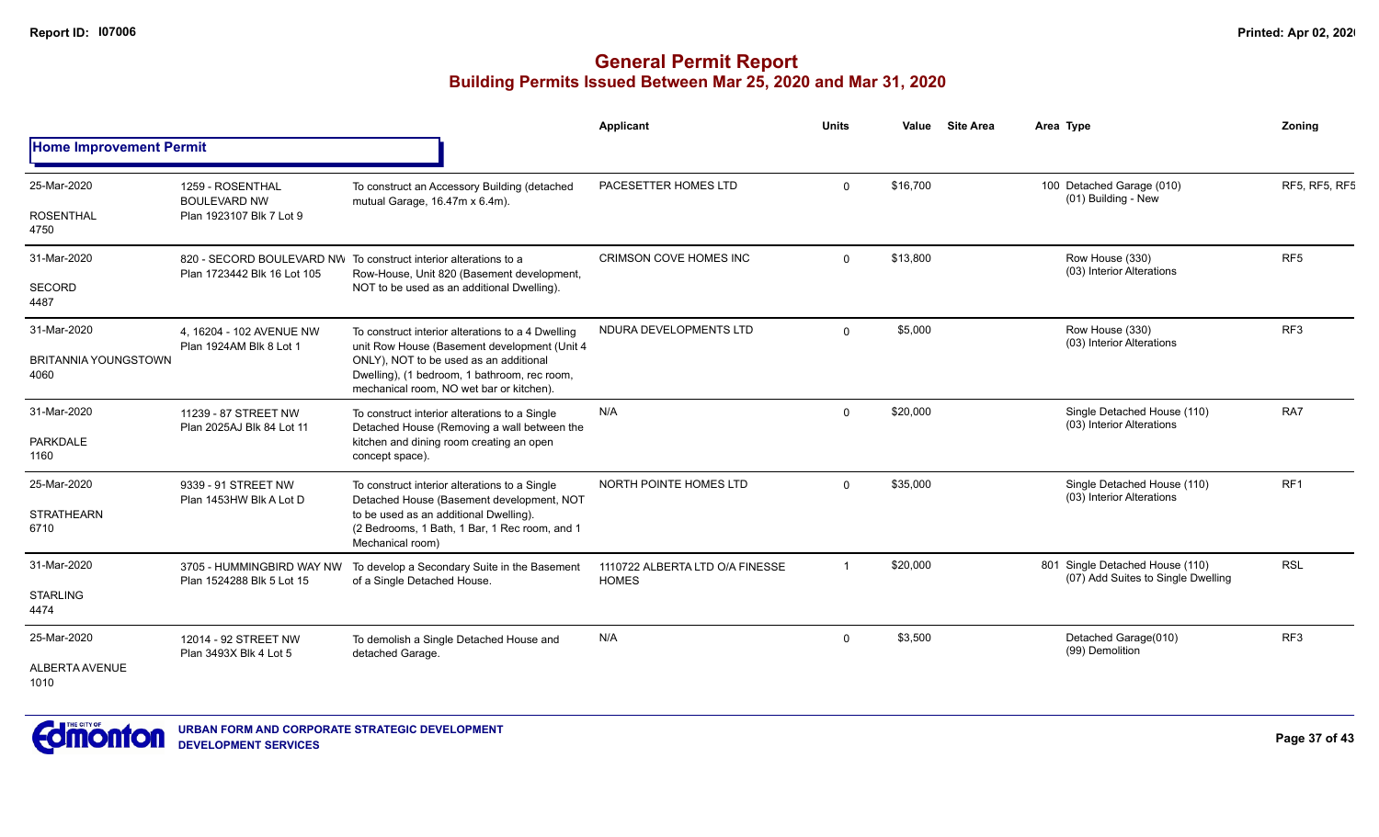|                                     |                                                        |                                                                                                                                                                                                                                                                   | <b>Applicant</b>                                | <b>Units</b> | Value    | <b>Site Area</b> | Area Type                                                             | Zoning          |
|-------------------------------------|--------------------------------------------------------|-------------------------------------------------------------------------------------------------------------------------------------------------------------------------------------------------------------------------------------------------------------------|-------------------------------------------------|--------------|----------|------------------|-----------------------------------------------------------------------|-----------------|
| <b>Home Improvement Permit</b>      |                                                        |                                                                                                                                                                                                                                                                   |                                                 |              |          |                  |                                                                       |                 |
| 25-Mar-2020                         | 1259 - ROSENTHAL<br><b>BOULEVARD NW</b>                | To construct an Accessory Building (detached<br>mutual Garage, 16.47m x 6.4m).                                                                                                                                                                                    | PACESETTER HOMES LTD                            | $\Omega$     | \$16,700 |                  | 100 Detached Garage (010)<br>(01) Building - New                      | RF5, RF5, RF5   |
| <b>ROSENTHAL</b><br>4750            | Plan 1923107 Blk 7 Lot 9                               |                                                                                                                                                                                                                                                                   |                                                 |              |          |                  |                                                                       |                 |
| 31-Mar-2020                         | Plan 1723442 Blk 16 Lot 105                            | 820 - SECORD BOULEVARD NW To construct interior alterations to a<br>Row-House, Unit 820 (Basement development,                                                                                                                                                    | <b>CRIMSON COVE HOMES INC</b>                   | $\Omega$     | \$13,800 |                  | Row House (330)<br>(03) Interior Alterations                          | RF <sub>5</sub> |
| SECORD<br>4487                      |                                                        | NOT to be used as an additional Dwelling).                                                                                                                                                                                                                        |                                                 |              |          |                  |                                                                       |                 |
| 31-Mar-2020                         | 4, 16204 - 102 AVENUE NW<br>Plan 1924AM Blk 8 Lot 1    | NDURA DEVELOPMENTS LTD<br>To construct interior alterations to a 4 Dwelling<br>unit Row House (Basement development (Unit 4<br>ONLY), NOT to be used as an additional<br>Dwelling), (1 bedroom, 1 bathroom, rec room,<br>mechanical room, NO wet bar or kitchen). |                                                 | $\Omega$     | \$5,000  |                  | Row House (330)<br>(03) Interior Alterations                          | RF <sub>3</sub> |
| <b>BRITANNIA YOUNGSTOWN</b><br>4060 |                                                        |                                                                                                                                                                                                                                                                   |                                                 |              |          |                  |                                                                       |                 |
| 31-Mar-2020                         | 11239 - 87 STREET NW<br>Plan 2025AJ Blk 84 Lot 11      | To construct interior alterations to a Single<br>Detached House (Removing a wall between the                                                                                                                                                                      | N/A                                             | 0            | \$20,000 |                  | Single Detached House (110)<br>(03) Interior Alterations              | RA7             |
| <b>PARKDALE</b><br>1160             |                                                        | kitchen and dining room creating an open<br>concept space).                                                                                                                                                                                                       |                                                 |              |          |                  |                                                                       |                 |
| 25-Mar-2020                         | 9339 - 91 STREET NW<br>Plan 1453HW Blk A Lot D         | To construct interior alterations to a Single<br>Detached House (Basement development, NOT                                                                                                                                                                        | NORTH POINTE HOMES LTD                          | $\Omega$     | \$35,000 |                  | Single Detached House (110)<br>(03) Interior Alterations              | RF <sub>1</sub> |
| <b>STRATHEARN</b><br>6710           |                                                        | to be used as an additional Dwelling).<br>(2 Bedrooms, 1 Bath, 1 Bar, 1 Rec room, and 1<br>Mechanical room)                                                                                                                                                       |                                                 |              |          |                  |                                                                       |                 |
| 31-Mar-2020                         | 3705 - HUMMINGBIRD WAY NW<br>Plan 1524288 Blk 5 Lot 15 | To develop a Secondary Suite in the Basement<br>of a Single Detached House.                                                                                                                                                                                       | 1110722 ALBERTA LTD O/A FINESSE<br><b>HOMES</b> |              | \$20,000 |                  | 801 Single Detached House (110)<br>(07) Add Suites to Single Dwelling | <b>RSL</b>      |
| <b>STARLING</b><br>4474             |                                                        |                                                                                                                                                                                                                                                                   |                                                 |              |          |                  |                                                                       |                 |
| 25-Mar-2020                         | 12014 - 92 STREET NW<br>Plan 3493X Blk 4 Lot 5         | To demolish a Single Detached House and<br>detached Garage.                                                                                                                                                                                                       | N/A                                             | 0            | \$3,500  |                  | Detached Garage(010)<br>(99) Demolition                               | RF <sub>3</sub> |
| <b>ALBERTA AVENUE</b><br>1010       |                                                        |                                                                                                                                                                                                                                                                   |                                                 |              |          |                  |                                                                       |                 |

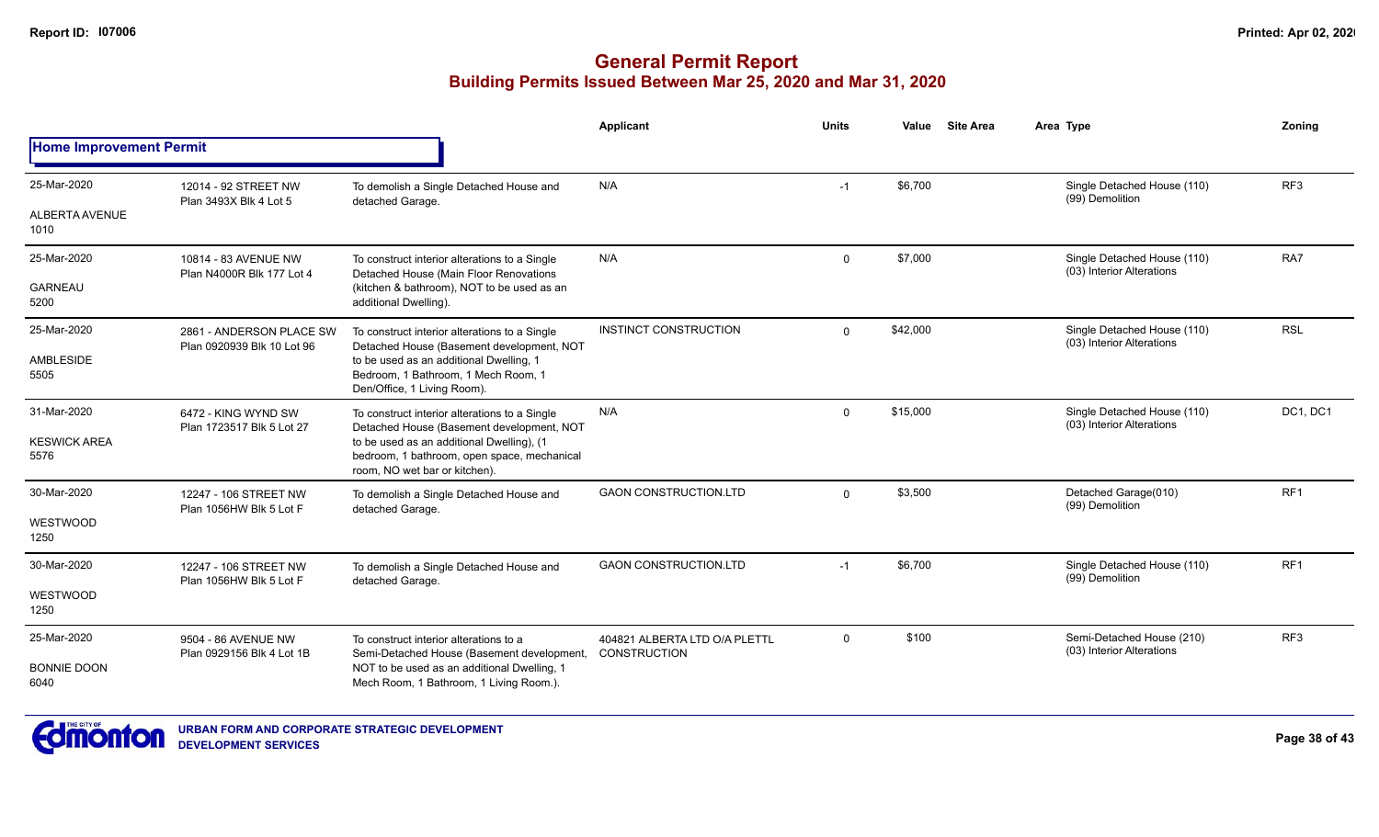|                                |                                                        |                                                                                                                           | Applicant                                            | <b>Units</b> | Value    | <b>Site Area</b> | Area Type                                                | <b>Zoning</b>   |
|--------------------------------|--------------------------------------------------------|---------------------------------------------------------------------------------------------------------------------------|------------------------------------------------------|--------------|----------|------------------|----------------------------------------------------------|-----------------|
| <b>Home Improvement Permit</b> |                                                        |                                                                                                                           |                                                      |              |          |                  |                                                          |                 |
| 25-Mar-2020                    | 12014 - 92 STREET NW<br>Plan 3493X Blk 4 Lot 5         | To demolish a Single Detached House and<br>detached Garage.                                                               | N/A                                                  | $-1$         | \$6,700  |                  | Single Detached House (110)<br>(99) Demolition           | RF <sub>3</sub> |
| ALBERTA AVENUE<br>1010         |                                                        |                                                                                                                           |                                                      |              |          |                  |                                                          |                 |
| 25-Mar-2020                    | 10814 - 83 AVENUE NW<br>Plan N4000R Blk 177 Lot 4      | To construct interior alterations to a Single<br>Detached House (Main Floor Renovations                                   | N/A                                                  | $\Omega$     | \$7,000  |                  | Single Detached House (110)<br>(03) Interior Alterations | RA7             |
| <b>GARNEAU</b><br>5200         |                                                        | (kitchen & bathroom), NOT to be used as an<br>additional Dwelling).                                                       |                                                      |              |          |                  |                                                          |                 |
| 25-Mar-2020                    | 2861 - ANDERSON PLACE SW<br>Plan 0920939 Blk 10 Lot 96 | To construct interior alterations to a Single<br>Detached House (Basement development, NOT                                | INSTINCT CONSTRUCTION                                | $\Omega$     | \$42,000 |                  | Single Detached House (110)<br>(03) Interior Alterations | <b>RSL</b>      |
| AMBLESIDE<br>5505              |                                                        | to be used as an additional Dwelling, 1<br>Bedroom, 1 Bathroom, 1 Mech Room, 1<br>Den/Office, 1 Living Room).             |                                                      |              |          |                  |                                                          |                 |
| 31-Mar-2020                    | 6472 - KING WYND SW<br>Plan 1723517 Blk 5 Lot 27       | To construct interior alterations to a Single<br>Detached House (Basement development, NOT                                | N/A                                                  | $\Omega$     | \$15,000 |                  | Single Detached House (110)<br>(03) Interior Alterations | DC1, DC1        |
| <b>KESWICK AREA</b><br>5576    |                                                        | to be used as an additional Dwelling), (1<br>bedroom, 1 bathroom, open space, mechanical<br>room. NO wet bar or kitchen). |                                                      |              |          |                  |                                                          |                 |
| 30-Mar-2020                    | 12247 - 106 STREET NW<br>Plan 1056HW Blk 5 Lot F       | To demolish a Single Detached House and<br>detached Garage.                                                               | <b>GAON CONSTRUCTION.LTD</b>                         | $\Omega$     | \$3,500  |                  | Detached Garage(010)<br>(99) Demolition                  | RF1             |
| WESTWOOD<br>1250               |                                                        |                                                                                                                           |                                                      |              |          |                  |                                                          |                 |
| 30-Mar-2020                    | 12247 - 106 STREET NW<br>Plan 1056HW Blk 5 Lot F       | To demolish a Single Detached House and<br>detached Garage.                                                               | <b>GAON CONSTRUCTION.LTD</b>                         | $-1$         | \$6,700  |                  | Single Detached House (110)<br>(99) Demolition           | RF1             |
| WESTWOOD<br>1250               |                                                        |                                                                                                                           |                                                      |              |          |                  |                                                          |                 |
| 25-Mar-2020                    | 9504 - 86 AVENUE NW<br>Plan 0929156 Blk 4 Lot 1B       | To construct interior alterations to a<br>Semi-Detached House (Basement development,                                      | 404821 ALBERTA LTD O/A PLETTL<br><b>CONSTRUCTION</b> | $\Omega$     | \$100    |                  | Semi-Detached House (210)<br>(03) Interior Alterations   | RF <sub>3</sub> |
| <b>BONNIE DOON</b><br>6040     |                                                        | NOT to be used as an additional Dwelling, 1<br>Mech Room, 1 Bathroom, 1 Living Room.).                                    |                                                      |              |          |                  |                                                          |                 |

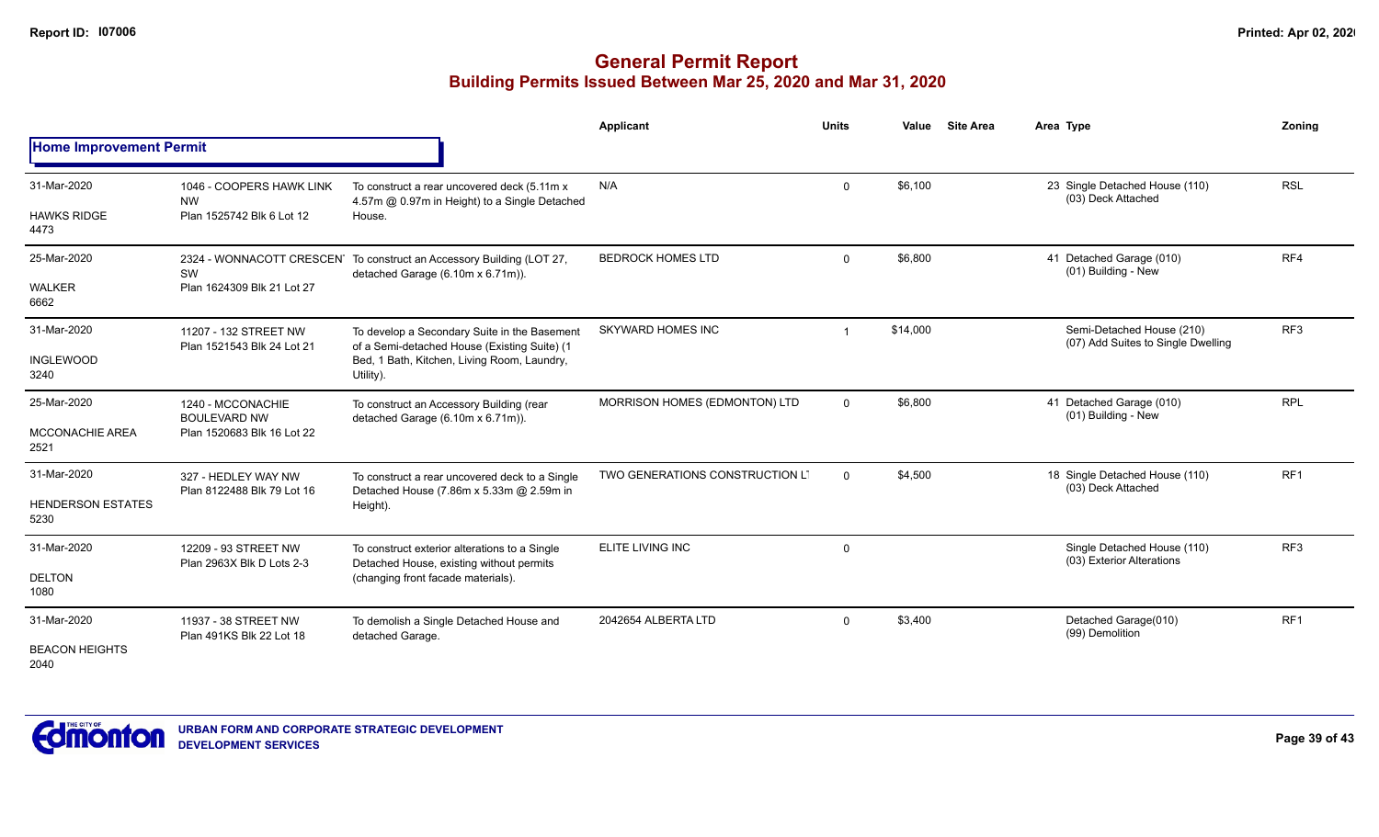|                                                 |                                                                        |                                                                                                                                                          | <b>Applicant</b>                | <b>Units</b> | Value    | <b>Site Area</b> | Area Type                                                       | <b>Zoning</b>   |
|-------------------------------------------------|------------------------------------------------------------------------|----------------------------------------------------------------------------------------------------------------------------------------------------------|---------------------------------|--------------|----------|------------------|-----------------------------------------------------------------|-----------------|
| <b>Home Improvement Permit</b>                  |                                                                        |                                                                                                                                                          |                                 |              |          |                  |                                                                 |                 |
| 31-Mar-2020<br><b>HAWKS RIDGE</b><br>4473       | 1046 - COOPERS HAWK LINK<br><b>NW</b><br>Plan 1525742 Blk 6 Lot 12     | To construct a rear uncovered deck (5.11m x<br>4.57m @ 0.97m in Height) to a Single Detached<br>House.                                                   | N/A                             | $\mathbf 0$  | \$6,100  |                  | 23 Single Detached House (110)<br>(03) Deck Attached            | <b>RSL</b>      |
| 25-Mar-2020<br><b>WALKER</b><br>6662            | SW<br>Plan 1624309 Blk 21 Lot 27                                       | 2324 - WONNACOTT CRESCEN <sup>T</sup> To construct an Accessory Building (LOT 27,<br>detached Garage (6.10m x 6.71m)).                                   | <b>BEDROCK HOMES LTD</b>        | $\Omega$     | \$6,800  |                  | 41 Detached Garage (010)<br>(01) Building - New                 | RF4             |
| 31-Mar-2020<br><b>INGLEWOOD</b><br>3240         | 11207 - 132 STREET NW<br>Plan 1521543 Blk 24 Lot 21                    | To develop a Secondary Suite in the Basement<br>of a Semi-detached House (Existing Suite) (1<br>Bed, 1 Bath, Kitchen, Living Room, Laundry,<br>Utility). | <b>SKYWARD HOMES INC</b>        | -1           | \$14,000 |                  | Semi-Detached House (210)<br>(07) Add Suites to Single Dwelling | RF <sub>3</sub> |
| 25-Mar-2020<br><b>MCCONACHIE AREA</b><br>2521   | 1240 - MCCONACHIE<br><b>BOULEVARD NW</b><br>Plan 1520683 Blk 16 Lot 22 | To construct an Accessory Building (rear<br>detached Garage (6.10m x 6.71m)).                                                                            | MORRISON HOMES (EDMONTON) LTD   | $\Omega$     | \$6,800  |                  | 41 Detached Garage (010)<br>(01) Building - New                 | <b>RPL</b>      |
| 31-Mar-2020<br><b>HENDERSON ESTATES</b><br>5230 | 327 - HEDLEY WAY NW<br>Plan 8122488 Blk 79 Lot 16                      | To construct a rear uncovered deck to a Single<br>Detached House (7.86m x 5.33m @ 2.59m in<br>Height).                                                   | TWO GENERATIONS CONSTRUCTION LT | $\Omega$     | \$4,500  |                  | 18 Single Detached House (110)<br>(03) Deck Attached            | RF1             |
| 31-Mar-2020<br><b>DELTON</b><br>1080            | 12209 - 93 STREET NW<br>Plan 2963X Blk D Lots 2-3                      | To construct exterior alterations to a Single<br>Detached House, existing without permits<br>(changing front facade materials).                          | ELITE LIVING INC                | 0            |          |                  | Single Detached House (110)<br>(03) Exterior Alterations        | RF <sub>3</sub> |
| 31-Mar-2020<br><b>BEACON HEIGHTS</b><br>2040    | 11937 - 38 STREET NW<br>Plan 491KS Blk 22 Lot 18                       | To demolish a Single Detached House and<br>detached Garage.                                                                                              | 2042654 ALBERTA LTD             | $\mathbf 0$  | \$3,400  |                  | Detached Garage(010)<br>(99) Demolition                         | RF <sub>1</sub> |

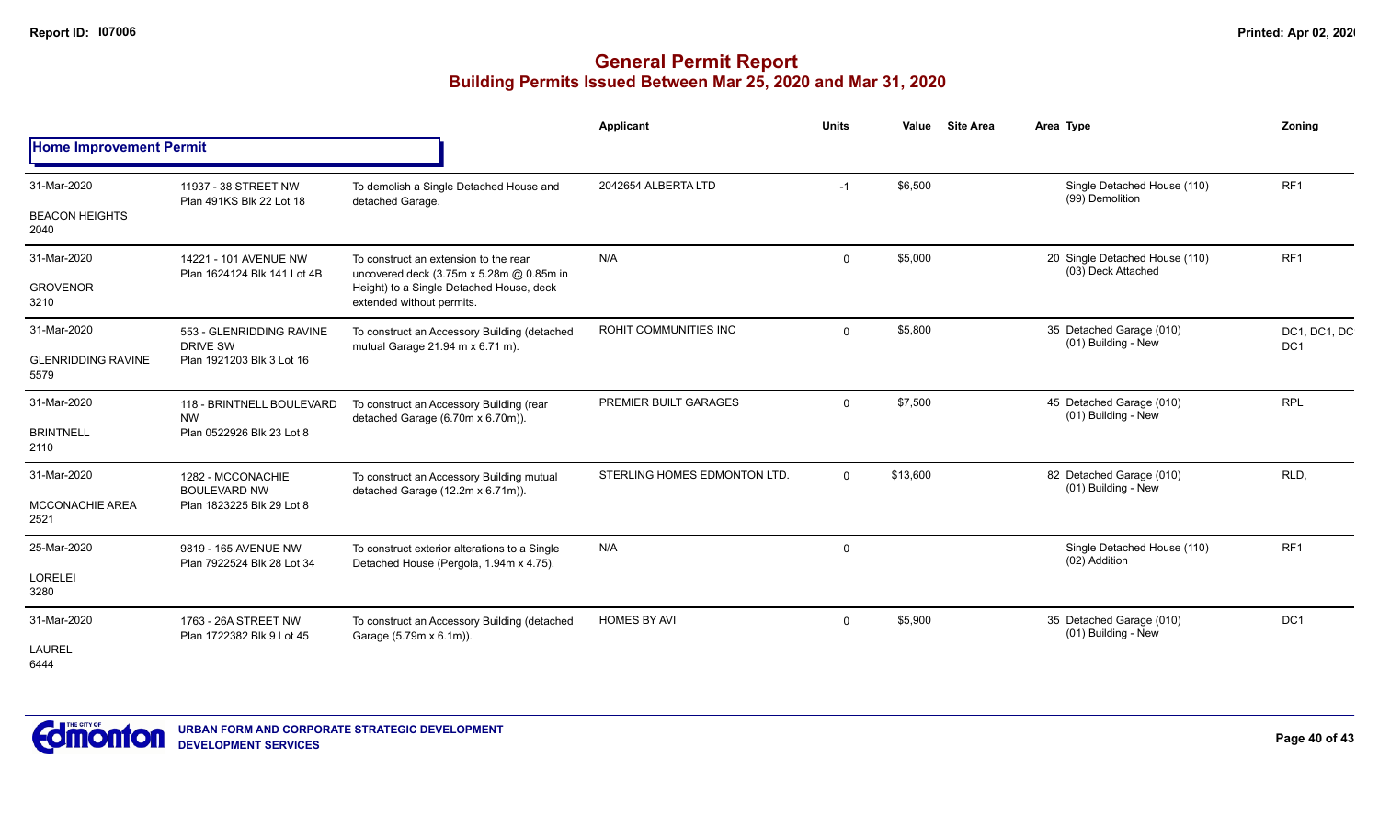|                                   |                                                                     |                                                                                          | Applicant                    | <b>Units</b> | Value    | <b>Site Area</b> | Area Type                                            | Zoning                          |
|-----------------------------------|---------------------------------------------------------------------|------------------------------------------------------------------------------------------|------------------------------|--------------|----------|------------------|------------------------------------------------------|---------------------------------|
| <b>Home Improvement Permit</b>    |                                                                     |                                                                                          |                              |              |          |                  |                                                      |                                 |
| 31-Mar-2020                       | 11937 - 38 STREET NW<br>Plan 491KS Blk 22 Lot 18                    | To demolish a Single Detached House and<br>detached Garage.                              | 2042654 ALBERTA LTD          | $-1$         | \$6,500  |                  | Single Detached House (110)<br>(99) Demolition       | RF <sub>1</sub>                 |
| <b>BEACON HEIGHTS</b><br>2040     |                                                                     |                                                                                          |                              |              |          |                  |                                                      |                                 |
| 31-Mar-2020                       | 14221 - 101 AVENUE NW<br>Plan 1624124 Blk 141 Lot 4B                | To construct an extension to the rear<br>uncovered deck (3.75m x 5.28m @ 0.85m in        | N/A                          | $\Omega$     | \$5,000  |                  | 20 Single Detached House (110)<br>(03) Deck Attached | RF <sub>1</sub>                 |
| <b>GROVENOR</b><br>3210           |                                                                     | Height) to a Single Detached House, deck<br>extended without permits.                    |                              |              |          |                  |                                                      |                                 |
| 31-Mar-2020                       | 553 - GLENRIDDING RAVINE<br><b>DRIVE SW</b>                         | To construct an Accessory Building (detached<br>mutual Garage 21.94 m x 6.71 m).         | ROHIT COMMUNITIES INC        | $\Omega$     | \$5,800  |                  | 35 Detached Garage (010)<br>(01) Building - New      | DC1, DC1, DC<br>DC <sub>1</sub> |
| <b>GLENRIDDING RAVINE</b><br>5579 | Plan 1921203 Blk 3 Lot 16                                           |                                                                                          |                              |              |          |                  |                                                      |                                 |
| 31-Mar-2020                       | 118 - BRINTNELL BOULEVARD<br><b>NW</b><br>Plan 0522926 Blk 23 Lot 8 | To construct an Accessory Building (rear<br>detached Garage (6.70m x 6.70m)).            | PREMIER BUILT GARAGES        | $\Omega$     | \$7,500  |                  | 45 Detached Garage (010)<br>(01) Building - New      | <b>RPL</b>                      |
| <b>BRINTNELL</b><br>2110          |                                                                     |                                                                                          |                              |              |          |                  |                                                      |                                 |
| 31-Mar-2020                       | 1282 - MCCONACHIE<br><b>BOULEVARD NW</b>                            | To construct an Accessory Building mutual<br>detached Garage (12.2m x 6.71m)).           | STERLING HOMES EDMONTON LTD. | $\Omega$     | \$13,600 |                  | 82 Detached Garage (010)<br>(01) Building - New      | RLD,                            |
| <b>MCCONACHIE AREA</b><br>2521    | Plan 1823225 Blk 29 Lot 8                                           |                                                                                          |                              |              |          |                  |                                                      |                                 |
| 25-Mar-2020                       | 9819 - 165 AVENUE NW<br>Plan 7922524 Blk 28 Lot 34                  | To construct exterior alterations to a Single<br>Detached House (Pergola, 1.94m x 4.75). | N/A                          | $\mathbf 0$  |          |                  | Single Detached House (110)<br>(02) Addition         | RF <sub>1</sub>                 |
| <b>LORELEI</b><br>3280            |                                                                     |                                                                                          |                              |              |          |                  |                                                      |                                 |
| 31-Mar-2020                       | 1763 - 26A STREET NW<br>Plan 1722382 Blk 9 Lot 45                   | To construct an Accessory Building (detached<br>Garage (5.79m x 6.1m)).                  | <b>HOMES BY AVI</b>          | $\Omega$     | \$5,900  |                  | 35 Detached Garage (010)<br>(01) Building - New      | DC1                             |
| <b>LAUREL</b><br>6444             |                                                                     |                                                                                          |                              |              |          |                  |                                                      |                                 |

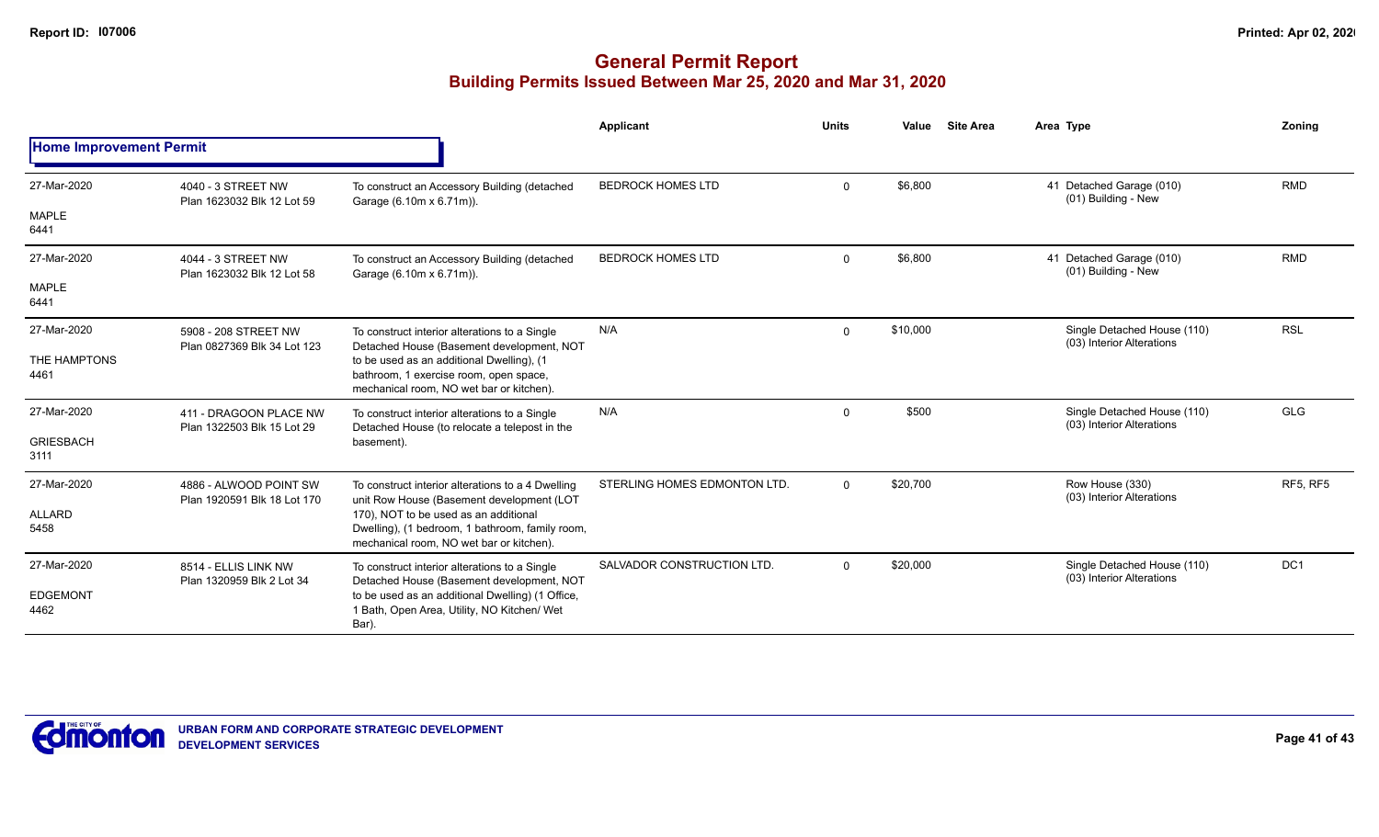|                                |                                                       |                                                                                                                                                                                                                                        | Applicant                    | <b>Units</b> | Value    | <b>Site Area</b> | Area Type                                                | Zonina     |
|--------------------------------|-------------------------------------------------------|----------------------------------------------------------------------------------------------------------------------------------------------------------------------------------------------------------------------------------------|------------------------------|--------------|----------|------------------|----------------------------------------------------------|------------|
| <b>Home Improvement Permit</b> |                                                       |                                                                                                                                                                                                                                        |                              |              |          |                  |                                                          |            |
| 27-Mar-2020                    | 4040 - 3 STREET NW<br>Plan 1623032 Blk 12 Lot 59      | To construct an Accessory Building (detached<br>Garage (6.10m x 6.71m)).                                                                                                                                                               | <b>BEDROCK HOMES LTD</b>     | $\mathbf 0$  | \$6,800  |                  | 41 Detached Garage (010)<br>(01) Building - New          | <b>RMD</b> |
| MAPLE<br>6441                  |                                                       |                                                                                                                                                                                                                                        |                              |              |          |                  |                                                          |            |
| 27-Mar-2020                    | 4044 - 3 STREET NW<br>Plan 1623032 Blk 12 Lot 58      | To construct an Accessory Building (detached<br>Garage (6.10m x 6.71m)).                                                                                                                                                               | <b>BEDROCK HOMES LTD</b>     | $\mathbf{0}$ | \$6,800  |                  | 41 Detached Garage (010)<br>(01) Building - New          | <b>RMD</b> |
| <b>MAPLE</b><br>6441           |                                                       |                                                                                                                                                                                                                                        |                              |              |          |                  |                                                          |            |
| 27-Mar-2020                    | 5908 - 208 STREET NW<br>Plan 0827369 Blk 34 Lot 123   | To construct interior alterations to a Single<br>Detached House (Basement development, NOT                                                                                                                                             | N/A                          | $\mathbf 0$  | \$10,000 |                  | Single Detached House (110)<br>(03) Interior Alterations | <b>RSL</b> |
| THE HAMPTONS<br>4461           |                                                       | to be used as an additional Dwelling), (1<br>bathroom, 1 exercise room, open space,<br>mechanical room, NO wet bar or kitchen).                                                                                                        |                              |              |          |                  |                                                          |            |
| 27-Mar-2020                    | 411 - DRAGOON PLACE NW<br>Plan 1322503 Blk 15 Lot 29  | To construct interior alterations to a Single<br>Detached House (to relocate a telepost in the                                                                                                                                         | N/A                          | $\Omega$     | \$500    |                  | Single Detached House (110)<br>(03) Interior Alterations | <b>GLG</b> |
| <b>GRIESBACH</b><br>3111       |                                                       | basement).                                                                                                                                                                                                                             |                              |              |          |                  |                                                          |            |
| 27-Mar-2020                    | 4886 - ALWOOD POINT SW<br>Plan 1920591 Blk 18 Lot 170 | To construct interior alterations to a 4 Dwelling<br>unit Row House (Basement development (LOT<br>170), NOT to be used as an additional<br>Dwelling), (1 bedroom, 1 bathroom, family room,<br>mechanical room, NO wet bar or kitchen). | STERLING HOMES EDMONTON LTD. | $\Omega$     | \$20,700 |                  | Row House (330)<br>(03) Interior Alterations             | RF5, RF5   |
| ALLARD<br>5458                 |                                                       |                                                                                                                                                                                                                                        |                              |              |          |                  |                                                          |            |
| 27-Mar-2020                    | 8514 - ELLIS LINK NW<br>Plan 1320959 Blk 2 Lot 34     | To construct interior alterations to a Single<br>Detached House (Basement development, NOT                                                                                                                                             | SALVADOR CONSTRUCTION LTD.   | $\Omega$     | \$20,000 |                  | Single Detached House (110)<br>(03) Interior Alterations | DC1        |
| <b>EDGEMONT</b><br>4462        |                                                       | to be used as an additional Dwelling) (1 Office,<br>1 Bath, Open Area, Utility, NO Kitchen/ Wet<br>Bar).                                                                                                                               |                              |              |          |                  |                                                          |            |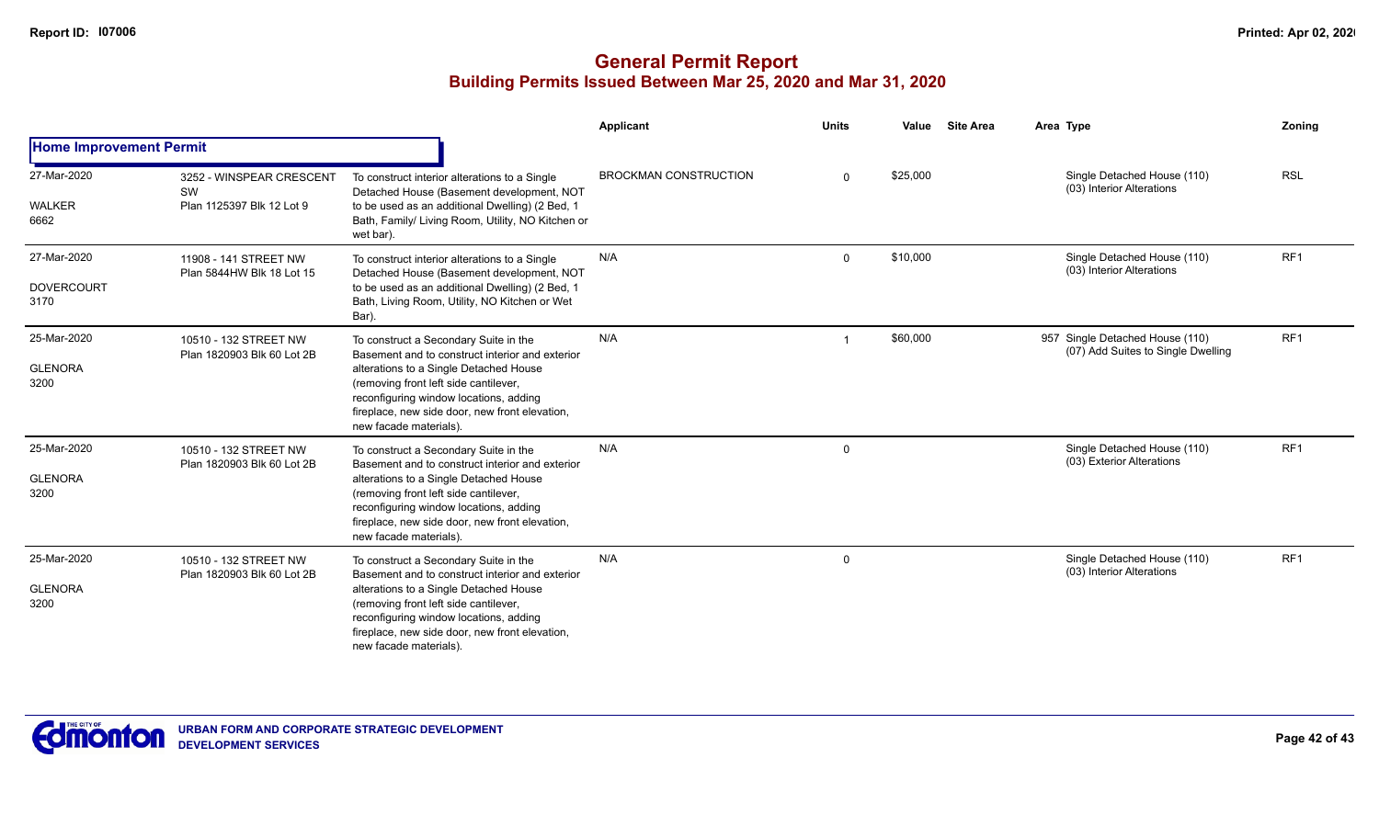|                                          |                                                             |                                                                                                                                                                                                                                                                                                   | Applicant                    | <b>Units</b> | Value    | <b>Site Area</b> | Area Type                                                             | Zoning          |
|------------------------------------------|-------------------------------------------------------------|---------------------------------------------------------------------------------------------------------------------------------------------------------------------------------------------------------------------------------------------------------------------------------------------------|------------------------------|--------------|----------|------------------|-----------------------------------------------------------------------|-----------------|
| <b>Home Improvement Permit</b>           |                                                             |                                                                                                                                                                                                                                                                                                   |                              |              |          |                  |                                                                       |                 |
| 27-Mar-2020<br><b>WALKER</b><br>6662     | 3252 - WINSPEAR CRESCENT<br>SW<br>Plan 1125397 Blk 12 Lot 9 | To construct interior alterations to a Single<br>Detached House (Basement development, NOT<br>to be used as an additional Dwelling) (2 Bed, 1<br>Bath, Family/ Living Room, Utility, NO Kitchen or<br>wet bar).                                                                                   | <b>BROCKMAN CONSTRUCTION</b> | $\Omega$     | \$25,000 |                  | Single Detached House (110)<br>(03) Interior Alterations              | <b>RSL</b>      |
| 27-Mar-2020<br><b>DOVERCOURT</b><br>3170 | 11908 - 141 STREET NW<br>Plan 5844HW Blk 18 Lot 15          | To construct interior alterations to a Single<br>Detached House (Basement development, NOT<br>to be used as an additional Dwelling) (2 Bed, 1<br>Bath, Living Room, Utility, NO Kitchen or Wet<br>Bar).                                                                                           | N/A                          | $\Omega$     | \$10,000 |                  | Single Detached House (110)<br>(03) Interior Alterations              | RF <sub>1</sub> |
| 25-Mar-2020<br><b>GLENORA</b><br>3200    | 10510 - 132 STREET NW<br>Plan 1820903 Blk 60 Lot 2B         | To construct a Secondary Suite in the<br>Basement and to construct interior and exterior<br>alterations to a Single Detached House<br>(removing front left side cantilever,<br>reconfiguring window locations, adding<br>fireplace, new side door, new front elevation,<br>new facade materials). | N/A                          |              | \$60,000 |                  | 957 Single Detached House (110)<br>(07) Add Suites to Single Dwelling | RF1             |
| 25-Mar-2020<br><b>GLENORA</b><br>3200    | 10510 - 132 STREET NW<br>Plan 1820903 Blk 60 Lot 2B         | To construct a Secondary Suite in the<br>Basement and to construct interior and exterior<br>alterations to a Single Detached House<br>(removing front left side cantilever,<br>reconfiguring window locations, adding<br>fireplace, new side door, new front elevation,<br>new facade materials). | N/A                          | $\Omega$     |          |                  | Single Detached House (110)<br>(03) Exterior Alterations              | RF1             |
| 25-Mar-2020<br><b>GLENORA</b><br>3200    | 10510 - 132 STREET NW<br>Plan 1820903 Blk 60 Lot 2B         | To construct a Secondary Suite in the<br>Basement and to construct interior and exterior<br>alterations to a Single Detached House<br>(removing front left side cantilever,<br>reconfiguring window locations, adding<br>fireplace, new side door, new front elevation,<br>new facade materials). | N/A                          | 0            |          |                  | Single Detached House (110)<br>(03) Interior Alterations              | RF1             |